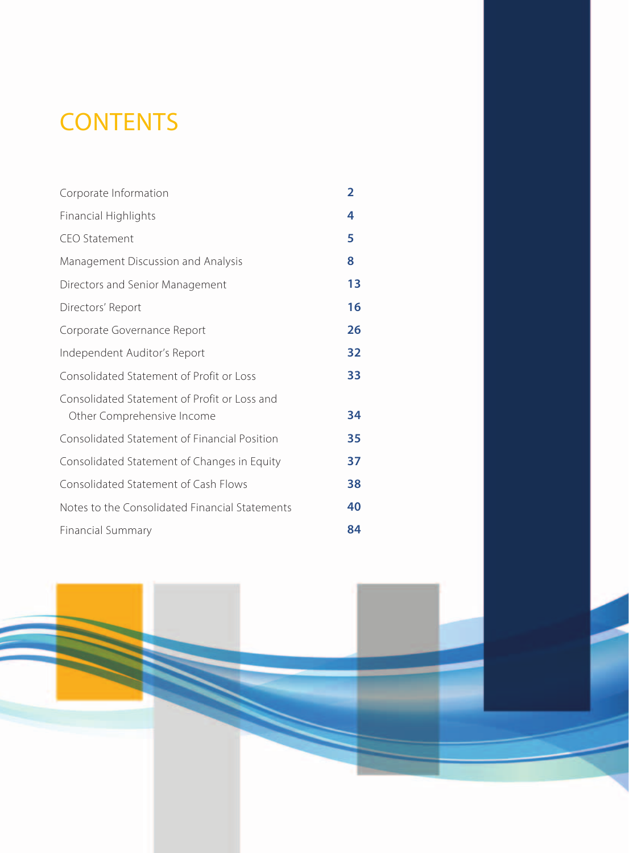# **CONTENTS**

| Corporate Information                                                      | $\overline{2}$ |
|----------------------------------------------------------------------------|----------------|
| Financial Highlights                                                       | 4              |
| <b>CEO Statement</b>                                                       | 5              |
| Management Discussion and Analysis                                         | 8              |
| Directors and Senior Management                                            | 13             |
| Directors' Report                                                          | 16             |
| Corporate Governance Report                                                | 26             |
| Independent Auditor's Report                                               | 32             |
| Consolidated Statement of Profit or Loss                                   | 33             |
| Consolidated Statement of Profit or Loss and<br>Other Comprehensive Income | 34             |
| Consolidated Statement of Financial Position                               | 35             |
| Consolidated Statement of Changes in Equity                                | 37             |
| Consolidated Statement of Cash Flows                                       | 38             |
| Notes to the Consolidated Financial Statements                             | 40             |
| <b>Financial Summary</b>                                                   | 84             |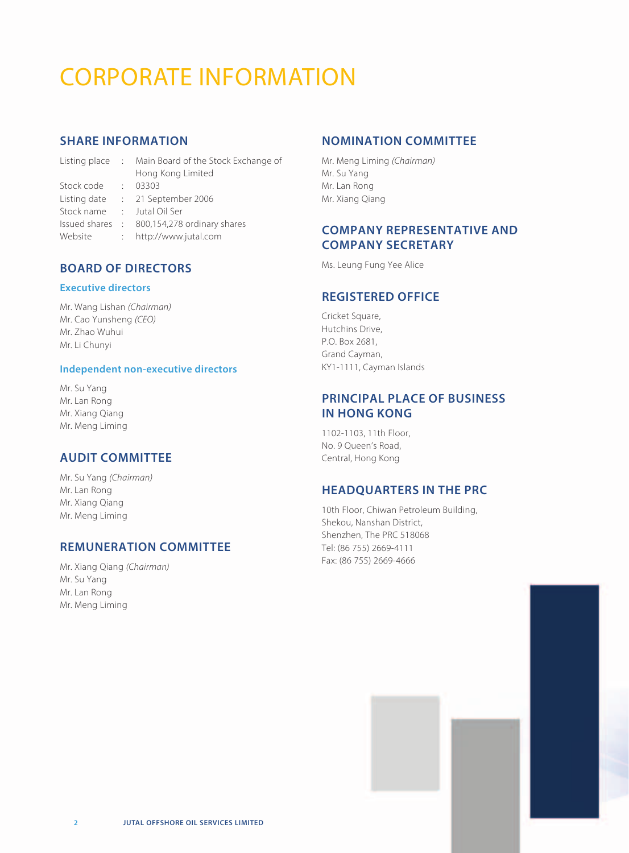# CORPORATE INFORMATION

## **SHARE INFORMATION**

|            |       | Listing place : Main Board of the Stock Exchange of |
|------------|-------|-----------------------------------------------------|
|            |       | Hong Kong Limited                                   |
| Stock code | 41. 7 | 03303                                               |
|            |       | Listing date : 21 September 2006                    |
| Stock name |       | : Jutal Oil Ser                                     |
|            |       | Issued shares : 800,154,278 ordinary shares         |
| Website    |       | : http://www.jutal.com                              |
|            |       |                                                     |

## **BOARD OF DIRECTORS**

#### **Executive directors**

Mr. Wang Lishan (Chairman) Mr. Cao Yunsheng (CEO) Mr. Zhao Wuhui Mr. Li Chunyi

#### **Independent non-executive directors**

Mr. Su Yang Mr. Lan Rong Mr. Xiang Qiang Mr. Meng Liming

## **AUDIT COMMITTEE**

Mr. Su Yang (Chairman) Mr. Lan Rong Mr. Xiang Qiang Mr. Meng Liming

### **REMUNERATION COMMITTEE**

Mr. Xiang Qiang (Chairman) Mr. Su Yang Mr. Lan Rong Mr. Meng Liming

### **NOMINATION COMMITTEE**

Mr. Meng Liming (Chairman) Mr. Su Yang Mr. Lan Rong Mr. Xiang Qiang

### **COMPANY REPRESENTATIVE AND COMPANY SECRETARY**

Ms. Leung Fung Yee Alice

## **REGISTERED OFFICE**

Cricket Square, Hutchins Drive, P.O. Box 2681, Grand Cayman, KY1-1111, Cayman Islands

## **PRINCIPAL PLACE OF BUSINESS IN HONG KONG**

1102-1103, 11th Floor, No. 9 Queen's Road, Central, Hong Kong

### **HEADQUARTERS IN THE PRC**

10th Floor, Chiwan Petroleum Building, Shekou, Nanshan District, Shenzhen, The PRC 518068 Tel: (86 755) 2669-4111 Fax: (86 755) 2669-4666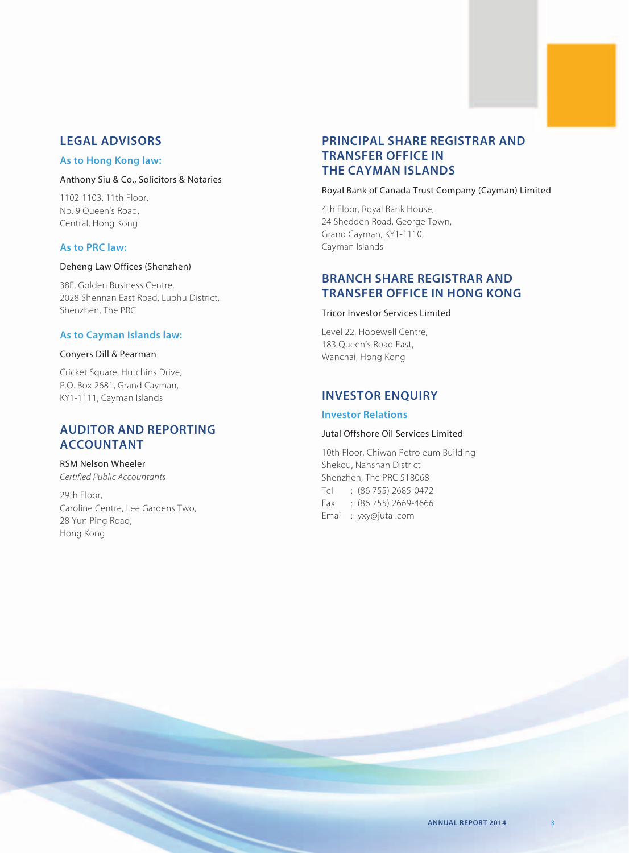### **LEGAL ADVISORS**

#### **As to Hong Kong law:**

#### Anthony Siu & Co., Solicitors & Notaries

1102-1103, 11th Floor, No. 9 Queen's Road, Central, Hong Kong

#### **As to PRC law:**

#### Deheng Law Offices (Shenzhen)

38F, Golden Business Centre, 2028 Shennan East Road, Luohu District, Shenzhen, The PRC

#### **As to Cayman Islands law:**

#### Conyers Dill & Pearman

Cricket Square, Hutchins Drive, P.O. Box 2681, Grand Cayman, KY1-1111, Cayman Islands

### **AUDITOR AND REPORTING ACCOUNTANT**

#### RSM Nelson Wheeler

Certified Public Accountants

29th Floor, Caroline Centre, Lee Gardens Two, 28 Yun Ping Road, Hong Kong

## **PRINCIPAL SHARE REGISTRAR AND TRANSFER OFFICE IN THE CAYMAN ISLANDS**

#### Royal Bank of Canada Trust Company (Cayman) Limited

4th Floor, Royal Bank House, 24 Shedden Road, George Town, Grand Cayman, KY1-1110, Cayman Islands

### **BRANCH SHARE REGISTRAR AND TRANSFER OFFICE IN HONG KONG**

#### Tricor Investor Services Limited

Level 22, Hopewell Centre, 183 Queen's Road East, Wanchai, Hong Kong

#### **INVESTOR ENQUIRY**

#### **Investor Relations**

#### Jutal Offshore Oil Services Limited

10th Floor, Chiwan Petroleum Building Shekou, Nanshan District Shenzhen, The PRC 518068 Tel : (86 755) 2685-0472 Fax : (86 755) 2669-4666 Email : yxy@jutal.com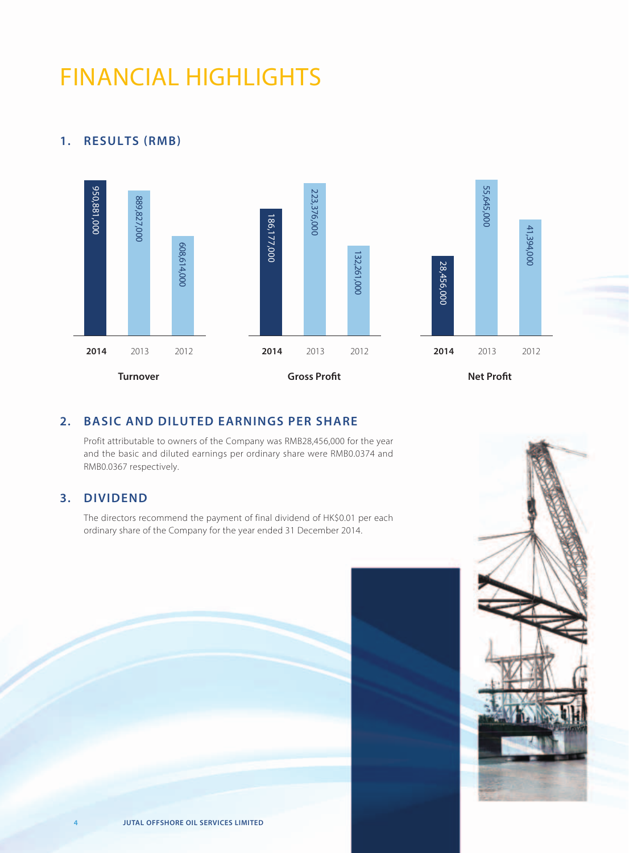## FINANCIAL HIGHLIGHTS

## **1. RESULTS (RMB)**





## **2. BASIC AND DILUTED EARNINGS PER SHARE**

Profit attributable to owners of the Company was RMB28,456,000 for the year and the basic and diluted earnings per ordinary share were RMB0.0374 and RMB0.0367 respectively.

#### **3. DIVIDEND**

The directors recommend the payment of final dividend of HK\$0.01 per each ordinary share of the Company for the year ended 31 December 2014.

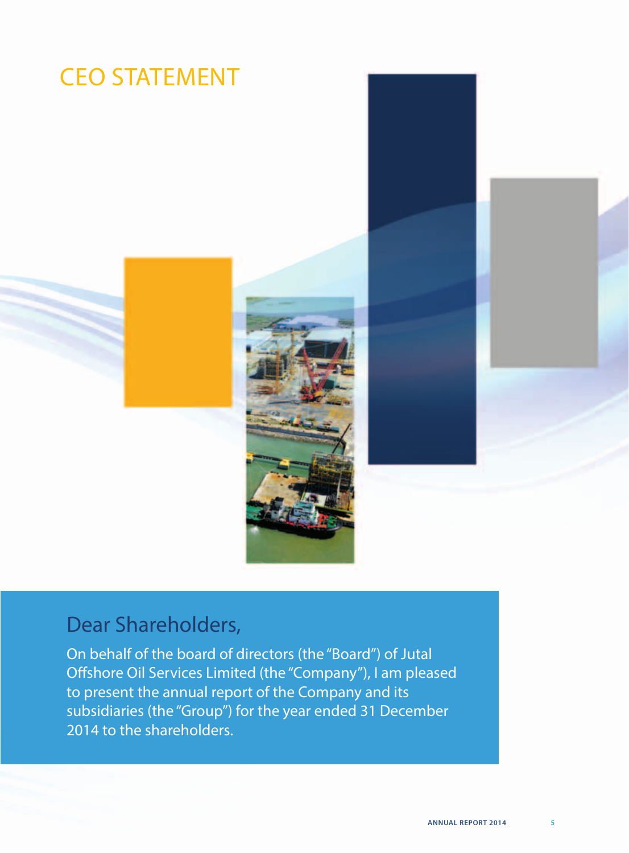

## Dear Shareholders,

On behalf of the board of directors (the "Board") of Jutal Offshore Oil Services Limited (the "Company"), I am pleased to present the annual report of the Company and its subsidiaries (the "Group") for the year ended 31 December 2014 to the shareholders.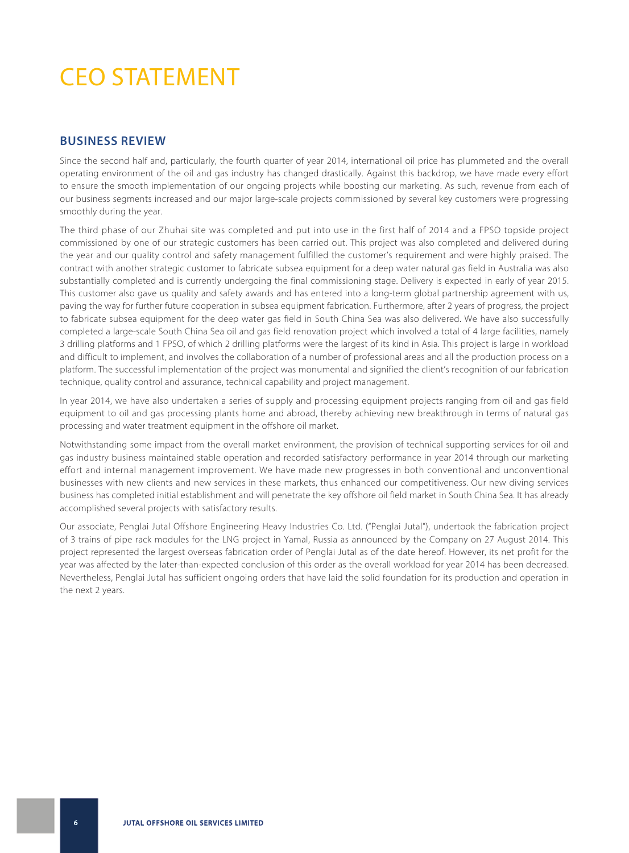# CEO STATEMENT

#### **BUSINESS REVIEW**

Since the second half and, particularly, the fourth quarter of year 2014, international oil price has plummeted and the overall operating environment of the oil and gas industry has changed drastically. Against this backdrop, we have made every effort to ensure the smooth implementation of our ongoing projects while boosting our marketing. As such, revenue from each of our business segments increased and our major large-scale projects commissioned by several key customers were progressing smoothly during the year.

The third phase of our Zhuhai site was completed and put into use in the first half of 2014 and a FPSO topside project commissioned by one of our strategic customers has been carried out. This project was also completed and delivered during the year and our quality control and safety management fulfilled the customer's requirement and were highly praised. The contract with another strategic customer to fabricate subsea equipment for a deep water natural gas field in Australia was also substantially completed and is currently undergoing the final commissioning stage. Delivery is expected in early of year 2015. This customer also gave us quality and safety awards and has entered into a long-term global partnership agreement with us, paving the way for further future cooperation in subsea equipment fabrication. Furthermore, after 2 years of progress, the project to fabricate subsea equipment for the deep water gas field in South China Sea was also delivered. We have also successfully completed a large-scale South China Sea oil and gas field renovation project which involved a total of 4 large facilities, namely 3 drilling platforms and 1 FPSO, of which 2 drilling platforms were the largest of its kind in Asia. This project is large in workload and difficult to implement, and involves the collaboration of a number of professional areas and all the production process on a platform. The successful implementation of the project was monumental and signified the client's recognition of our fabrication technique, quality control and assurance, technical capability and project management.

In year 2014, we have also undertaken a series of supply and processing equipment projects ranging from oil and gas field equipment to oil and gas processing plants home and abroad, thereby achieving new breakthrough in terms of natural gas processing and water treatment equipment in the offshore oil market.

Notwithstanding some impact from the overall market environment, the provision of technical supporting services for oil and gas industry business maintained stable operation and recorded satisfactory performance in year 2014 through our marketing effort and internal management improvement. We have made new progresses in both conventional and unconventional businesses with new clients and new services in these markets, thus enhanced our competitiveness. Our new diving services business has completed initial establishment and will penetrate the key offshore oil field market in South China Sea. It has already accomplished several projects with satisfactory results.

Our associate, Penglai Jutal Offshore Engineering Heavy Industries Co. Ltd. ("Penglai Jutal"), undertook the fabrication project of 3 trains of pipe rack modules for the LNG project in Yamal, Russia as announced by the Company on 27 August 2014. This project represented the largest overseas fabrication order of Penglai Jutal as of the date hereof. However, its net profit for the year was affected by the later-than-expected conclusion of this order as the overall workload for year 2014 has been decreased. Nevertheless, Penglai Jutal has sufficient ongoing orders that have laid the solid foundation for its production and operation in the next 2 years.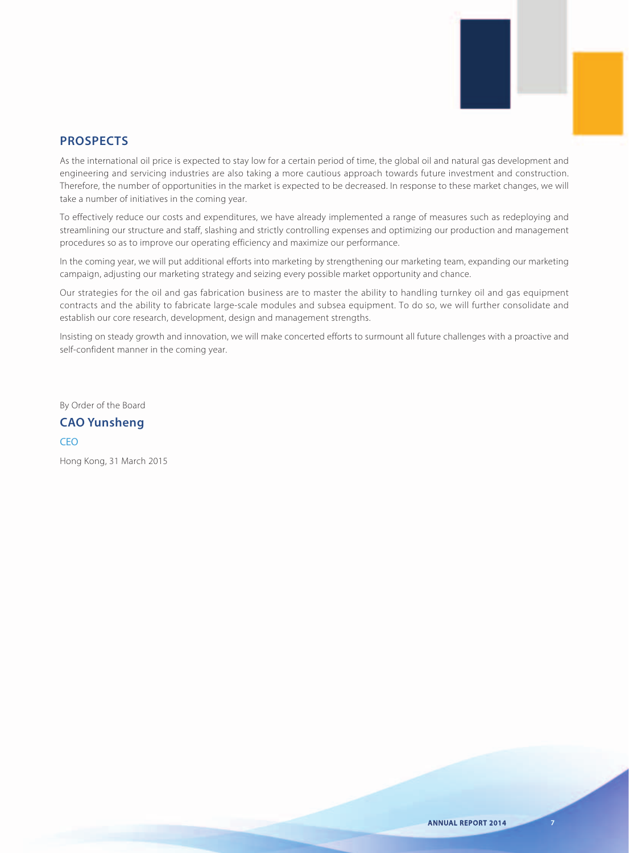

## **PROSPECTS**

As the international oil price is expected to stay low for a certain period of time, the global oil and natural gas development and engineering and servicing industries are also taking a more cautious approach towards future investment and construction. Therefore, the number of opportunities in the market is expected to be decreased. In response to these market changes, we will take a number of initiatives in the coming year.

To effectively reduce our costs and expenditures, we have already implemented a range of measures such as redeploying and streamlining our structure and staff, slashing and strictly controlling expenses and optimizing our production and management procedures so as to improve our operating efficiency and maximize our performance.

In the coming year, we will put additional efforts into marketing by strengthening our marketing team, expanding our marketing campaign, adjusting our marketing strategy and seizing every possible market opportunity and chance.

Our strategies for the oil and gas fabrication business are to master the ability to handling turnkey oil and gas equipment contracts and the ability to fabricate large-scale modules and subsea equipment. To do so, we will further consolidate and establish our core research, development, design and management strengths.

Insisting on steady growth and innovation, we will make concerted efforts to surmount all future challenges with a proactive and self-confident manner in the coming year.

By Order of the Board

### **CAO Yunsheng**

#### **CEO**

Hong Kong, 31 March 2015

**ANNUAL REPORT 2014**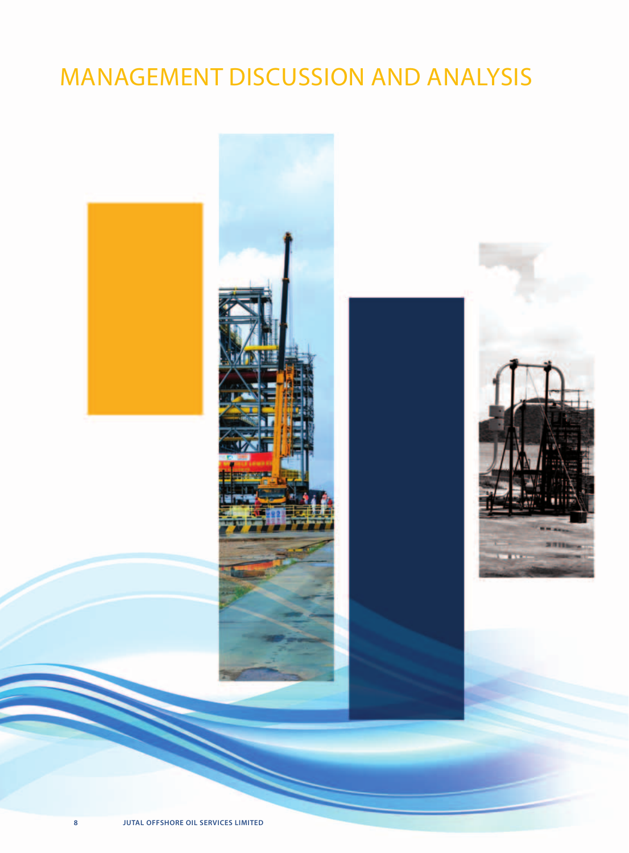# MANAGEMENT DISCUSSION AND ANALYSIS

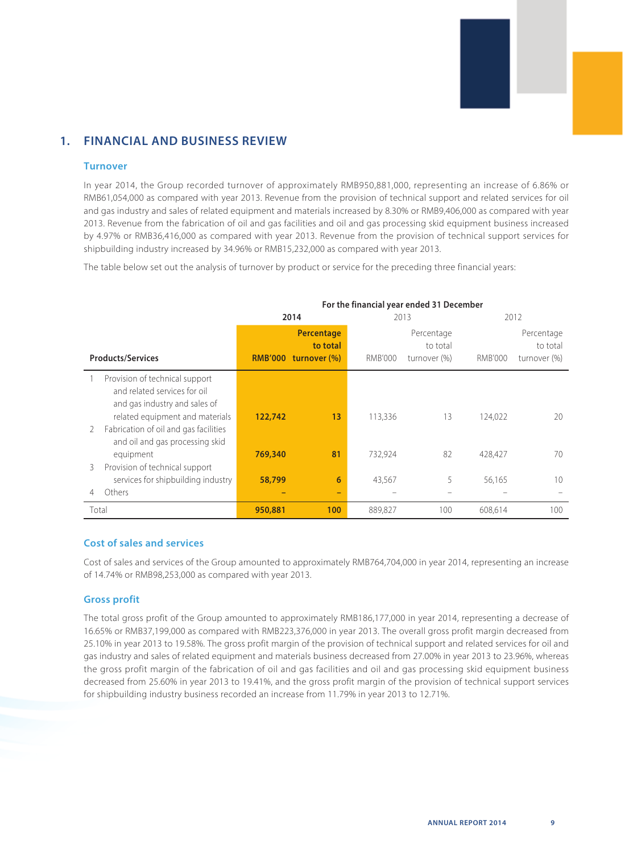

## **1. FINANCIAL AND BUSINESS REVIEW**

#### **Turnover**

In year 2014, the Group recorded turnover of approximately RMB950,881,000, representing an increase of 6.86% or RMB61,054,000 as compared with year 2013. Revenue from the provision of technical support and related services for oil and gas industry and sales of related equipment and materials increased by 8.30% or RMB9,406,000 as compared with year 2013. Revenue from the fabrication of oil and gas facilities and oil and gas processing skid equipment business increased by 4.97% or RMB36,416,000 as compared with year 2013. Revenue from the provision of technical support services for shipbuilding industry increased by 34.96% or RMB15,232,000 as compared with year 2013.

The table below set out the analysis of turnover by product or service for the preceding three financial years:

|   |                                                                                                                                    | For the financial year ended 31 December |                                                     |                |                                        |         |                                        |  |  |  |  |
|---|------------------------------------------------------------------------------------------------------------------------------------|------------------------------------------|-----------------------------------------------------|----------------|----------------------------------------|---------|----------------------------------------|--|--|--|--|
|   |                                                                                                                                    |                                          | 2014                                                |                | 2013                                   | 2012    |                                        |  |  |  |  |
|   | <b>Products/Services</b>                                                                                                           |                                          | Percentage<br>to total<br>$RMB'000$ turnover $(\%)$ | <b>RMB'000</b> | Percentage<br>to total<br>turnover (%) | RMB'000 | Percentage<br>to total<br>turnover (%) |  |  |  |  |
|   | Provision of technical support<br>and related services for oil<br>and gas industry and sales of<br>related equipment and materials | 122,742                                  | 13                                                  | 113,336        | 13                                     | 124.022 | 20                                     |  |  |  |  |
| 2 | Fabrication of oil and gas facilities<br>and oil and gas processing skid<br>equipment                                              | 769,340                                  | 81                                                  | 732,924        | 82                                     | 428,427 | 70                                     |  |  |  |  |
| 3 | Provision of technical support<br>services for shipbuilding industry                                                               | 58,799                                   | 6                                                   | 43,567         | 5                                      | 56,165  | 10                                     |  |  |  |  |
|   | Others                                                                                                                             |                                          | $\overline{\phantom{0}}$                            |                |                                        |         |                                        |  |  |  |  |
|   | Total                                                                                                                              | 950,881                                  | 100                                                 | 889.827        | 100                                    | 608.614 | 100                                    |  |  |  |  |

#### **Cost of sales and services**

Cost of sales and services of the Group amounted to approximately RMB764,704,000 in year 2014, representing an increase of 14.74% or RMB98,253,000 as compared with year 2013.

#### **Gross profit**

The total gross profit of the Group amounted to approximately RMB186,177,000 in year 2014, representing a decrease of 16.65% or RMB37,199,000 as compared with RMB223,376,000 in year 2013. The overall gross profit margin decreased from 25.10% in year 2013 to 19.58%. The gross profit margin of the provision of technical support and related services for oil and gas industry and sales of related equipment and materials business decreased from 27.00% in year 2013 to 23.96%, whereas the gross profit margin of the fabrication of oil and gas facilities and oil and gas processing skid equipment business decreased from 25.60% in year 2013 to 19.41%, and the gross profit margin of the provision of technical support services for shipbuilding industry business recorded an increase from 11.79% in year 2013 to 12.71%.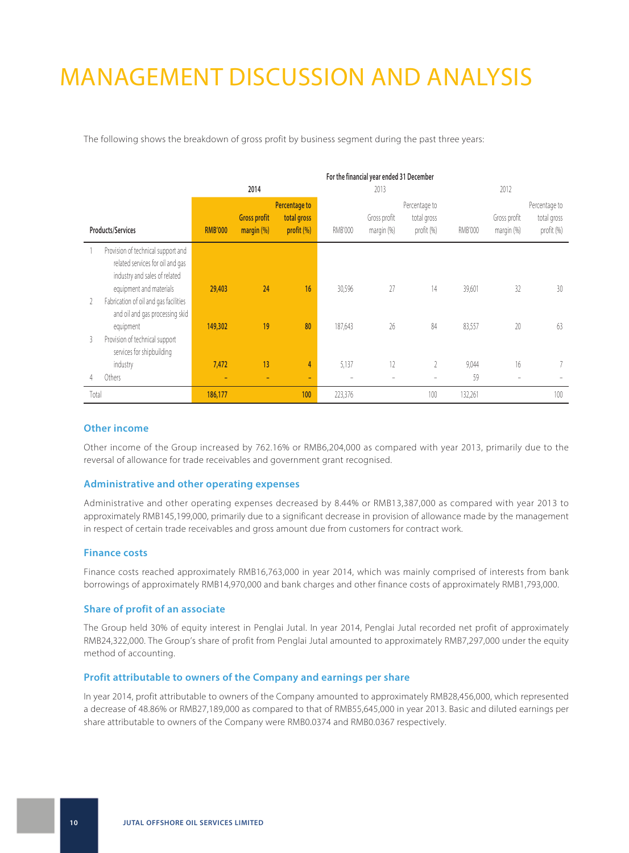## MANAGEMENT DISCUSSION AND ANALYSIS

The following shows the breakdown of gross profit by business segment during the past three years:

|                                                                                                                                    |                |                                      |                                            |                | For the financial year ended 31 December |                                            |                |                            |                                            |
|------------------------------------------------------------------------------------------------------------------------------------|----------------|--------------------------------------|--------------------------------------------|----------------|------------------------------------------|--------------------------------------------|----------------|----------------------------|--------------------------------------------|
|                                                                                                                                    |                | 2014                                 |                                            |                | 2013                                     |                                            |                | 2012                       |                                            |
| <b>Products/Services</b>                                                                                                           | <b>RMB'000</b> | <b>Gross profit</b><br>margin $(\%)$ | Percentage to<br>total gross<br>profit (%) | <b>RMB'000</b> | Gross profit<br>margin (%)               | Percentage to<br>total gross<br>profit (%) | <b>RMB'000</b> | Gross profit<br>margin (%) | Percentage to<br>total gross<br>profit (%) |
| Provision of technical support and<br>related services for oil and gas<br>industry and sales of related<br>equipment and materials | 29,403         | 24                                   | 16                                         | 30,596         | 27                                       | 14                                         | 39,601         | 32                         | 30                                         |
| Fabrication of oil and gas facilities<br>2<br>and oil and gas processing skid                                                      |                |                                      |                                            |                |                                          |                                            |                |                            |                                            |
| equipment<br>Provision of technical support<br>3<br>services for shipbuilding                                                      | 149,302        | 19                                   | 80                                         | 187,643        | 26                                       | 84                                         | 83,557         | 20                         | 63                                         |
| industry                                                                                                                           | 7,472          | 13                                   | 4                                          | 5,137          | 12                                       | $\overline{2}$                             | 9.044          | 16                         |                                            |
| Others<br>4                                                                                                                        |                |                                      | ٠                                          |                |                                          |                                            | 59             |                            |                                            |
| Total                                                                                                                              | 186,177        |                                      | 100                                        | 223,376        |                                          | 100                                        | 132,261        |                            | 100                                        |

#### **Other income**

Other income of the Group increased by 762.16% or RMB6,204,000 as compared with year 2013, primarily due to the reversal of allowance for trade receivables and government grant recognised.

#### **Administrative and other operating expenses**

Administrative and other operating expenses decreased by 8.44% or RMB13,387,000 as compared with year 2013 to approximately RMB145,199,000, primarily due to a significant decrease in provision of allowance made by the management in respect of certain trade receivables and gross amount due from customers for contract work.

#### **Finance costs**

Finance costs reached approximately RMB16,763,000 in year 2014, which was mainly comprised of interests from bank borrowings of approximately RMB14,970,000 and bank charges and other finance costs of approximately RMB1,793,000.

#### **Share of profit of an associate**

The Group held 30% of equity interest in Penglai Jutal. In year 2014, Penglai Jutal recorded net profit of approximately RMB24,322,000. The Group's share of profit from Penglai Jutal amounted to approximately RMB7,297,000 under the equity method of accounting.

#### **Profit attributable to owners of the Company and earnings per share**

In year 2014, profit attributable to owners of the Company amounted to approximately RMB28,456,000, which represented a decrease of 48.86% or RMB27,189,000 as compared to that of RMB55,645,000 in year 2013. Basic and diluted earnings per share attributable to owners of the Company were RMB0.0374 and RMB0.0367 respectively.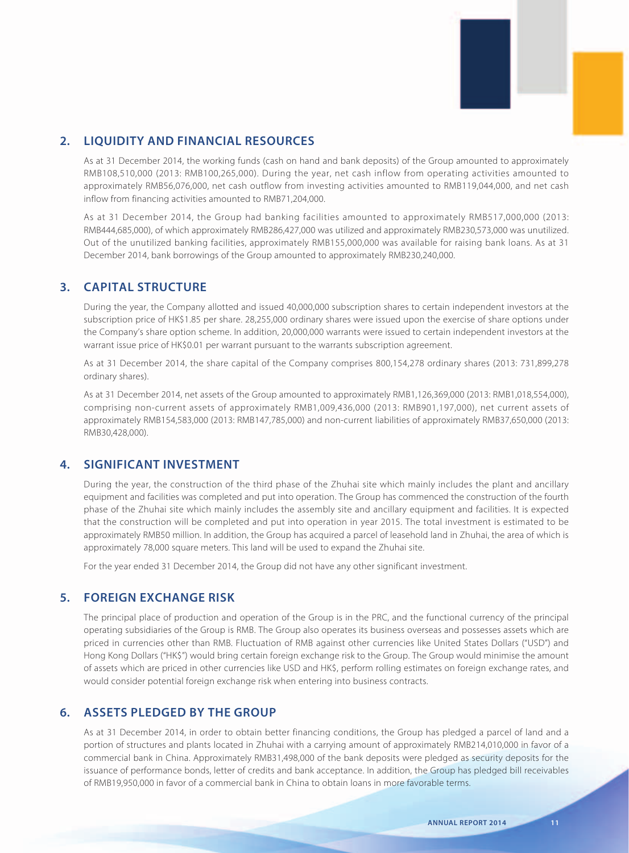

## **2. LIQUIDITY AND FINANCIAL RESOURCES**

As at 31 December 2014, the working funds (cash on hand and bank deposits) of the Group amounted to approximately RMB108,510,000 (2013: RMB100,265,000). During the year, net cash inflow from operating activities amounted to approximately RMB56,076,000, net cash outflow from investing activities amounted to RMB119,044,000, and net cash inflow from financing activities amounted to RMB71,204,000.

As at 31 December 2014, the Group had banking facilities amounted to approximately RMB517,000,000 (2013: RMB444,685,000), of which approximately RMB286,427,000 was utilized and approximately RMB230,573,000 was unutilized. Out of the unutilized banking facilities, approximately RMB155,000,000 was available for raising bank loans. As at 31 December 2014, bank borrowings of the Group amounted to approximately RMB230,240,000.

### **3. CAPITAL STRUCTURE**

During the year, the Company allotted and issued 40,000,000 subscription shares to certain independent investors at the subscription price of HK\$1.85 per share. 28,255,000 ordinary shares were issued upon the exercise of share options under the Company's share option scheme. In addition, 20,000,000 warrants were issued to certain independent investors at the warrant issue price of HK\$0.01 per warrant pursuant to the warrants subscription agreement.

As at 31 December 2014, the share capital of the Company comprises 800,154,278 ordinary shares (2013: 731,899,278 ordinary shares).

As at 31 December 2014, net assets of the Group amounted to approximately RMB1,126,369,000 (2013: RMB1,018,554,000), comprising non-current assets of approximately RMB1,009,436,000 (2013: RMB901,197,000), net current assets of approximately RMB154,583,000 (2013: RMB147,785,000) and non-current liabilities of approximately RMB37,650,000 (2013: RMB30,428,000).

### **4. SIGNIFICANT INVESTMENT**

During the year, the construction of the third phase of the Zhuhai site which mainly includes the plant and ancillary equipment and facilities was completed and put into operation. The Group has commenced the construction of the fourth phase of the Zhuhai site which mainly includes the assembly site and ancillary equipment and facilities. It is expected that the construction will be completed and put into operation in year 2015. The total investment is estimated to be approximately RMB50 million. In addition, the Group has acquired a parcel of leasehold land in Zhuhai, the area of which is approximately 78,000 square meters. This land will be used to expand the Zhuhai site.

For the year ended 31 December 2014, the Group did not have any other significant investment.

#### **5. FOREIGN EXCHANGE RISK**

The principal place of production and operation of the Group is in the PRC, and the functional currency of the principal operating subsidiaries of the Group is RMB. The Group also operates its business overseas and possesses assets which are priced in currencies other than RMB. Fluctuation of RMB against other currencies like United States Dollars ("USD") and Hong Kong Dollars ("HK\$") would bring certain foreign exchange risk to the Group. The Group would minimise the amount of assets which are priced in other currencies like USD and HK\$, perform rolling estimates on foreign exchange rates, and would consider potential foreign exchange risk when entering into business contracts.

## **6. ASSETS PLEDGED BY THE GROUP**

As at 31 December 2014, in order to obtain better financing conditions, the Group has pledged a parcel of land and a portion of structures and plants located in Zhuhai with a carrying amount of approximately RMB214,010,000 in favor of a commercial bank in China. Approximately RMB31,498,000 of the bank deposits were pledged as security deposits for the issuance of performance bonds, letter of credits and bank acceptance. In addition, the Group has pledged bill receivables of RMB19,950,000 in favor of a commercial bank in China to obtain loans in more favorable terms.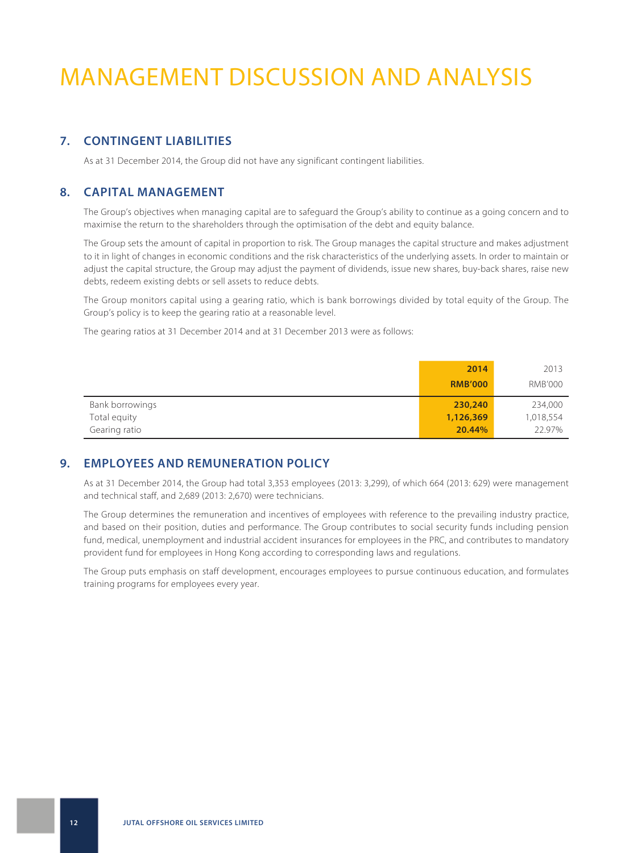## MANAGEMENT DISCUSSION AND ANALYSIS

## **7. CONTINGENT LIABILITIES**

As at 31 December 2014, the Group did not have any significant contingent liabilities.

### **8. CAPITAL MANAGEMENT**

The Group's objectives when managing capital are to safeguard the Group's ability to continue as a going concern and to maximise the return to the shareholders through the optimisation of the debt and equity balance.

The Group sets the amount of capital in proportion to risk. The Group manages the capital structure and makes adjustment to it in light of changes in economic conditions and the risk characteristics of the underlying assets. In order to maintain or adjust the capital structure, the Group may adjust the payment of dividends, issue new shares, buy-back shares, raise new debts, redeem existing debts or sell assets to reduce debts.

The Group monitors capital using a gearing ratio, which is bank borrowings divided by total equity of the Group. The Group's policy is to keep the gearing ratio at a reasonable level.

The gearing ratios at 31 December 2014 and at 31 December 2013 were as follows:

|                 | 2014           | 2013           |
|-----------------|----------------|----------------|
|                 | <b>RMB'000</b> | <b>RMB'000</b> |
| Bank borrowings | 230,240        | 234,000        |
| Total equity    | 1,126,369      | 1,018,554      |
| Gearing ratio   | 20.44%         | 22.97%         |

### **9. EMPLOYEES AND REMUNERATION POLICY**

As at 31 December 2014, the Group had total 3,353 employees (2013: 3,299), of which 664 (2013: 629) were management and technical staff, and 2,689 (2013: 2,670) were technicians.

The Group determines the remuneration and incentives of employees with reference to the prevailing industry practice, and based on their position, duties and performance. The Group contributes to social security funds including pension fund, medical, unemployment and industrial accident insurances for employees in the PRC, and contributes to mandatory provident fund for employees in Hong Kong according to corresponding laws and regulations.

The Group puts emphasis on staff development, encourages employees to pursue continuous education, and formulates training programs for employees every year.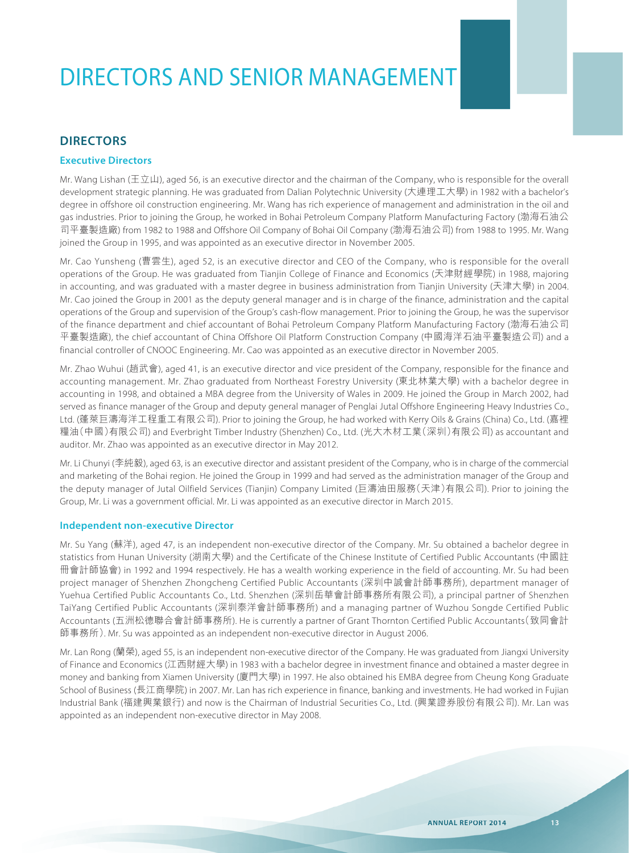# DIRECTORS AND SENIOR MANAGEMENT

### **DIRECTORS**

#### **Executive Directors**

Mr. Wang Lishan (王立山), aged 56, is an executive director and the chairman of the Company, who is responsible for the overall development strategic planning. He was graduated from Dalian Polytechnic University (大連理工大學) in 1982 with a bachelor's degree in offshore oil construction engineering. Mr. Wang has rich experience of management and administration in the oil and gas industries. Prior to joining the Group, he worked in Bohai Petroleum Company Platform Manufacturing Factory (渤海石油公 司平臺製造廠) from 1982 to 1988 and Offshore Oil Company of Bohai Oil Company (渤海石油公司) from 1988 to 1995. Mr. Wang joined the Group in 1995, and was appointed as an executive director in November 2005.

Mr. Cao Yunsheng (曹雲生), aged 52, is an executive director and CEO of the Company, who is responsible for the overall operations of the Group. He was graduated from Tianjin College of Finance and Economics (天津財經學院) in 1988, majoring in accounting, and was graduated with a master degree in business administration from Tianjin University (天津大學) in 2004. Mr. Cao joined the Group in 2001 as the deputy general manager and is in charge of the finance, administration and the capital operations of the Group and supervision of the Group's cash-flow management. Prior to joining the Group, he was the supervisor of the finance department and chief accountant of Bohai Petroleum Company Platform Manufacturing Factory (渤海石油公司 平臺製造廠), the chief accountant of China Offshore Oil Platform Construction Company (中國海洋石油平臺製造公司) and a financial controller of CNOOC Engineering. Mr. Cao was appointed as an executive director in November 2005.

Mr. Zhao Wuhui (趙武會), aged 41, is an executive director and vice president of the Company, responsible for the finance and accounting management. Mr. Zhao graduated from Northeast Forestry University (東北林業大學) with a bachelor degree in accounting in 1998, and obtained a MBA degree from the University of Wales in 2009. He joined the Group in March 2002, had served as finance manager of the Group and deputy general manager of Penglai Jutal Offshore Engineering Heavy Industries Co., Ltd. (蓬萊巨濤海洋工程重工有限公司). Prior to joining the Group, he had worked with Kerry Oils & Grains (China) Co., Ltd. (嘉裡 糧油(中國)有限公司) and Everbright Timber Industry (Shenzhen) Co., Ltd. (光大木材工業(深圳)有限公司) as accountant and auditor. Mr. Zhao was appointed as an executive director in May 2012.

Mr. Li Chunyi (李純毅), aged 63, is an executive director and assistant president of the Company, who is in charge of the commercial and marketing of the Bohai region. He joined the Group in 1999 and had served as the administration manager of the Group and the deputy manager of Jutal Oilfield Services (Tianjin) Company Limited (巨濤油田服務(天津)有限公司). Prior to joining the Group, Mr. Li was a government official. Mr. Li was appointed as an executive director in March 2015.

#### **Independent non-executive Director**

Mr. Su Yang (蘇洋), aged 47, is an independent non-executive director of the Company. Mr. Su obtained a bachelor degree in statistics from Hunan University (湖南大學) and the Certificate of the Chinese Institute of Certified Public Accountants (中國註 冊會計師協會) in 1992 and 1994 respectively. He has a wealth working experience in the field of accounting. Mr. Su had been project manager of Shenzhen Zhongcheng Certified Public Accountants (深圳中誠會計師事務所), department manager of Yuehua Certified Public Accountants Co., Ltd. Shenzhen (深圳岳華會計師事務所有限公司), a principal partner of Shenzhen TaiYang Certified Public Accountants (深圳泰洋會計師事務所) and a managing partner of Wuzhou Songde Certified Public Accountants (五洲松德聯合會計師事務所). He is currently a partner of Grant Thornton Certified Public Accountants(致同會計 師事務所). Mr. Su was appointed as an independent non-executive director in August 2006.

Mr. Lan Rong (蘭榮), aged 55, is an independent non-executive director of the Company. He was graduated from Jiangxi University of Finance and Economics (江西財經大學) in 1983 with a bachelor degree in investment finance and obtained a master degree in money and banking from Xiamen University (廈門大學) in 1997. He also obtained his EMBA degree from Cheung Kong Graduate School of Business (長江商學院) in 2007. Mr. Lan has rich experience in finance, banking and investments. He had worked in Fujian Industrial Bank (福建興業銀行) and now is the Chairman of Industrial Securities Co., Ltd. (興業證券股份有限公司). Mr. Lan was appointed as an independent non-executive director in May 2008.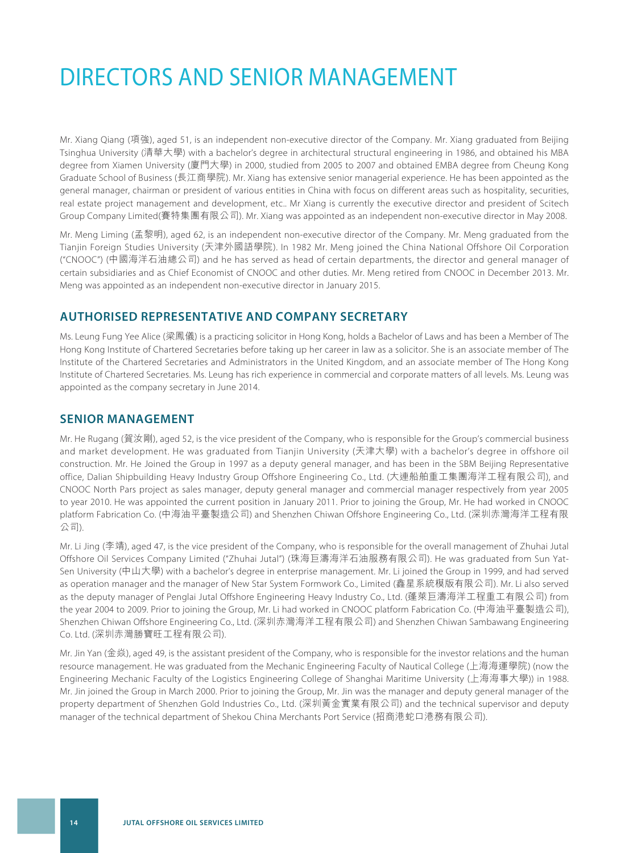## DIRECTORS AND SENIOR MANAGEMENT

Mr. Xiang Qiang (項強), aged 51, is an independent non-executive director of the Company. Mr. Xiang graduated from Beijing Tsinghua University (清華大學) with a bachelor's degree in architectural structural engineering in 1986, and obtained his MBA degree from Xiamen University (廈門大學) in 2000, studied from 2005 to 2007 and obtained EMBA degree from Cheung Kong Graduate School of Business (長江商學院). Mr. Xiang has extensive senior managerial experience. He has been appointed as the general manager, chairman or president of various entities in China with focus on different areas such as hospitality, securities, real estate project management and development, etc.. Mr Xiang is currently the executive director and president of Scitech Group Company Limited(賽特集團有限公司). Mr. Xiang was appointed as an independent non-executive director in May 2008.

Mr. Meng Liming (孟黎明), aged 62, is an independent non-executive director of the Company. Mr. Meng graduated from the Tianjin Foreign Studies University (天津外國語學院). In 1982 Mr. Meng joined the China National Offshore Oil Corporation ("CNOOC") (中國海洋石油總公司) and he has served as head of certain departments, the director and general manager of certain subsidiaries and as Chief Economist of CNOOC and other duties. Mr. Meng retired from CNOOC in December 2013. Mr. Meng was appointed as an independent non-executive director in January 2015.

#### **AUTHORISED REPRESENTATIVE AND COMPANY SECRETARY**

Ms. Leung Fung Yee Alice (梁鳳儀) is a practicing solicitor in Hong Kong, holds a Bachelor of Laws and has been a Member of The Hong Kong Institute of Chartered Secretaries before taking up her career in law as a solicitor. She is an associate member of The Institute of the Chartered Secretaries and Administrators in the United Kingdom, and an associate member of The Hong Kong Institute of Chartered Secretaries. Ms. Leung has rich experience in commercial and corporate matters of all levels. Ms. Leung was appointed as the company secretary in June 2014.

#### **SENIOR MANAGEMENT**

Mr. He Rugang (賀汝剛), aged 52, is the vice president of the Company, who is responsible for the Group's commercial business and market development. He was graduated from Tianjin University (天津大學) with a bachelor's degree in offshore oil construction. Mr. He Joined the Group in 1997 as a deputy general manager, and has been in the SBM Beijing Representative office, Dalian Shipbuilding Heavy Industry Group Offshore Engineering Co., Ltd. (大連船舶重工集團海洋工程有限公司), and CNOOC North Pars project as sales manager, deputy general manager and commercial manager respectively from year 2005 to year 2010. He was appointed the current position in January 2011. Prior to joining the Group, Mr. He had worked in CNOOC platform Fabrication Co. (中海油平臺製造公司) and Shenzhen Chiwan Offshore Engineering Co., Ltd. (深圳赤灣海洋工程有限 公司).

Mr. Li Jing (李靖), aged 47, is the vice president of the Company, who is responsible for the overall management of Zhuhai Jutal Offshore Oil Services Company Limited ("Zhuhai Jutal") (珠海巨濤海洋石油服務有限公司). He was graduated from Sun Yat-Sen University (中山大學) with a bachelor's degree in enterprise management. Mr. Li joined the Group in 1999, and had served as operation manager and the manager of New Star System Formwork Co., Limited (鑫星系統模版有限公司). Mr. Li also served as the deputy manager of Penglai Jutal Offshore Engineering Heavy Industry Co., Ltd. (蓬萊巨濤海洋工程重工有限公司) from the year 2004 to 2009. Prior to joining the Group, Mr. Li had worked in CNOOC platform Fabrication Co. (中海油平臺製造公司), Shenzhen Chiwan Offshore Engineering Co., Ltd. (深圳赤灣海洋工程有限公司) and Shenzhen Chiwan Sambawang Engineering Co. Ltd. (深圳赤灣勝寶旺工程有限公司).

Mr. Jin Yan (金焱), aged 49, is the assistant president of the Company, who is responsible for the investor relations and the human resource management. He was graduated from the Mechanic Engineering Faculty of Nautical College (上海海運學院) (now the Engineering Mechanic Faculty of the Logistics Engineering College of Shanghai Maritime University (上海海事大學)) in 1988. Mr. Jin joined the Group in March 2000. Prior to joining the Group, Mr. Jin was the manager and deputy general manager of the property department of Shenzhen Gold Industries Co., Ltd. (深圳黃金實業有限公司) and the technical supervisor and deputy manager of the technical department of Shekou China Merchants Port Service (招商港蛇口港務有限公司).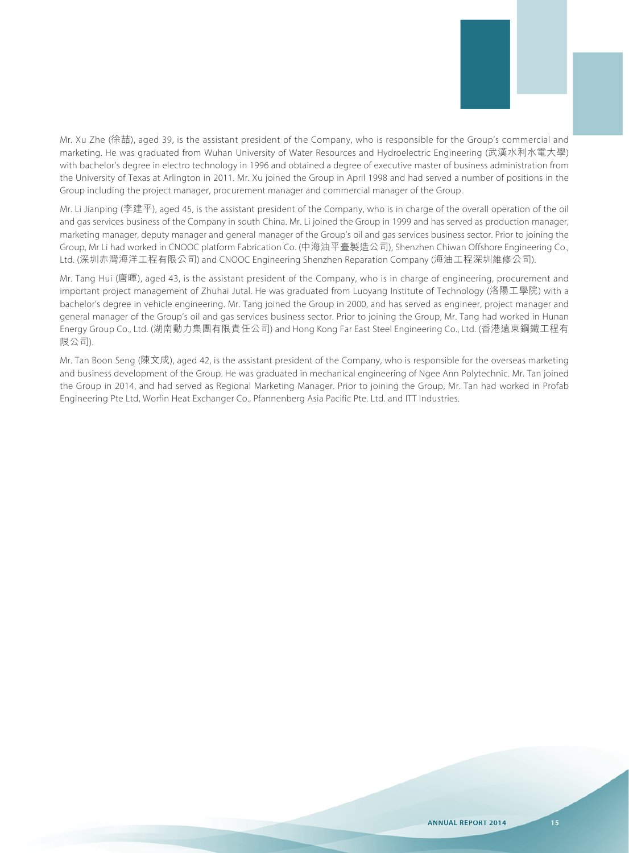

Mr. Xu Zhe (徐喆), aged 39, is the assistant president of the Company, who is responsible for the Group's commercial and marketing. He was graduated from Wuhan University of Water Resources and Hydroelectric Engineering (武漢水利水電大學) with bachelor's degree in electro technology in 1996 and obtained a degree of executive master of business administration from the University of Texas at Arlington in 2011. Mr. Xu joined the Group in April 1998 and had served a number of positions in the Group including the project manager, procurement manager and commercial manager of the Group.

Mr. Li Jianping (李建平), aged 45, is the assistant president of the Company, who is in charge of the overall operation of the oil and gas services business of the Company in south China. Mr. Li joined the Group in 1999 and has served as production manager, marketing manager, deputy manager and general manager of the Group's oil and gas services business sector. Prior to joining the Group, Mr Li had worked in CNOOC platform Fabrication Co. (中海油平臺製造公司), Shenzhen Chiwan Offshore Engineering Co., Ltd. (深圳赤灣海洋工程有限公司) and CNOOC Engineering Shenzhen Reparation Company (海油工程深圳維修公司).

Mr. Tang Hui (唐暉), aged 43, is the assistant president of the Company, who is in charge of engineering, procurement and important project management of Zhuhai Jutal. He was graduated from Luoyang Institute of Technology (洛陽工學院) with a bachelor's degree in vehicle engineering. Mr. Tang joined the Group in 2000, and has served as engineer, project manager and general manager of the Group's oil and gas services business sector. Prior to joining the Group, Mr. Tang had worked in Hunan Energy Group Co., Ltd. (湖南動力集團有限責任公司) and Hong Kong Far East Steel Engineering Co., Ltd. (香港遠東鋼鐵工程有 限公司).

Mr. Tan Boon Seng (陳文成), aged 42, is the assistant president of the Company, who is responsible for the overseas marketing and business development of the Group. He was graduated in mechanical engineering of Ngee Ann Polytechnic. Mr. Tan joined the Group in 2014, and had served as Regional Marketing Manager. Prior to joining the Group, Mr. Tan had worked in Profab Engineering Pte Ltd, Worfin Heat Exchanger Co., Pfannenberg Asia Pacific Pte. Ltd. and ITT Industries.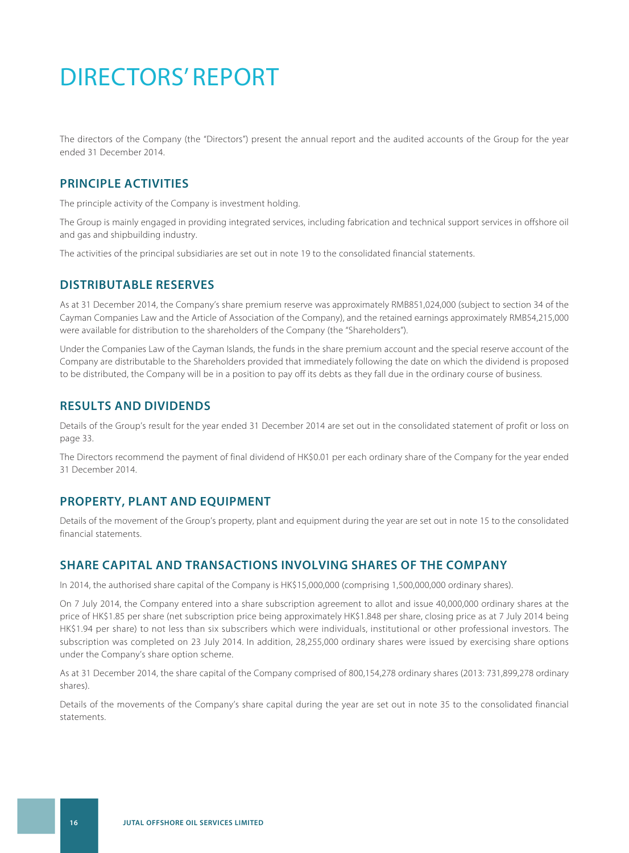# DIRECTORS' REPORT

The directors of the Company (the "Directors") present the annual report and the audited accounts of the Group for the year ended 31 December 2014.

### **PRINCIPLE ACTIVITIES**

The principle activity of the Company is investment holding.

The Group is mainly engaged in providing integrated services, including fabrication and technical support services in offshore oil and gas and shipbuilding industry.

The activities of the principal subsidiaries are set out in note 19 to the consolidated financial statements.

#### **DISTRIBUTABLE RESERVES**

As at 31 December 2014, the Company's share premium reserve was approximately RMB851,024,000 (subject to section 34 of the Cayman Companies Law and the Article of Association of the Company), and the retained earnings approximately RMB54,215,000 were available for distribution to the shareholders of the Company (the "Shareholders").

Under the Companies Law of the Cayman Islands, the funds in the share premium account and the special reserve account of the Company are distributable to the Shareholders provided that immediately following the date on which the dividend is proposed to be distributed, the Company will be in a position to pay off its debts as they fall due in the ordinary course of business.

#### **RESULTS AND DIVIDENDS**

Details of the Group's result for the year ended 31 December 2014 are set out in the consolidated statement of profit or loss on page 33.

The Directors recommend the payment of final dividend of HK\$0.01 per each ordinary share of the Company for the year ended 31 December 2014.

#### **PROPERTY, PLANT AND EQUIPMENT**

Details of the movement of the Group's property, plant and equipment during the year are set out in note 15 to the consolidated financial statements.

#### **SHARE CAPITAL AND TRANSACTIONS INVOLVING SHARES OF THE COMPANY**

In 2014, the authorised share capital of the Company is HK\$15,000,000 (comprising 1,500,000,000 ordinary shares).

On 7 July 2014, the Company entered into a share subscription agreement to allot and issue 40,000,000 ordinary shares at the price of HK\$1.85 per share (net subscription price being approximately HK\$1.848 per share, closing price as at 7 July 2014 being HK\$1.94 per share) to not less than six subscribers which were individuals, institutional or other professional investors. The subscription was completed on 23 July 2014. In addition, 28,255,000 ordinary shares were issued by exercising share options under the Company's share option scheme.

As at 31 December 2014, the share capital of the Company comprised of 800,154,278 ordinary shares (2013: 731,899,278 ordinary shares).

Details of the movements of the Company's share capital during the year are set out in note 35 to the consolidated financial statements.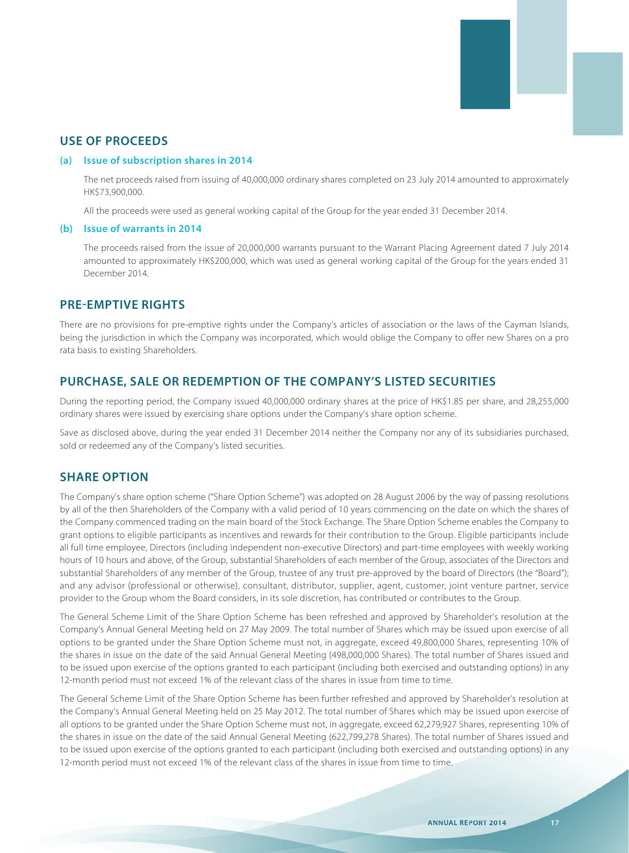

#### **USE OF PROCEEDS**

#### **(a) Issue of subscription shares in 2014**

The net proceeds raised from issuing of 40,000,000 ordinary shares completed on 23 July 2014 amounted to approximately HK\$73,900,000.

All the proceeds were used as general working capital of the Group for the year ended 31 December 2014.

#### **(b) Issue of warrants in 2014**

The proceeds raised from the issue of 20,000,000 warrants pursuant to the Warrant Placing Agreement dated 7 July 2014 amounted to approximately HK\$200,000, which was used as general working capital of the Group for the years ended 31 December 2014.

#### **PRE-EMPTIVE RIGHTS**

There are no provisions for pre-emptive rights under the Company's articles of association or the laws of the Cayman Islands, being the jurisdiction in which the Company was incorporated, which would oblige the Company to offer new Shares on a pro rata basis to existing Shareholders.

#### **PURCHASE, SALE OR REDEMPTION OF THE COMPANY'S LISTED SECURITIES**

During the reporting period, the Company issued 40,000,000 ordinary shares at the price of HK\$1.85 per share, and 28,255,000 ordinary shares were issued by exercising share options under the Company's share option scheme.

Save as disclosed above, during the year ended 31 December 2014 neither the Company nor any of its subsidiaries purchased, sold or redeemed any of the Company's listed securities.

#### **SHARE OPTION**

The Company's share option scheme ("Share Option Scheme") was adopted on 28 August 2006 by the way of passing resolutions by all of the then Shareholders of the Company with a valid period of 10 years commencing on the date on which the shares of the Company commenced trading on the main board of the Stock Exchange. The Share Option Scheme enables the Company to grant options to eligible participants as incentives and rewards for their contribution to the Group. Eligible participants include all full time employee, Directors (including independent non-executive Directors) and part-time employees with weekly working hours of 10 hours and above, of the Group, substantial Shareholders of each member of the Group, associates of the Directors and substantial Shareholders of any member of the Group, trustee of any trust pre-approved by the board of Directors (the "Board"); and any advisor (professional or otherwise), consultant, distributor, supplier, agent, customer, joint venture partner, service provider to the Group whom the Board considers, in its sole discretion, has contributed or contributes to the Group.

The General Scheme Limit of the Share Option Scheme has been refreshed and approved by Shareholder's resolution at the Company's Annual General Meeting held on 27 May 2009. The total number of Shares which may be issued upon exercise of all options to be granted under the Share Option Scheme must not, in aggregate, exceed 49,800,000 Shares, representing 10% of the shares in issue on the date of the said Annual General Meeting (498,000,000 Shares). The total number of Shares issued and to be issued upon exercise of the options granted to each participant (including both exercised and outstanding options) in any 12-month period must not exceed 1% of the relevant class of the shares in issue from time to time.

The General Scheme Limit of the Share Option Scheme has been further refreshed and approved by Shareholder's resolution at the Company's Annual General Meeting held on 25 May 2012. The total number of Shares which may be issued upon exercise of all options to be granted under the Share Option Scheme must not, in aggregate, exceed 62,279,927 Shares, representing 10% of the shares in issue on the date of the said Annual General Meeting (622,799,278 Shares). The total number of Shares issued and to be issued upon exercise of the options granted to each participant (including both exercised and outstanding options) in any 12-month period must not exceed 1% of the relevant class of the shares in issue from time to time.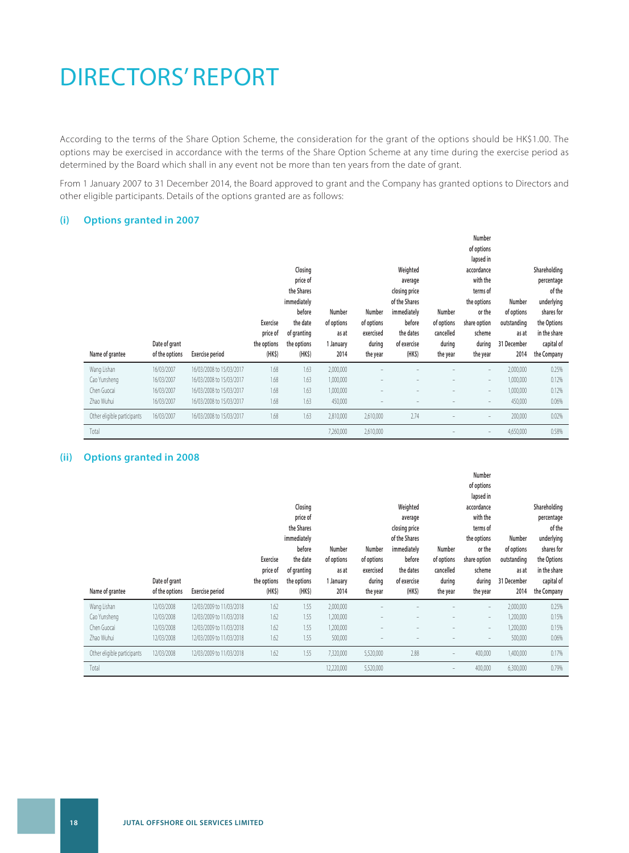## DIRECTORS' REPORT

According to the terms of the Share Option Scheme, the consideration for the grant of the options should be HK\$1.00. The options may be exercised in accordance with the terms of the Share Option Scheme at any time during the exercise period as determined by the Board which shall in any event not be more than ten years from the date of grant.

From 1 January 2007 to 31 December 2014, the Board approved to grant and the Company has granted options to Directors and other eligible participants. Details of the options granted are as follows:

#### **(i) Options granted in 2007**

| Name of grantee             | Date of grant<br>of the options | <b>Exercise period</b>   | Exercise<br>price of<br>the options<br>(HK5) | Closing<br>price of<br>the Shares<br>immediately<br>before<br>the date<br>of granting<br>the options<br>$(HK\$ | Number<br>of options<br>as at<br>1 January<br>2014 | Number<br>of options<br>exercised<br>during<br>the year | Weighted<br>average<br>closing price<br>of the Shares<br>immediately<br>before<br>the dates<br>of exercise<br>(HK\$) | Number<br>of options<br>cancelled<br>during<br>the year | Number<br>of options<br>lapsed in<br>accordance<br>with the<br>terms of<br>the options<br>or the<br>share option<br>scheme<br>during<br>the year | Number<br>of options<br>outstanding<br>as at<br>31 December<br>2014 | Shareholding<br>percentage<br>of the<br>underlying<br>shares for<br>the Options<br>in the share<br>capital of<br>the Company |
|-----------------------------|---------------------------------|--------------------------|----------------------------------------------|----------------------------------------------------------------------------------------------------------------|----------------------------------------------------|---------------------------------------------------------|----------------------------------------------------------------------------------------------------------------------|---------------------------------------------------------|--------------------------------------------------------------------------------------------------------------------------------------------------|---------------------------------------------------------------------|------------------------------------------------------------------------------------------------------------------------------|
|                             |                                 |                          |                                              |                                                                                                                |                                                    |                                                         |                                                                                                                      |                                                         |                                                                                                                                                  |                                                                     |                                                                                                                              |
| Wang Lishan                 | 16/03/2007                      | 16/03/2008 to 15/03/2017 | 1.68                                         | 1.63                                                                                                           | 2,000,000                                          |                                                         |                                                                                                                      |                                                         | $\overline{\phantom{0}}$                                                                                                                         | 2,000,000                                                           | 0.25%                                                                                                                        |
| Cao Yunsheng                | 16/03/2007                      | 16/03/2008 to 15/03/2017 | 1.68                                         | 1.63                                                                                                           | 1,000,000                                          |                                                         |                                                                                                                      | $\overline{\phantom{a}}$                                | $\overline{\phantom{a}}$                                                                                                                         | 1,000,000                                                           | 0.12%                                                                                                                        |
| Chen Guocai                 | 16/03/2007                      | 16/03/2008 to 15/03/2017 | 1.68                                         | 1.63                                                                                                           | 1,000,000                                          |                                                         |                                                                                                                      |                                                         | $\qquad \qquad =$                                                                                                                                | 1,000,000                                                           | 0.12%                                                                                                                        |
| Zhao Wuhui                  | 16/03/2007                      | 16/03/2008 to 15/03/2017 | 1.68                                         | 1.63                                                                                                           | 450,000                                            |                                                         |                                                                                                                      |                                                         | $\overline{\phantom{a}}$                                                                                                                         | 450,000                                                             | 0.06%                                                                                                                        |
| Other eligible participants | 16/03/2007                      | 16/03/2008 to 15/03/2017 | 1.68                                         | 1.63                                                                                                           | 2,810,000                                          | 2,610,000                                               | 2.74                                                                                                                 | $\qquad \qquad$                                         | $\overline{\phantom{0}}$                                                                                                                         | 200,000                                                             | 0.02%                                                                                                                        |
| Total                       |                                 |                          |                                              |                                                                                                                | 7,260,000                                          | 2,610,000                                               |                                                                                                                      |                                                         | $\overline{\phantom{a}}$                                                                                                                         | 4,650,000                                                           | 0.58%                                                                                                                        |

#### **(ii) Options granted in 2008**

| Name of grantee             | Date of grant<br>of the options | <b>Exercise period</b>   | <b>Exercise</b><br>price of<br>the options<br>(HK\$) | Closing<br>price of<br>the Shares<br>immediately<br>before<br>the date<br>of granting<br>the options<br>(HK\$) | Number<br>of options<br>as at<br>1 January<br>2014 | Number<br>of options<br>exercised<br>during<br>the year | Weighted<br>average<br>closing price<br>of the Shares<br>immediately<br>before<br>the dates<br>of exercise<br>(HK <sub>5</sub> ) | Number<br>of options<br>cancelled<br>during<br>the year | Number<br>of options<br>lapsed in<br>accordance<br>with the<br>terms of<br>the options<br>or the<br>share option<br>scheme<br>during<br>the year | Number<br>of options<br>outstanding<br>as at<br>31 December<br>2014 | Shareholding<br>percentage<br>of the<br>underlying<br>shares for<br>the Options<br>in the share<br>capital of<br>the Company |
|-----------------------------|---------------------------------|--------------------------|------------------------------------------------------|----------------------------------------------------------------------------------------------------------------|----------------------------------------------------|---------------------------------------------------------|----------------------------------------------------------------------------------------------------------------------------------|---------------------------------------------------------|--------------------------------------------------------------------------------------------------------------------------------------------------|---------------------------------------------------------------------|------------------------------------------------------------------------------------------------------------------------------|
| Wang Lishan                 | 12/03/2008                      | 12/03/2009 to 11/03/2018 | 1.62                                                 | 1.55                                                                                                           | 2,000,000                                          |                                                         |                                                                                                                                  |                                                         | $\overline{\phantom{a}}$                                                                                                                         | 2,000,000                                                           | 0.25%                                                                                                                        |
| Cao Yunsheng                | 12/03/2008                      | 12/03/2009 to 11/03/2018 | 1.62                                                 | 1.55                                                                                                           | 1,200,000                                          |                                                         |                                                                                                                                  |                                                         | $\overline{\phantom{a}}$                                                                                                                         | 1,200,000                                                           | 0.15%                                                                                                                        |
| Chen Guocai                 | 12/03/2008                      | 12/03/2009 to 11/03/2018 | 1.62                                                 | 1.55                                                                                                           | 1,200,000                                          |                                                         |                                                                                                                                  | $\overline{\phantom{a}}$                                | $\overline{\phantom{a}}$                                                                                                                         | 1,200,000                                                           | 0.15%                                                                                                                        |
| Zhao Wuhui                  | 12/03/2008                      | 12/03/2009 to 11/03/2018 | 1.62                                                 | 1.55                                                                                                           | 500,000                                            |                                                         |                                                                                                                                  |                                                         | $\overline{\phantom{a}}$                                                                                                                         | 500,000                                                             | 0.06%                                                                                                                        |
| Other eligible participants | 12/03/2008                      | 12/03/2009 to 11/03/2018 | 1.62                                                 | 1.55                                                                                                           | 7,320,000                                          | 5,520,000                                               | 2.88                                                                                                                             | $\qquad \qquad -$                                       | 400,000                                                                                                                                          | 1,400,000                                                           | 0.17%                                                                                                                        |
| Total                       |                                 |                          |                                                      |                                                                                                                | 12,220,000                                         | 5,520,000                                               |                                                                                                                                  |                                                         | 400,000                                                                                                                                          | 6,300,000                                                           | 0.79%                                                                                                                        |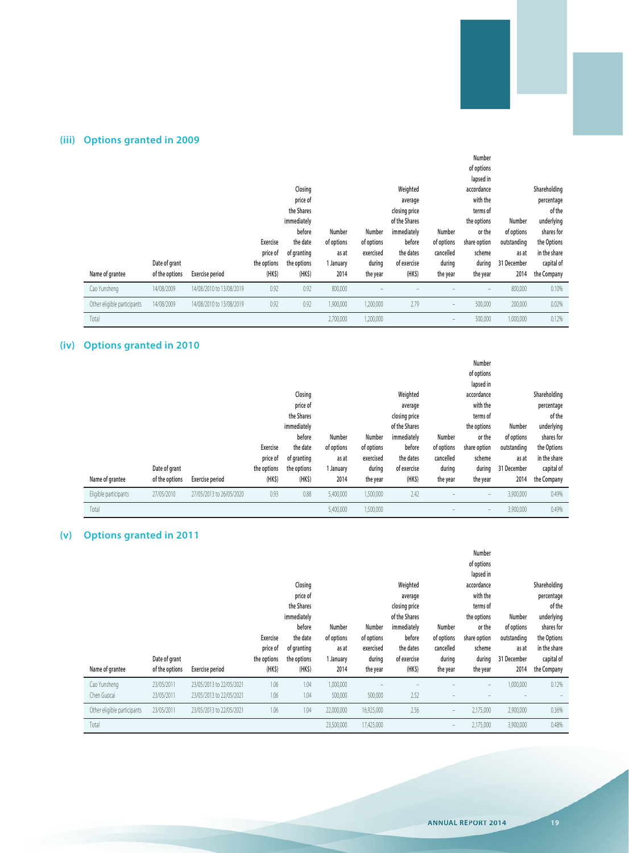## **(iii) Options granted in 2009**

|                             |                                 |                          |                                                      | Closing                                                                                             |                                                    |                                                         | Weighted                                                                                                             |                                                         | Number<br>of options<br>lapsed in<br>accordance                                               |                                                                     | Shareholding                                                                                                 |
|-----------------------------|---------------------------------|--------------------------|------------------------------------------------------|-----------------------------------------------------------------------------------------------------|----------------------------------------------------|---------------------------------------------------------|----------------------------------------------------------------------------------------------------------------------|---------------------------------------------------------|-----------------------------------------------------------------------------------------------|---------------------------------------------------------------------|--------------------------------------------------------------------------------------------------------------|
| Name of grantee             | Date of grant<br>of the options | Exercise period          | <b>Exercise</b><br>price of<br>the options<br>(HK\$) | price of<br>the Shares<br>immediately<br>before<br>the date<br>of granting<br>the options<br>(HK\$) | Number<br>of options<br>as at<br>1 January<br>2014 | Number<br>of options<br>exercised<br>during<br>the year | average<br>closing price<br>of the Shares<br>immediately<br>before<br>the dates<br>of exercise<br>(HK <sub>5</sub> ) | Number<br>of options<br>cancelled<br>during<br>the year | with the<br>terms of<br>the options<br>or the<br>share option<br>scheme<br>during<br>the year | Number<br>of options<br>outstanding<br>as at<br>31 December<br>2014 | percentage<br>of the<br>underlying<br>shares for<br>the Options<br>in the share<br>capital of<br>the Company |
| Cao Yunsheng                | 14/08/2009                      | 14/08/2010 to 13/08/2019 | 0.92                                                 | 0.92                                                                                                | 800,000                                            |                                                         |                                                                                                                      |                                                         |                                                                                               | 800,000                                                             | 0.10%                                                                                                        |
| Other eligible participants | 14/08/2009                      | 14/08/2010 to 13/08/2019 | 0.92                                                 | 0.92                                                                                                | 1,900,000                                          | 1,200,000                                               | 2.79                                                                                                                 |                                                         | 500,000                                                                                       | 200,000                                                             | 0.02%                                                                                                        |
| Total                       |                                 |                          |                                                      |                                                                                                     | 2,700,000                                          | 1,200,000                                               |                                                                                                                      |                                                         | 500,000                                                                                       | 1,000,000                                                           | 0.12%                                                                                                        |

## **(iv) Options granted in 2010**

| Name of grantee       | Date of grant<br>of the options | <b>Exercise period</b>   | <b>Exercise</b><br>price of<br>the options<br>(HK\$) | Closing<br>price of<br>the Shares<br>immediately<br>before<br>the date<br>of granting<br>the options<br>(HK <sub>5</sub> ) | Number<br>of options<br>as at<br>1 January<br>2014 | Number<br>of options<br>exercised<br>during<br>the year | Weighted<br>average<br>closing price<br>of the Shares<br>immediately<br>before<br>the dates<br>of exercise<br>(HK <sub>5</sub> ) | Number<br>of options<br>cancelled<br>during<br>the year | Number<br>of options<br>lapsed in<br>accordance<br>with the<br>terms of<br>the options<br>or the<br>share option<br>scheme<br>during<br>the year | Number<br>of options<br>outstanding<br>as at<br>31 December<br>2014 | Shareholding<br>percentage<br>of the<br>underlying<br>shares for<br>the Options<br>in the share<br>capital of<br>the Company |
|-----------------------|---------------------------------|--------------------------|------------------------------------------------------|----------------------------------------------------------------------------------------------------------------------------|----------------------------------------------------|---------------------------------------------------------|----------------------------------------------------------------------------------------------------------------------------------|---------------------------------------------------------|--------------------------------------------------------------------------------------------------------------------------------------------------|---------------------------------------------------------------------|------------------------------------------------------------------------------------------------------------------------------|
| Eligible participants | 27/05/2010                      | 27/05/2013 to 26/05/2020 | 0.93                                                 | 0.88                                                                                                                       | 5,400,000                                          | 1,500,000                                               | 2.42                                                                                                                             |                                                         |                                                                                                                                                  | 3,900,000                                                           | 0.49%                                                                                                                        |
| Total                 |                                 |                          |                                                      |                                                                                                                            | 5,400,000                                          | 1,500,000                                               |                                                                                                                                  | $\overline{\phantom{a}}$                                | $\equiv$                                                                                                                                         | 3,900,000                                                           | 0.49%                                                                                                                        |

## **(v) Options granted in 2011**

| Name of grantee             | Date of grant<br>of the options | <b>Exercise period</b>   | <b>Exercise</b><br>price of<br>the options<br>(HK\$) | Closing<br>price of<br>the Shares<br>immediately<br>before<br>the date<br>of granting<br>the options<br>(HK\$) | Number<br>of options<br>as at<br>1 January<br>2014 | Number<br>of options<br>exercised<br>during<br>the year | Weighted<br>average<br>closing price<br>of the Shares<br>immediately<br>before<br>the dates<br>of exercise<br>(HK\$) | Number<br>of options<br>cancelled<br>during<br>the year | Number<br>of options<br>lapsed in<br>accordance<br>with the<br>terms of<br>the options<br>or the<br>share option<br>scheme<br>during<br>the year | Number<br>of options<br>outstanding<br>as at<br>31 December<br>2014 | Shareholding<br>percentage<br>of the<br>underlying<br>shares for<br>the Options<br>in the share<br>capital of<br>the Company |
|-----------------------------|---------------------------------|--------------------------|------------------------------------------------------|----------------------------------------------------------------------------------------------------------------|----------------------------------------------------|---------------------------------------------------------|----------------------------------------------------------------------------------------------------------------------|---------------------------------------------------------|--------------------------------------------------------------------------------------------------------------------------------------------------|---------------------------------------------------------------------|------------------------------------------------------------------------------------------------------------------------------|
| Cao Yunsheng                | 23/05/2011                      | 23/05/2013 to 22/05/2021 | 1.06                                                 | 1.04                                                                                                           | 1,000,000                                          |                                                         |                                                                                                                      |                                                         | $\overline{\phantom{a}}$                                                                                                                         | 1,000,000                                                           | 0.12%                                                                                                                        |
| Chen Guocai                 | 23/05/2011                      | 23/05/2013 to 22/05/2021 | 1.06                                                 | 1.04                                                                                                           | 500,000                                            | 500,000                                                 | 2.52                                                                                                                 | $\overline{\phantom{a}}$                                |                                                                                                                                                  |                                                                     |                                                                                                                              |
|                             |                                 |                          |                                                      |                                                                                                                |                                                    |                                                         |                                                                                                                      |                                                         |                                                                                                                                                  |                                                                     |                                                                                                                              |
| Other eligible participants | 23/05/2011                      | 23/05/2013 to 22/05/2021 | 1.06                                                 | 1.04                                                                                                           | 22,000,000                                         | 16,925,000                                              | 2.56                                                                                                                 | $\overline{\phantom{a}}$                                | 2,175,000                                                                                                                                        | 2,900,000                                                           | 0.36%                                                                                                                        |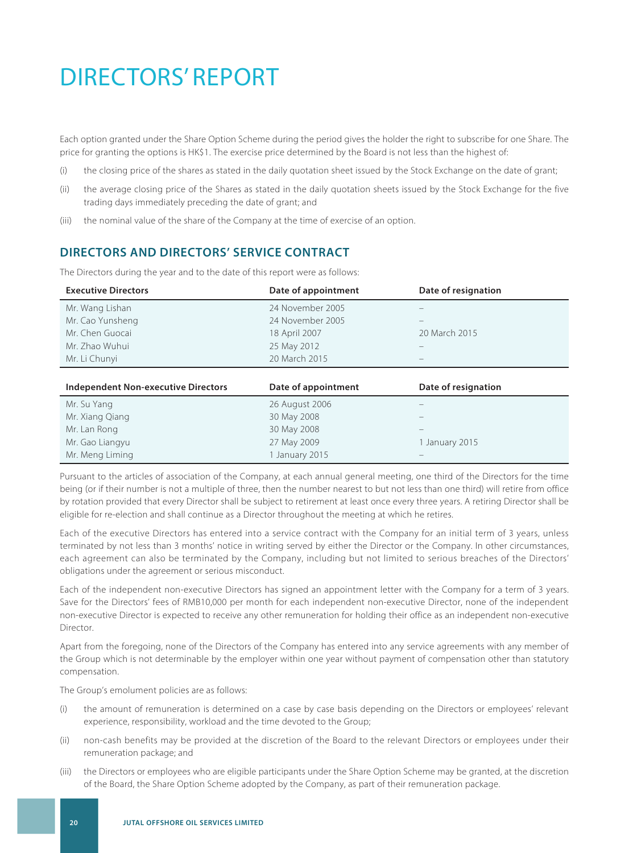# DIRECTORS' REPORT

Each option granted under the Share Option Scheme during the period gives the holder the right to subscribe for one Share. The price for granting the options is HK\$1. The exercise price determined by the Board is not less than the highest of:

- (i) the closing price of the shares as stated in the daily quotation sheet issued by the Stock Exchange on the date of grant;
- (ii) the average closing price of the Shares as stated in the daily quotation sheets issued by the Stock Exchange for the five trading days immediately preceding the date of grant; and
- (iii) the nominal value of the share of the Company at the time of exercise of an option.

## **DIRECTORS AND DIRECTORS' SERVICE CONTRACT**

Mr. Meng Liming 1 January 2015

The Directors during the year and to the date of this report were as follows:

| <b>Executive Directors</b>                 | Date of appointment | Date of resignation |
|--------------------------------------------|---------------------|---------------------|
| Mr. Wang Lishan                            | 24 November 2005    |                     |
| Mr. Cao Yunsheng                           | 24 November 2005    |                     |
| Mr. Chen Guocai                            | 18 April 2007       | 20 March 2015       |
| Mr. Zhao Wuhui                             | 25 May 2012         |                     |
| Mr. Li Chunyi                              | 20 March 2015       | -                   |
|                                            |                     |                     |
|                                            |                     |                     |
| <b>Independent Non-executive Directors</b> | Date of appointment | Date of resignation |
| Mr. Su Yang                                | 26 August 2006      |                     |
| Mr. Xiang Qiang                            | 30 May 2008         |                     |
| Mr. Lan Rong                               | 30 May 2008         |                     |

Pursuant to the articles of association of the Company, at each annual general meeting, one third of the Directors for the time being (or if their number is not a multiple of three, then the number nearest to but not less than one third) will retire from office by rotation provided that every Director shall be subject to retirement at least once every three years. A retiring Director shall be eligible for re-election and shall continue as a Director throughout the meeting at which he retires.

Each of the executive Directors has entered into a service contract with the Company for an initial term of 3 years, unless terminated by not less than 3 months' notice in writing served by either the Director or the Company. In other circumstances, each agreement can also be terminated by the Company, including but not limited to serious breaches of the Directors' obligations under the agreement or serious misconduct.

Each of the independent non-executive Directors has signed an appointment letter with the Company for a term of 3 years. Save for the Directors' fees of RMB10,000 per month for each independent non-executive Director, none of the independent non-executive Director is expected to receive any other remuneration for holding their office as an independent non-executive Director.

Apart from the foregoing, none of the Directors of the Company has entered into any service agreements with any member of the Group which is not determinable by the employer within one year without payment of compensation other than statutory compensation.

The Group's emolument policies are as follows:

- (i) the amount of remuneration is determined on a case by case basis depending on the Directors or employees' relevant experience, responsibility, workload and the time devoted to the Group;
- (ii) non-cash benefits may be provided at the discretion of the Board to the relevant Directors or employees under their remuneration package; and
- (iii) the Directors or employees who are eligible participants under the Share Option Scheme may be granted, at the discretion of the Board, the Share Option Scheme adopted by the Company, as part of their remuneration package.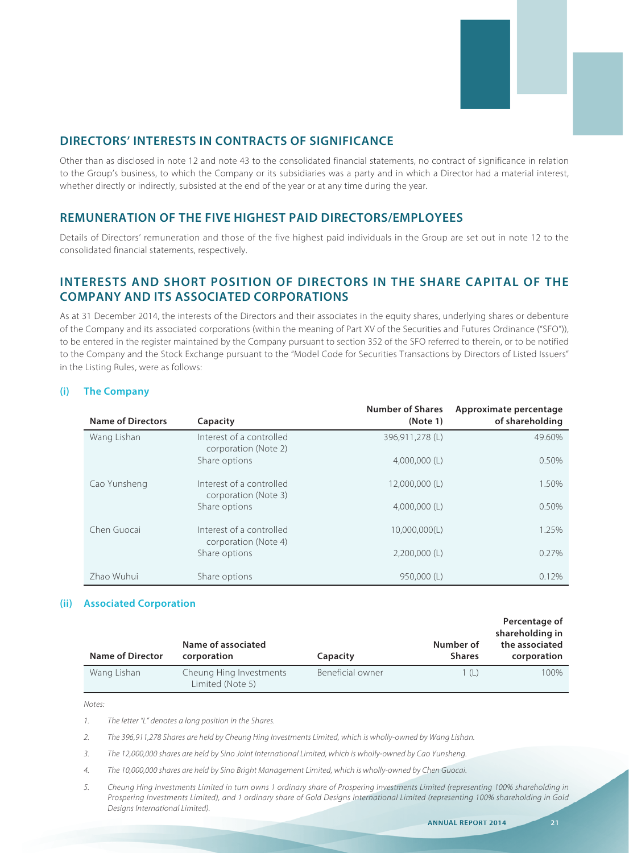

## **DIRECTORS' INTERESTS IN CONTRACTS OF SIGNIFICANCE**

Other than as disclosed in note 12 and note 43 to the consolidated financial statements, no contract of significance in relation to the Group's business, to which the Company or its subsidiaries was a party and in which a Director had a material interest, whether directly or indirectly, subsisted at the end of the year or at any time during the year.

### **REMUNERATION OF THE FIVE HIGHEST PAID DIRECTORS/EMPLOYEES**

Details of Directors' remuneration and those of the five highest paid individuals in the Group are set out in note 12 to the consolidated financial statements, respectively.

### **INTERESTS AND SHORT POSITION OF DIRECTORS IN THE SHARE CAPITAL OF THE COMPANY AND ITS ASSOCIATED CORPORATIONS**

As at 31 December 2014, the interests of the Directors and their associates in the equity shares, underlying shares or debenture of the Company and its associated corporations (within the meaning of Part XV of the Securities and Futures Ordinance ("SFO")), to be entered in the register maintained by the Company pursuant to section 352 of the SFO referred to therein, or to be notified to the Company and the Stock Exchange pursuant to the "Model Code for Securities Transactions by Directors of Listed Issuers" in the Listing Rules, were as follows:

#### **(i) The Company**

| <b>Name of Directors</b> | Capacity                                         | <b>Number of Shares</b><br>(Note 1) | Approximate percentage<br>of shareholding |
|--------------------------|--------------------------------------------------|-------------------------------------|-------------------------------------------|
| Wang Lishan              | Interest of a controlled<br>corporation (Note 2) | 396,911,278 (L)                     | 49.60%                                    |
|                          | Share options                                    | $4,000,000$ (L)                     | 0.50%                                     |
| Cao Yunsheng             | Interest of a controlled<br>corporation (Note 3) | 12,000,000 (L)                      | 1.50%                                     |
|                          | Share options                                    | $4,000,000$ (L)                     | 0.50%                                     |
| Chen Guocai              | Interest of a controlled<br>corporation (Note 4) | 10,000,000(L)                       | 1.25%                                     |
|                          | Share options                                    | $2,200,000$ (L)                     | 0.27%                                     |
| Zhao Wuhui               | Share options                                    | 950,000 (L)                         | 0.12%                                     |

#### **(ii) Associated Corporation**

| <b>Name of Director</b> | Name of associated<br>corporation           | Capacity         | Number of<br><b>Shares</b> | Percentage of<br>shareholding in<br>the associated<br>corporation |
|-------------------------|---------------------------------------------|------------------|----------------------------|-------------------------------------------------------------------|
| Wang Lishan             | Cheung Hing Investments<br>Limited (Note 5) | Beneficial owner | 1 (L)                      | 100%                                                              |

#### Notes:

1. The letter "L" denotes a long position in the Shares.

2. The 396,911,278 Shares are held by Cheung Hing Investments Limited, which is wholly-owned by Wang Lishan.

3. The 12,000,000 shares are held by Sino Joint International Limited, which is wholly-owned by Cao Yunsheng.

4. The 10,000,000 shares are held by Sino Bright Management Limited, which is wholly-owned by Chen Guocai.

5. Cheung Hing Investments Limited in turn owns 1 ordinary share of Prospering Investments Limited (representing 100% shareholding in Prospering Investments Limited), and 1 ordinary share of Gold Designs International Limited (representing 100% shareholding in Gold Designs International Limited).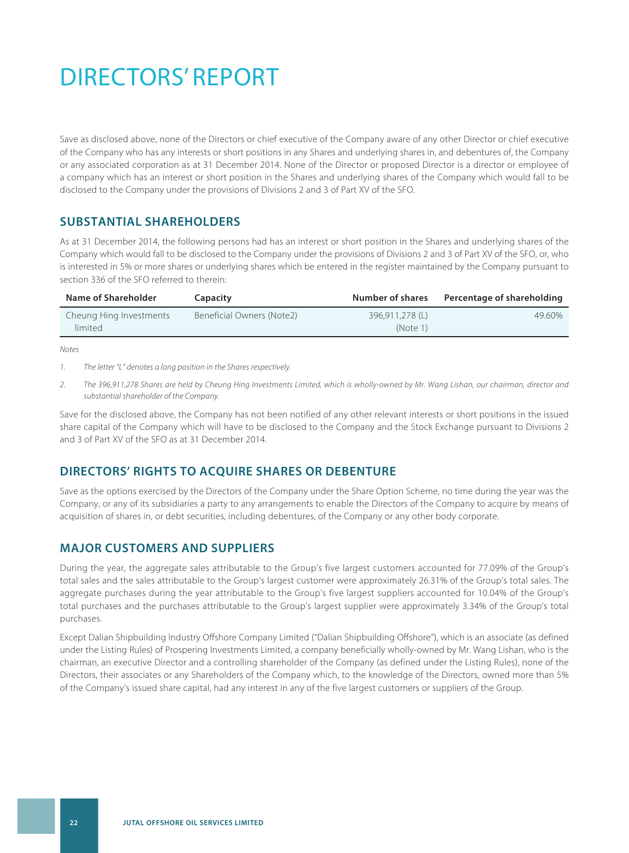## DIRECTORS' REPORT

Save as disclosed above, none of the Directors or chief executive of the Company aware of any other Director or chief executive of the Company who has any interests or short positions in any Shares and underlying shares in, and debentures of, the Company or any associated corporation as at 31 December 2014. None of the Director or proposed Director is a director or employee of a company which has an interest or short position in the Shares and underlying shares of the Company which would fall to be disclosed to the Company under the provisions of Divisions 2 and 3 of Part XV of the SFO.

#### **SUBSTANTIAL SHAREHOLDERS**

As at 31 December 2014, the following persons had has an interest or short position in the Shares and underlying shares of the Company which would fall to be disclosed to the Company under the provisions of Divisions 2 and 3 of Part XV of the SFO, or, who is interested in 5% or more shares or underlying shares which be entered in the register maintained by the Company pursuant to section 336 of the SFO referred to therein:

| Name of Shareholder     | <b>Capacity</b>           | Number of shares | Percentage of shareholding |
|-------------------------|---------------------------|------------------|----------------------------|
| Cheung Hing Investments | Beneficial Owners (Note2) | 396.911.278 (L)  | 49.60%                     |
| limited                 |                           | (Note 1)         |                            |

Notes

1. The letter "L" denotes a long position in the Shares respectively.

2. The 396,911,278 Shares are held by Cheung Hing Investments Limited, which is wholly-owned by Mr. Wang Lishan, our chairman, director and substantial shareholder of the Company.

Save for the disclosed above, the Company has not been notified of any other relevant interests or short positions in the issued share capital of the Company which will have to be disclosed to the Company and the Stock Exchange pursuant to Divisions 2 and 3 of Part XV of the SFO as at 31 December 2014.

### **DIRECTORS' RIGHTS TO ACQUIRE SHARES OR DEBENTURE**

Save as the options exercised by the Directors of the Company under the Share Option Scheme, no time during the year was the Company, or any of its subsidiaries a party to any arrangements to enable the Directors of the Company to acquire by means of acquisition of shares in, or debt securities, including debentures, of the Company or any other body corporate.

### **MAJOR CUSTOMERS AND SUPPLIERS**

During the year, the aggregate sales attributable to the Group's five largest customers accounted for 77.09% of the Group's total sales and the sales attributable to the Group's largest customer were approximately 26.31% of the Group's total sales. The aggregate purchases during the year attributable to the Group's five largest suppliers accounted for 10.04% of the Group's total purchases and the purchases attributable to the Group's largest supplier were approximately 3.34% of the Group's total purchases.

Except Dalian Shipbuilding Industry Offshore Company Limited ("Dalian Shipbuilding Offshore"), which is an associate (as defined under the Listing Rules) of Prospering Investments Limited, a company beneficially wholly-owned by Mr. Wang Lishan, who is the chairman, an executive Director and a controlling shareholder of the Company (as defined under the Listing Rules), none of the Directors, their associates or any Shareholders of the Company which, to the knowledge of the Directors, owned more than 5% of the Company's issued share capital, had any interest in any of the five largest customers or suppliers of the Group.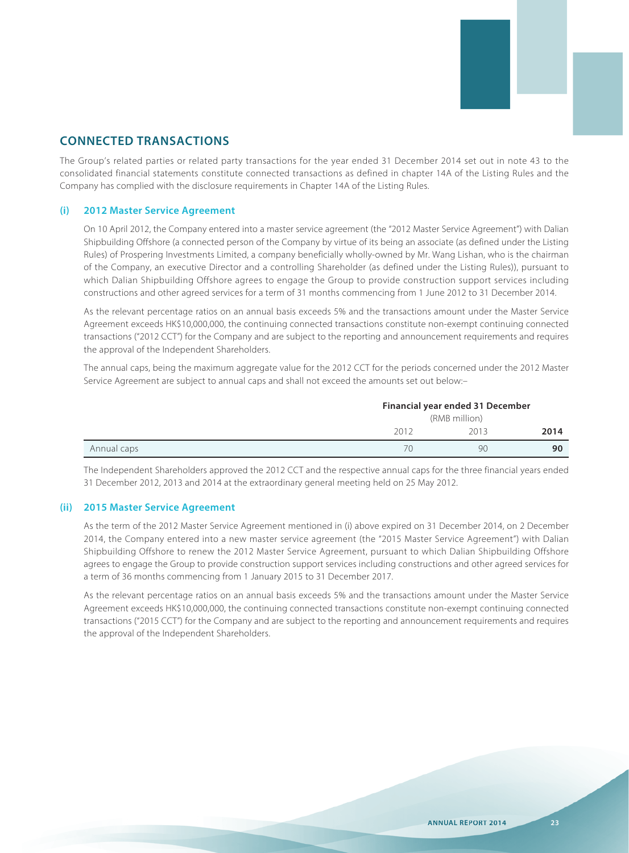

## **CONNECTED TRANSACTIONS**

The Group's related parties or related party transactions for the year ended 31 December 2014 set out in note 43 to the consolidated financial statements constitute connected transactions as defined in chapter 14A of the Listing Rules and the Company has complied with the disclosure requirements in Chapter 14A of the Listing Rules.

#### **(i) 2012 Master Service Agreement**

On 10 April 2012, the Company entered into a master service agreement (the "2012 Master Service Agreement") with Dalian Shipbuilding Offshore (a connected person of the Company by virtue of its being an associate (as defined under the Listing Rules) of Prospering Investments Limited, a company beneficially wholly-owned by Mr. Wang Lishan, who is the chairman of the Company, an executive Director and a controlling Shareholder (as defined under the Listing Rules)), pursuant to which Dalian Shipbuilding Offshore agrees to engage the Group to provide construction support services including constructions and other agreed services for a term of 31 months commencing from 1 June 2012 to 31 December 2014.

As the relevant percentage ratios on an annual basis exceeds 5% and the transactions amount under the Master Service Agreement exceeds HK\$10,000,000, the continuing connected transactions constitute non-exempt continuing connected transactions ("2012 CCT") for the Company and are subject to the reporting and announcement requirements and requires the approval of the Independent Shareholders.

The annual caps, being the maximum aggregate value for the 2012 CCT for the periods concerned under the 2012 Master Service Agreement are subject to annual caps and shall not exceed the amounts set out below:–

|             | Financial year ended 31 December |      |      |
|-------------|----------------------------------|------|------|
|             | (RMB million)                    |      |      |
|             | 2012                             | 2013 | 2014 |
| Annual caps | 70                               | 90   | 90   |

The Independent Shareholders approved the 2012 CCT and the respective annual caps for the three financial years ended 31 December 2012, 2013 and 2014 at the extraordinary general meeting held on 25 May 2012.

#### **(ii) 2015 Master Service Agreement**

As the term of the 2012 Master Service Agreement mentioned in (i) above expired on 31 December 2014, on 2 December 2014, the Company entered into a new master service agreement (the "2015 Master Service Agreement") with Dalian Shipbuilding Offshore to renew the 2012 Master Service Agreement, pursuant to which Dalian Shipbuilding Offshore agrees to engage the Group to provide construction support services including constructions and other agreed services for a term of 36 months commencing from 1 January 2015 to 31 December 2017.

As the relevant percentage ratios on an annual basis exceeds 5% and the transactions amount under the Master Service Agreement exceeds HK\$10,000,000, the continuing connected transactions constitute non-exempt continuing connected transactions ("2015 CCT") for the Company and are subject to the reporting and announcement requirements and requires the approval of the Independent Shareholders.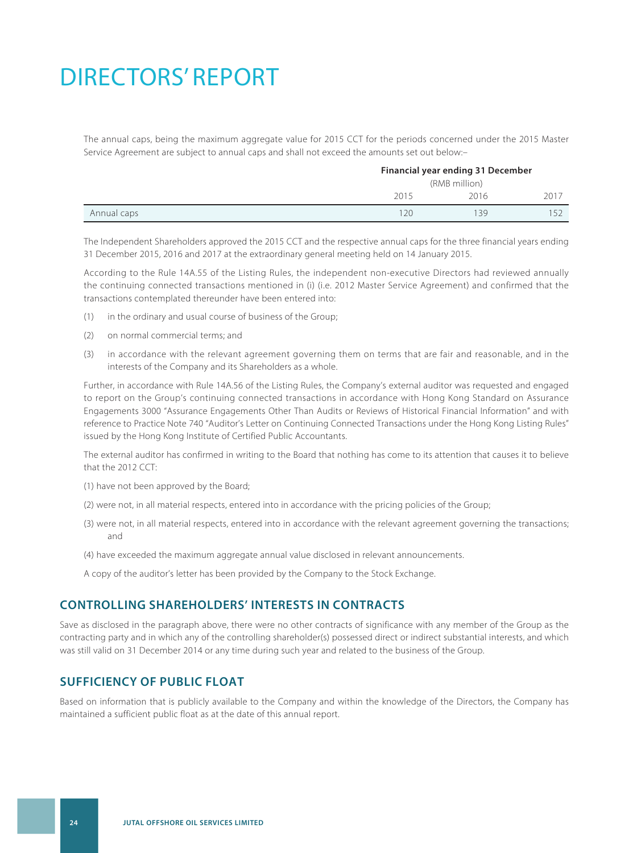## DIRECTORS' REPORT

The annual caps, being the maximum aggregate value for 2015 CCT for the periods concerned under the 2015 Master Service Agreement are subject to annual caps and shall not exceed the amounts set out below:–

|             | <b>Financial year ending 31 December</b> |               |                 |  |
|-------------|------------------------------------------|---------------|-----------------|--|
|             |                                          | (RMB million) |                 |  |
|             | 2015                                     | 2016          | 2017            |  |
| Annual caps | 120                                      | 39            | 15 <sup>2</sup> |  |

The Independent Shareholders approved the 2015 CCT and the respective annual caps for the three financial years ending 31 December 2015, 2016 and 2017 at the extraordinary general meeting held on 14 January 2015.

According to the Rule 14A.55 of the Listing Rules, the independent non-executive Directors had reviewed annually the continuing connected transactions mentioned in (i) (i.e. 2012 Master Service Agreement) and confirmed that the transactions contemplated thereunder have been entered into:

- (1) in the ordinary and usual course of business of the Group;
- (2) on normal commercial terms; and
- (3) in accordance with the relevant agreement governing them on terms that are fair and reasonable, and in the interests of the Company and its Shareholders as a whole.

Further, in accordance with Rule 14A.56 of the Listing Rules, the Company's external auditor was requested and engaged to report on the Group's continuing connected transactions in accordance with Hong Kong Standard on Assurance Engagements 3000 "Assurance Engagements Other Than Audits or Reviews of Historical Financial Information" and with reference to Practice Note 740 "Auditor's Letter on Continuing Connected Transactions under the Hong Kong Listing Rules" issued by the Hong Kong Institute of Certified Public Accountants.

The external auditor has confirmed in writing to the Board that nothing has come to its attention that causes it to believe that the 2012 CCT:

- (1) have not been approved by the Board;
- (2) were not, in all material respects, entered into in accordance with the pricing policies of the Group;
- (3) were not, in all material respects, entered into in accordance with the relevant agreement governing the transactions; and
- (4) have exceeded the maximum aggregate annual value disclosed in relevant announcements.

A copy of the auditor's letter has been provided by the Company to the Stock Exchange.

#### **CONTROLLING SHAREHOLDERS' INTERESTS IN CONTRACTS**

Save as disclosed in the paragraph above, there were no other contracts of significance with any member of the Group as the contracting party and in which any of the controlling shareholder(s) possessed direct or indirect substantial interests, and which was still valid on 31 December 2014 or any time during such year and related to the business of the Group.

## **SUFFICIENCY OF PUBLIC FLOAT**

Based on information that is publicly available to the Company and within the knowledge of the Directors, the Company has maintained a sufficient public float as at the date of this annual report.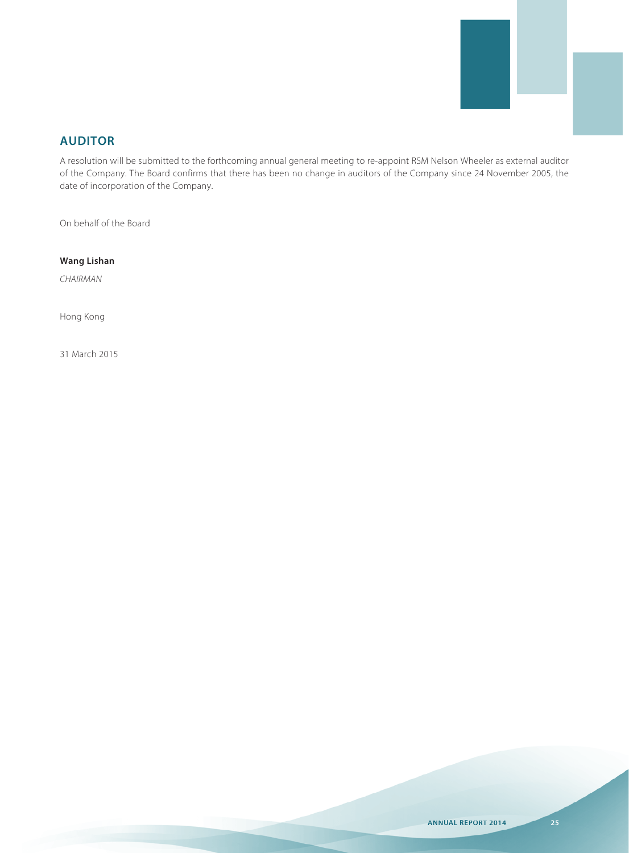

## **AUDITOR**

A resolution will be submitted to the forthcoming annual general meeting to re-appoint RSM Nelson Wheeler as external auditor of the Company. The Board confirms that there has been no change in auditors of the Company since 24 November 2005, the date of incorporation of the Company.

On behalf of the Board

**Wang Lishan**

**CHAIRMAN** 

Hong Kong

31 March 2015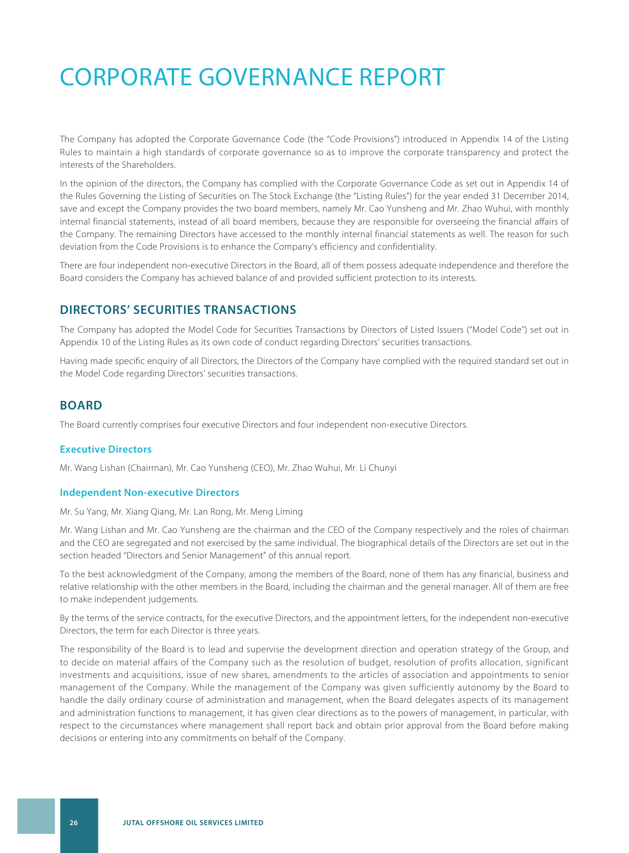## CORPORATE GOVERNANCE REPORT

The Company has adopted the Corporate Governance Code (the "Code Provisions") introduced in Appendix 14 of the Listing Rules to maintain a high standards of corporate governance so as to improve the corporate transparency and protect the interests of the Shareholders.

In the opinion of the directors, the Company has complied with the Corporate Governance Code as set out in Appendix 14 of the Rules Governing the Listing of Securities on The Stock Exchange (the "Listing Rules") for the year ended 31 December 2014, save and except the Company provides the two board members, namely Mr. Cao Yunsheng and Mr. Zhao Wuhui, with monthly internal financial statements, instead of all board members, because they are responsible for overseeing the financial affairs of the Company. The remaining Directors have accessed to the monthly internal financial statements as well. The reason for such deviation from the Code Provisions is to enhance the Company's efficiency and confidentiality.

There are four independent non-executive Directors in the Board, all of them possess adequate independence and therefore the Board considers the Company has achieved balance of and provided sufficient protection to its interests.

## **DIRECTORS' SECURITIES TRANSACTIONS**

The Company has adopted the Model Code for Securities Transactions by Directors of Listed Issuers ("Model Code") set out in Appendix 10 of the Listing Rules as its own code of conduct regarding Directors' securities transactions.

Having made specific enquiry of all Directors, the Directors of the Company have complied with the required standard set out in the Model Code regarding Directors' securities transactions.

### **BOARD**

The Board currently comprises four executive Directors and four independent non-executive Directors.

#### **Executive Directors**

Mr. Wang Lishan (Chairman), Mr. Cao Yunsheng (CEO), Mr. Zhao Wuhui, Mr. Li Chunyi

#### **Independent Non-executive Directors**

Mr. Su Yang, Mr. Xiang Qiang, Mr. Lan Rong, Mr. Meng Liming

Mr. Wang Lishan and Mr. Cao Yunsheng are the chairman and the CEO of the Company respectively and the roles of chairman and the CEO are segregated and not exercised by the same individual. The biographical details of the Directors are set out in the section headed "Directors and Senior Management" of this annual report.

To the best acknowledgment of the Company, among the members of the Board, none of them has any financial, business and relative relationship with the other members in the Board, including the chairman and the general manager. All of them are free to make independent judgements.

By the terms of the service contracts, for the executive Directors, and the appointment letters, for the independent non-executive Directors, the term for each Director is three years.

The responsibility of the Board is to lead and supervise the development direction and operation strategy of the Group, and to decide on material affairs of the Company such as the resolution of budget, resolution of profits allocation, significant investments and acquisitions, issue of new shares, amendments to the articles of association and appointments to senior management of the Company. While the management of the Company was given sufficiently autonomy by the Board to handle the daily ordinary course of administration and management, when the Board delegates aspects of its management and administration functions to management, it has given clear directions as to the powers of management, in particular, with respect to the circumstances where management shall report back and obtain prior approval from the Board before making decisions or entering into any commitments on behalf of the Company.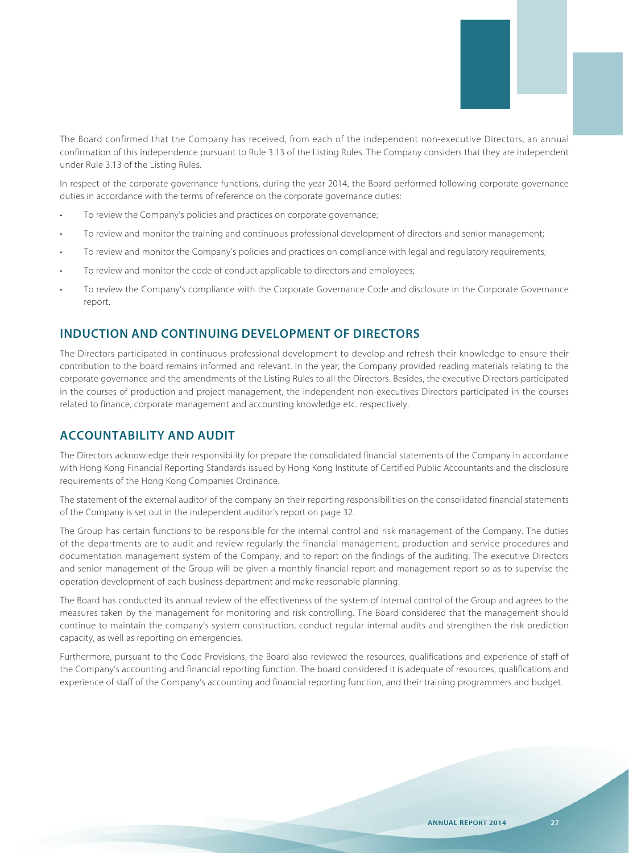

The Board confirmed that the Company has received, from each of the independent non-executive Directors, an annual confirmation of this independence pursuant to Rule 3.13 of the Listing Rules. The Company considers that they are independent under Rule 3.13 of the Listing Rules.

In respect of the corporate governance functions, during the year 2014, the Board performed following corporate governance duties in accordance with the terms of reference on the corporate governance duties:

- To review the Company's policies and practices on corporate governance;
- To review and monitor the training and continuous professional development of directors and senior management;
- To review and monitor the Company's policies and practices on compliance with legal and regulatory requirements;
- To review and monitor the code of conduct applicable to directors and employees;
- To review the Company's compliance with the Corporate Governance Code and disclosure in the Corporate Governance report.

#### **INDUCTION AND CONTINUING DEVELOPMENT OF DIRECTORS**

The Directors participated in continuous professional development to develop and refresh their knowledge to ensure their contribution to the board remains informed and relevant. In the year, the Company provided reading materials relating to the corporate governance and the amendments of the Listing Rules to all the Directors. Besides, the executive Directors participated in the courses of production and project management, the independent non-executives Directors participated in the courses related to finance, corporate management and accounting knowledge etc. respectively.

#### **ACCOUNTABILITY AND AUDIT**

The Directors acknowledge their responsibility for prepare the consolidated financial statements of the Company in accordance with Hong Kong Financial Reporting Standards issued by Hong Kong Institute of Certified Public Accountants and the disclosure requirements of the Hong Kong Companies Ordinance.

The statement of the external auditor of the company on their reporting responsibilities on the consolidated financial statements of the Company is set out in the independent auditor's report on page 32.

The Group has certain functions to be responsible for the internal control and risk management of the Company. The duties of the departments are to audit and review regularly the financial management, production and service procedures and documentation management system of the Company, and to report on the findings of the auditing. The executive Directors and senior management of the Group will be given a monthly financial report and management report so as to supervise the operation development of each business department and make reasonable planning.

The Board has conducted its annual review of the effectiveness of the system of internal control of the Group and agrees to the measures taken by the management for monitoring and risk controlling. The Board considered that the management should continue to maintain the company's system construction, conduct regular internal audits and strengthen the risk prediction capacity, as well as reporting on emergencies.

Furthermore, pursuant to the Code Provisions, the Board also reviewed the resources, qualifications and experience of staff of the Company's accounting and financial reporting function. The board considered it is adequate of resources, qualifications and experience of staff of the Company's accounting and financial reporting function, and their training programmers and budget.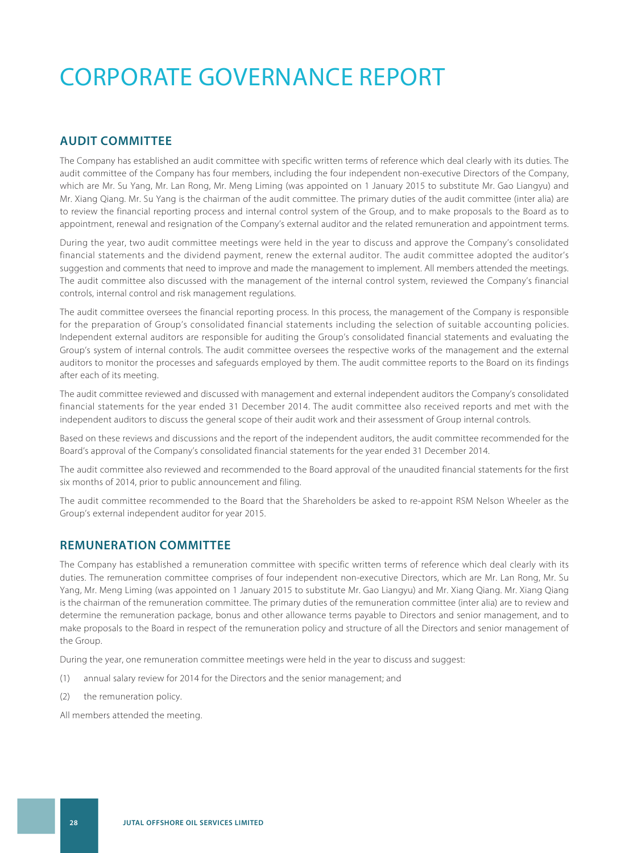## CORPORATE GOVERNANCE REPORT

## **AUDIT COMMITTEE**

The Company has established an audit committee with specific written terms of reference which deal clearly with its duties. The audit committee of the Company has four members, including the four independent non-executive Directors of the Company, which are Mr. Su Yang, Mr. Lan Rong, Mr. Meng Liming (was appointed on 1 January 2015 to substitute Mr. Gao Liangyu) and Mr. Xiang Qiang. Mr. Su Yang is the chairman of the audit committee. The primary duties of the audit committee (inter alia) are to review the financial reporting process and internal control system of the Group, and to make proposals to the Board as to appointment, renewal and resignation of the Company's external auditor and the related remuneration and appointment terms.

During the year, two audit committee meetings were held in the year to discuss and approve the Company's consolidated financial statements and the dividend payment, renew the external auditor. The audit committee adopted the auditor's suggestion and comments that need to improve and made the management to implement. All members attended the meetings. The audit committee also discussed with the management of the internal control system, reviewed the Company's financial controls, internal control and risk management regulations.

The audit committee oversees the financial reporting process. In this process, the management of the Company is responsible for the preparation of Group's consolidated financial statements including the selection of suitable accounting policies. Independent external auditors are responsible for auditing the Group's consolidated financial statements and evaluating the Group's system of internal controls. The audit committee oversees the respective works of the management and the external auditors to monitor the processes and safeguards employed by them. The audit committee reports to the Board on its findings after each of its meeting.

The audit committee reviewed and discussed with management and external independent auditors the Company's consolidated financial statements for the year ended 31 December 2014. The audit committee also received reports and met with the independent auditors to discuss the general scope of their audit work and their assessment of Group internal controls.

Based on these reviews and discussions and the report of the independent auditors, the audit committee recommended for the Board's approval of the Company's consolidated financial statements for the year ended 31 December 2014.

The audit committee also reviewed and recommended to the Board approval of the unaudited financial statements for the first six months of 2014, prior to public announcement and filing.

The audit committee recommended to the Board that the Shareholders be asked to re-appoint RSM Nelson Wheeler as the Group's external independent auditor for year 2015.

#### **REMUNERATION COMMITTEE**

The Company has established a remuneration committee with specific written terms of reference which deal clearly with its duties. The remuneration committee comprises of four independent non-executive Directors, which are Mr. Lan Rong, Mr. Su Yang, Mr. Meng Liming (was appointed on 1 January 2015 to substitute Mr. Gao Liangyu) and Mr. Xiang Qiang. Mr. Xiang Qiang is the chairman of the remuneration committee. The primary duties of the remuneration committee (inter alia) are to review and determine the remuneration package, bonus and other allowance terms payable to Directors and senior management, and to make proposals to the Board in respect of the remuneration policy and structure of all the Directors and senior management of the Group.

During the year, one remuneration committee meetings were held in the year to discuss and suggest:

- (1) annual salary review for 2014 for the Directors and the senior management; and
- (2) the remuneration policy.

All members attended the meeting.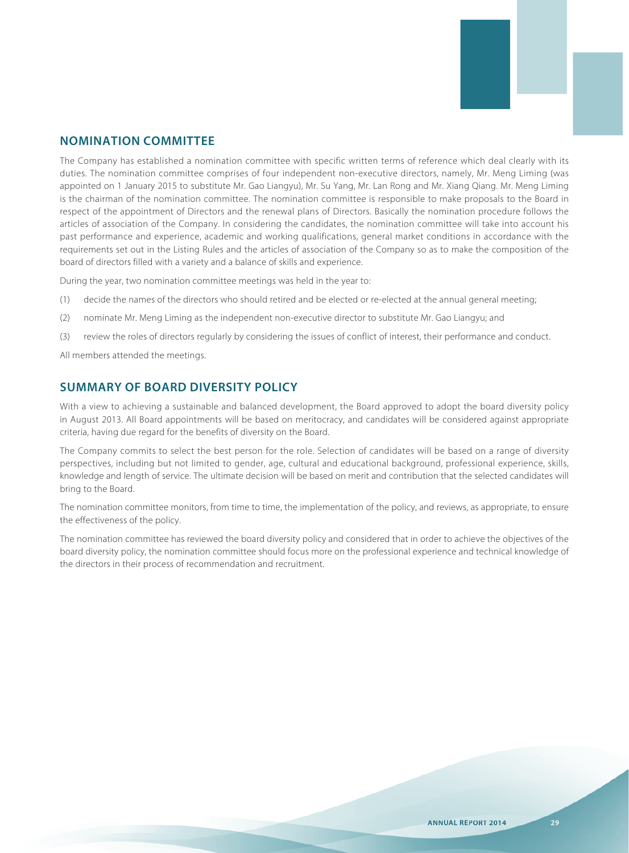

## **NOMINATION COMMITTEE**

The Company has established a nomination committee with specific written terms of reference which deal clearly with its duties. The nomination committee comprises of four independent non-executive directors, namely, Mr. Meng Liming (was appointed on 1 January 2015 to substitute Mr. Gao Liangyu), Mr. Su Yang, Mr. Lan Rong and Mr. Xiang Qiang. Mr. Meng Liming is the chairman of the nomination committee. The nomination committee is responsible to make proposals to the Board in respect of the appointment of Directors and the renewal plans of Directors. Basically the nomination procedure follows the articles of association of the Company. In considering the candidates, the nomination committee will take into account his past performance and experience, academic and working qualifications, general market conditions in accordance with the requirements set out in the Listing Rules and the articles of association of the Company so as to make the composition of the board of directors filled with a variety and a balance of skills and experience.

During the year, two nomination committee meetings was held in the year to:

- (1) decide the names of the directors who should retired and be elected or re-elected at the annual general meeting;
- (2) nominate Mr. Meng Liming as the independent non-executive director to substitute Mr. Gao Liangyu; and
- (3) review the roles of directors regularly by considering the issues of conflict of interest, their performance and conduct.

All members attended the meetings.

## **SUMMARY OF BOARD DIVERSITY POLICY**

With a view to achieving a sustainable and balanced development, the Board approved to adopt the board diversity policy in August 2013. All Board appointments will be based on meritocracy, and candidates will be considered against appropriate criteria, having due regard for the benefits of diversity on the Board.

The Company commits to select the best person for the role. Selection of candidates will be based on a range of diversity perspectives, including but not limited to gender, age, cultural and educational background, professional experience, skills, knowledge and length of service. The ultimate decision will be based on merit and contribution that the selected candidates will bring to the Board.

The nomination committee monitors, from time to time, the implementation of the policy, and reviews, as appropriate, to ensure the effectiveness of the policy.

The nomination committee has reviewed the board diversity policy and considered that in order to achieve the objectives of the board diversity policy, the nomination committee should focus more on the professional experience and technical knowledge of the directors in their process of recommendation and recruitment.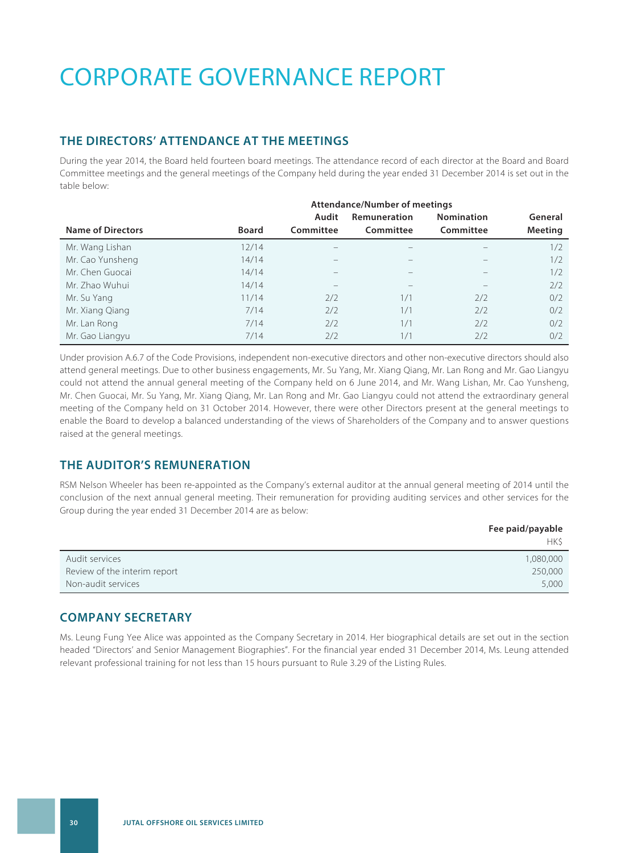## CORPORATE GOVERNANCE REPORT

## **THE DIRECTORS' ATTENDANCE AT THE MEETINGS**

During the year 2014, the Board held fourteen board meetings. The attendance record of each director at the Board and Board Committee meetings and the general meetings of the Company held during the year ended 31 December 2014 is set out in the table below:

|                          | <b>Attendance/Number of meetings</b>       |                          |           |           |                |  |
|--------------------------|--------------------------------------------|--------------------------|-----------|-----------|----------------|--|
|                          | <b>Nomination</b><br>Audit<br>Remuneration |                          |           |           |                |  |
| <b>Name of Directors</b> | <b>Board</b>                               | Committee                | Committee | Committee | <b>Meeting</b> |  |
| Mr. Wang Lishan          | 12/14                                      | $\overline{\phantom{a}}$ |           |           | 1/2            |  |
| Mr. Cao Yunsheng         | 14/14                                      | $\overline{\phantom{a}}$ |           |           | 1/2            |  |
| Mr. Chen Guocai          | 14/14                                      | $\overline{\phantom{a}}$ |           |           | 1/2            |  |
| Mr. Zhao Wuhui           | 14/14                                      | -                        | -         |           | 2/2            |  |
| Mr. Su Yang              | 11/14                                      | 2/2                      | 1/1       | 2/2       | 0/2            |  |
| Mr. Xiang Qiang          | 7/14                                       | 2/2                      | 1/1       | 2/2       | 0/2            |  |
| Mr. Lan Rong             | 7/14                                       | 2/2                      | 1/1       | 2/2       | 0/2            |  |
| Mr. Gao Liangyu          | 7/14                                       | 2/2                      | 1/1       | 2/2       | 0/2            |  |

Under provision A.6.7 of the Code Provisions, independent non-executive directors and other non-executive directors should also attend general meetings. Due to other business engagements, Mr. Su Yang, Mr. Xiang Qiang, Mr. Lan Rong and Mr. Gao Liangyu could not attend the annual general meeting of the Company held on 6 June 2014, and Mr. Wang Lishan, Mr. Cao Yunsheng, Mr. Chen Guocai, Mr. Su Yang, Mr. Xiang Qiang, Mr. Lan Rong and Mr. Gao Liangyu could not attend the extraordinary general meeting of the Company held on 31 October 2014. However, there were other Directors present at the general meetings to enable the Board to develop a balanced understanding of the views of Shareholders of the Company and to answer questions raised at the general meetings.

### **THE AUDITOR'S REMUNERATION**

RSM Nelson Wheeler has been re-appointed as the Company's external auditor at the annual general meeting of 2014 until the conclusion of the next annual general meeting. Their remuneration for providing auditing services and other services for the Group during the year ended 31 December 2014 are as below:

|                              | Fee paid/payable |
|------------------------------|------------------|
|                              | HK\$             |
| Audit services               | 1,080,000        |
| Review of the interim report | 250,000          |
| Non-audit services           | 5,000            |

#### **COMPANY SECRETARY**

Ms. Leung Fung Yee Alice was appointed as the Company Secretary in 2014. Her biographical details are set out in the section headed "Directors' and Senior Management Biographies". For the financial year ended 31 December 2014, Ms. Leung attended relevant professional training for not less than 15 hours pursuant to Rule 3.29 of the Listing Rules.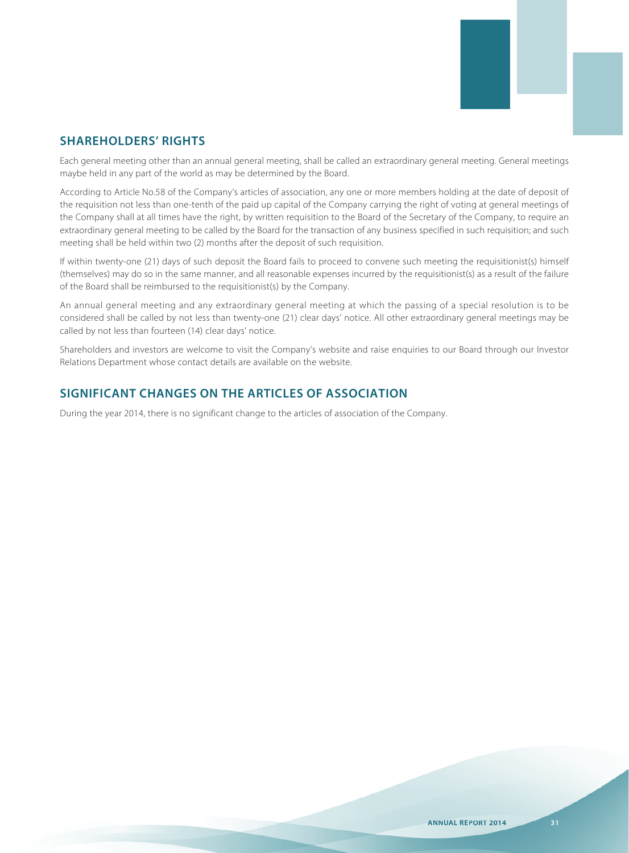

## **SHAREHOLDERS' RIGHTS**

Each general meeting other than an annual general meeting, shall be called an extraordinary general meeting. General meetings maybe held in any part of the world as may be determined by the Board.

According to Article No.58 of the Company's articles of association, any one or more members holding at the date of deposit of the requisition not less than one-tenth of the paid up capital of the Company carrying the right of voting at general meetings of the Company shall at all times have the right, by written requisition to the Board of the Secretary of the Company, to require an extraordinary general meeting to be called by the Board for the transaction of any business specified in such requisition; and such meeting shall be held within two (2) months after the deposit of such requisition.

If within twenty-one (21) days of such deposit the Board fails to proceed to convene such meeting the requisitionist(s) himself (themselves) may do so in the same manner, and all reasonable expenses incurred by the requisitionist(s) as a result of the failure of the Board shall be reimbursed to the requisitionist(s) by the Company.

An annual general meeting and any extraordinary general meeting at which the passing of a special resolution is to be considered shall be called by not less than twenty-one (21) clear days' notice. All other extraordinary general meetings may be called by not less than fourteen (14) clear days' notice.

Shareholders and investors are welcome to visit the Company's website and raise enquiries to our Board through our Investor Relations Department whose contact details are available on the website.

## **SIGNIFICANT CHANGES ON THE ARTICLES OF ASSOCIATION**

During the year 2014, there is no significant change to the articles of association of the Company.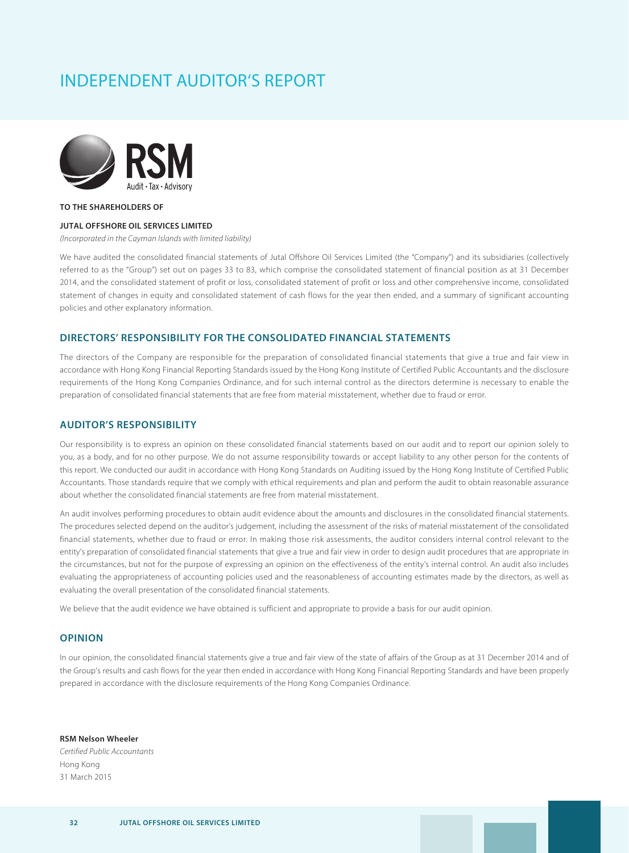## INDEPENDENT AUDITOR'S REPORT



#### **TO THE SHAREHOLDERS OF**

#### **JUTAL OFFSHORE OIL SERVICES LIMITED**

(Incorporated in the Cayman Islands with limited liability)

We have audited the consolidated financial statements of Jutal Offshore Oil Services Limited (the "Company") and its subsidiaries (collectively referred to as the "Group") set out on pages 33 to 83, which comprise the consolidated statement of financial position as at 31 December 2014, and the consolidated statement of profit or loss, consolidated statement of profit or loss and other comprehensive income, consolidated statement of changes in equity and consolidated statement of cash flows for the year then ended, and a summary of significant accounting policies and other explanatory information.

#### **DIRECTORS' RESPONSIBILITY FOR THE CONSOLIDATED FINANCIAL STATEMENTS**

The directors of the Company are responsible for the preparation of consolidated financial statements that give a true and fair view in accordance with Hong Kong Financial Reporting Standards issued by the Hong Kong Institute of Certified Public Accountants and the disclosure requirements of the Hong Kong Companies Ordinance, and for such internal control as the directors determine is necessary to enable the preparation of consolidated financial statements that are free from material misstatement, whether due to fraud or error.

#### **AUDITOR'S RESPONSIBILITY**

Our responsibility is to express an opinion on these consolidated financial statements based on our audit and to report our opinion solely to you, as a body, and for no other purpose. We do not assume responsibility towards or accept liability to any other person for the contents of this report. We conducted our audit in accordance with Hong Kong Standards on Auditing issued by the Hong Kong Institute of Certified Public Accountants. Those standards require that we comply with ethical requirements and plan and perform the audit to obtain reasonable assurance about whether the consolidated financial statements are free from material misstatement.

An audit involves performing procedures to obtain audit evidence about the amounts and disclosures in the consolidated financial statements. The procedures selected depend on the auditor's judgement, including the assessment of the risks of material misstatement of the consolidated financial statements, whether due to fraud or error. In making those risk assessments, the auditor considers internal control relevant to the entity's preparation of consolidated financial statements that give a true and fair view in order to design audit procedures that are appropriate in the circumstances, but not for the purpose of expressing an opinion on the effectiveness of the entity's internal control. An audit also includes evaluating the appropriateness of accounting policies used and the reasonableness of accounting estimates made by the directors, as well as evaluating the overall presentation of the consolidated financial statements.

We believe that the audit evidence we have obtained is sufficient and appropriate to provide a basis for our audit opinion.

#### **OPINION**

In our opinion, the consolidated financial statements give a true and fair view of the state of affairs of the Group as at 31 December 2014 and of the Group's results and cash flows for the year then ended in accordance with Hong Kong Financial Reporting Standards and have been properly prepared in accordance with the disclosure requirements of the Hong Kong Companies Ordinance.

**RSM Nelson Wheeler** Certified Public Accountants Hong Kong 31 March 2015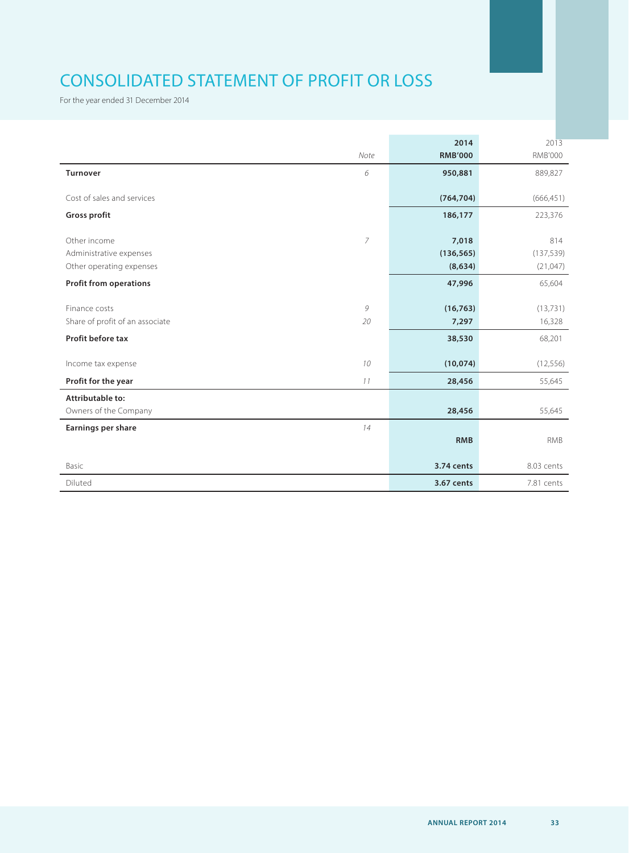## CONSOLIDATED STATEMENT OF PROFIT OR LOSS

For the year ended 31 December 2014

|                                 |                | 2014           | 2013           |
|---------------------------------|----------------|----------------|----------------|
|                                 | Note           | <b>RMB'000</b> | <b>RMB'000</b> |
| <b>Turnover</b>                 | 6              | 950,881        | 889,827        |
| Cost of sales and services      |                | (764, 704)     | (666, 451)     |
| <b>Gross profit</b>             |                | 186,177        | 223,376        |
| Other income                    | $\overline{7}$ | 7,018          | 814            |
| Administrative expenses         |                | (136, 565)     | (137, 539)     |
| Other operating expenses        |                | (8,634)        | (21, 047)      |
| <b>Profit from operations</b>   |                | 47,996         | 65,604         |
| Finance costs                   | 9              | (16, 763)      | (13, 731)      |
| Share of profit of an associate | 20             | 7,297          | 16,328         |
| Profit before tax               |                | 38,530         | 68,201         |
| Income tax expense              | 10             | (10, 074)      | (12, 556)      |
| Profit for the year             | 11             | 28,456         | 55,645         |
| Attributable to:                |                |                |                |
| Owners of the Company           |                | 28,456         | 55,645         |
| Earnings per share              | 14             |                |                |
|                                 |                | <b>RMB</b>     | <b>RMB</b>     |
| Basic                           |                | 3.74 cents     | 8.03 cents     |
| Diluted                         |                | 3.67 cents     | 7.81 cents     |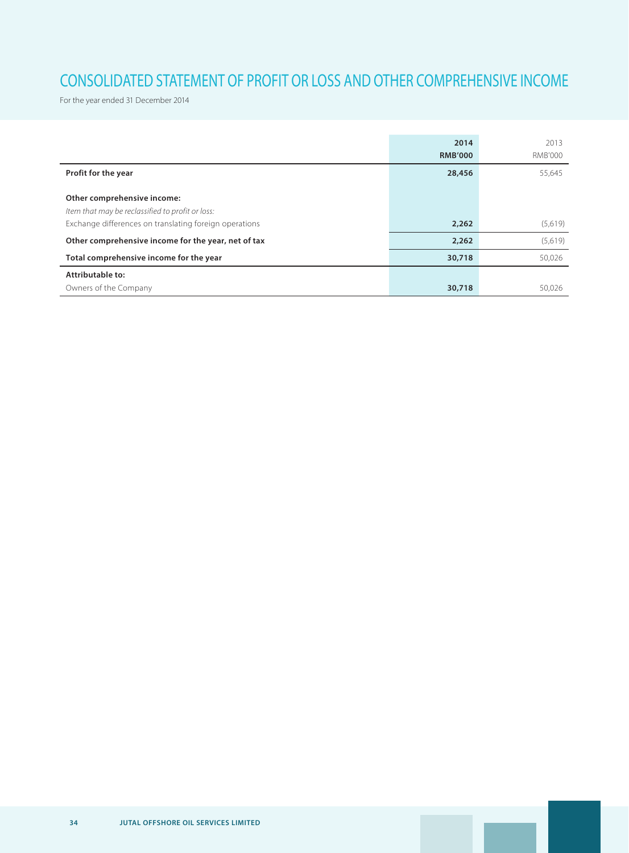## CONSOLIDATED STATEMENT OF PROFIT OR LOSS AND OTHER COMPREHENSIVE INCOME

For the year ended 31 December 2014

|                                                                                 | 2014<br><b>RMB'000</b> | 2013<br><b>RMB'000</b> |
|---------------------------------------------------------------------------------|------------------------|------------------------|
| Profit for the year                                                             | 28,456                 | 55,645                 |
| Other comprehensive income:<br>Item that may be reclassified to profit or loss: |                        |                        |
| Exchange differences on translating foreign operations                          | 2,262                  | (5,619)                |
| Other comprehensive income for the year, net of tax                             | 2,262                  | (5,619)                |
| Total comprehensive income for the year                                         | 30,718                 | 50,026                 |
| Attributable to:                                                                |                        |                        |
| Owners of the Company                                                           | 30,718                 | 50,026                 |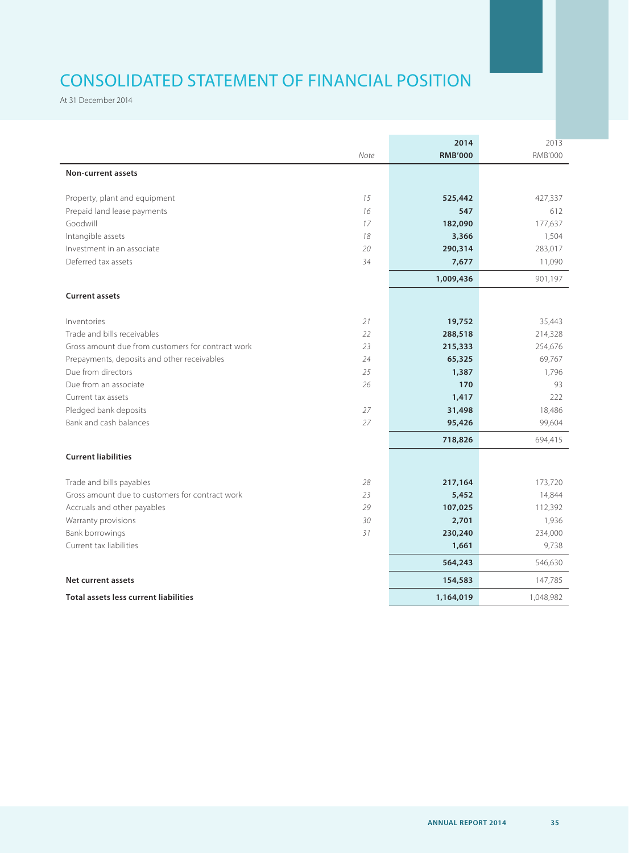## CONSOLIDATED STATEMENT OF FINANCIAL POSITION

At 31 December 2014

|                                                   |      | 2014           | 2013           |
|---------------------------------------------------|------|----------------|----------------|
|                                                   | Note | <b>RMB'000</b> | <b>RMB'000</b> |
| <b>Non-current assets</b>                         |      |                |                |
| Property, plant and equipment                     | 15   | 525,442        | 427,337        |
| Prepaid land lease payments                       | 16   | 547            | 612            |
| Goodwill                                          | 17   | 182,090        | 177,637        |
| Intangible assets                                 | 18   | 3,366          | 1,504          |
| Investment in an associate                        | 20   | 290,314        | 283,017        |
| Deferred tax assets                               | 34   | 7,677          | 11,090         |
|                                                   |      | 1,009,436      | 901,197        |
| <b>Current assets</b>                             |      |                |                |
| Inventories                                       | 21   | 19,752         | 35,443         |
| Trade and bills receivables                       | 22   | 288,518        | 214,328        |
| Gross amount due from customers for contract work | 23   | 215,333        | 254,676        |
| Prepayments, deposits and other receivables       | 24   | 65,325         | 69,767         |
| Due from directors                                | 25   | 1,387          | 1,796          |
| Due from an associate                             | 26   | 170            | 93             |
| Current tax assets                                |      | 1,417          | 222            |
| Pledged bank deposits                             | 27   | 31,498         | 18,486         |
| Bank and cash balances                            | 27   | 95,426         | 99,604         |
|                                                   |      | 718,826        | 694,415        |
| <b>Current liabilities</b>                        |      |                |                |
| Trade and bills payables                          | 28   | 217,164        | 173,720        |
| Gross amount due to customers for contract work   | 23   | 5,452          | 14,844         |
| Accruals and other payables                       | 29   | 107,025        | 112,392        |
| Warranty provisions                               | 30   | 2,701          | 1,936          |
| Bank borrowings                                   | 31   | 230,240        | 234,000        |
| Current tax liabilities                           |      | 1,661          | 9,738          |
|                                                   |      | 564,243        | 546,630        |
| Net current assets                                |      | 154,583        | 147,785        |
| <b>Total assets less current liabilities</b>      |      | 1,164,019      | 1,048,982      |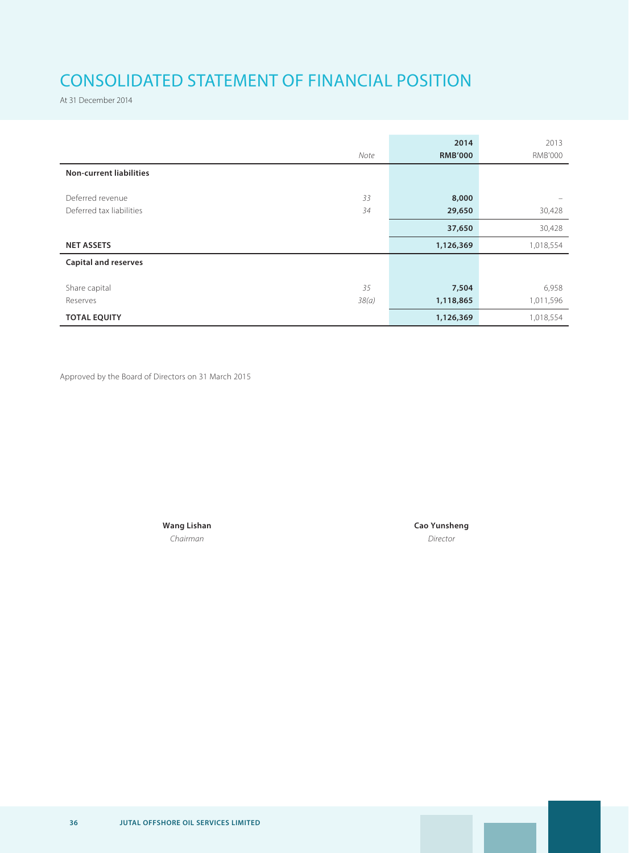## CONSOLIDATED STATEMENT OF FINANCIAL POSITION

At 31 December 2014

|                                |       | 2014           | 2013           |
|--------------------------------|-------|----------------|----------------|
|                                | Note  | <b>RMB'000</b> | <b>RMB'000</b> |
| <b>Non-current liabilities</b> |       |                |                |
|                                |       |                |                |
| Deferred revenue               | 33    | 8,000          |                |
| Deferred tax liabilities       | 34    | 29,650         | 30,428         |
|                                |       | 37,650         | 30,428         |
| <b>NET ASSETS</b>              |       | 1,126,369      | 1,018,554      |
| <b>Capital and reserves</b>    |       |                |                |
|                                |       |                |                |
| Share capital                  | 35    | 7,504          | 6,958          |
| Reserves                       | 38(a) | 1,118,865      | 1,011,596      |
| <b>TOTAL EQUITY</b>            |       | 1,126,369      | 1,018,554      |

Approved by the Board of Directors on 31 March 2015

Chairman Director

**Wang Lishan Cao Yunsheng**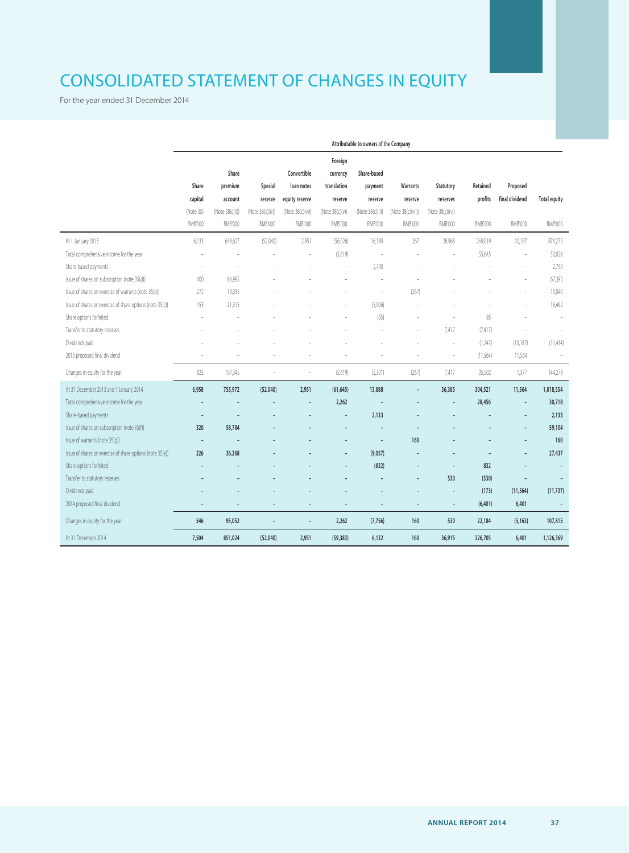# CONSOLIDATED STATEMENT OF CHANGES IN EQUITY

For the year ended 31 December 2014

|                                                           | Attributable to owners of the Company    |                                                                  |                                                           |                                                                                   |                                                                                    |                                                                         |                                                            |                                                             |                                       |                                       |                                |
|-----------------------------------------------------------|------------------------------------------|------------------------------------------------------------------|-----------------------------------------------------------|-----------------------------------------------------------------------------------|------------------------------------------------------------------------------------|-------------------------------------------------------------------------|------------------------------------------------------------|-------------------------------------------------------------|---------------------------------------|---------------------------------------|--------------------------------|
|                                                           | Share<br>capital<br>(Note 35)<br>RMB'000 | Share<br>premium<br>account<br>(Note 38(c)(i))<br><b>RMB'000</b> | Special<br>reserve<br>(Note 38(c)(iii))<br><b>RMB'000</b> | Convertible<br>loan notes<br>equity reserve<br>(Note 38(c)(vi))<br><b>RMB'000</b> | Foreign<br>currency<br>translation<br>reserve<br>(Note 38(c)(v))<br><b>RMB'000</b> | Share-based<br>payment<br>reserve<br>(Note 38(c)(ii))<br><b>RMB'000</b> | Warrants<br>reserve<br>(Note 38(c)(vii))<br><b>RMB'000</b> | Statutory<br>reserves<br>(Note 38(c)(iv))<br><b>RMB'000</b> | Retained<br>profits<br><b>RMB'000</b> | Proposed<br>final dividend<br>RMB'000 | <b>Total equity</b><br>RMB'000 |
| At 1 January 2013                                         | 6,133                                    | 648,627                                                          | (52,040)                                                  | 2,951                                                                             | (56, 026)                                                                          | 16,189                                                                  | 267                                                        | 28.968                                                      | 269,019                               | 10,187                                | 874,275                        |
| Total comprehensive income for the year                   |                                          |                                                                  |                                                           |                                                                                   | (5,619)                                                                            | J.                                                                      |                                                            |                                                             | 55,645                                | ÷,                                    | 50,026                         |
| Share-based payments                                      |                                          |                                                                  |                                                           |                                                                                   | i,                                                                                 | 2,790                                                                   |                                                            |                                                             |                                       | $\overline{a}$                        | 2,790                          |
| Issue of shares on subscription (note 35(d))              | 400                                      | 66,995                                                           |                                                           |                                                                                   |                                                                                    |                                                                         |                                                            |                                                             |                                       | L                                     | 67,395                         |
| Issue of shares on exercise of warrants (note 35(b))      | 272                                      | 19,035                                                           |                                                           |                                                                                   |                                                                                    | $\overline{a}$                                                          | (267)                                                      |                                                             |                                       | i,                                    | 19,040                         |
| Issue of shares on exercise of share options (note 35(c)) | 153                                      | 21,315                                                           |                                                           |                                                                                   |                                                                                    | (5,006)                                                                 |                                                            |                                                             |                                       | L                                     | 16,462                         |
| Share options forfeited                                   |                                          |                                                                  |                                                           |                                                                                   |                                                                                    | (85)                                                                    |                                                            |                                                             | 85                                    |                                       |                                |
| Transfer to statutory reserves                            |                                          |                                                                  |                                                           |                                                                                   |                                                                                    |                                                                         |                                                            | 7,417                                                       | (7, 417)                              |                                       |                                |
| Dividends paid                                            |                                          |                                                                  |                                                           |                                                                                   |                                                                                    |                                                                         |                                                            |                                                             | (1,247)                               | (10, 187)                             | (11, 434)                      |
| 2013 proposed final dividend                              |                                          |                                                                  |                                                           |                                                                                   |                                                                                    |                                                                         |                                                            | ÷,                                                          | (11, 564)                             | 11,564                                | $\sim$                         |
| Changes in equity for the year                            | 825                                      | 107,345                                                          |                                                           | $\overline{a}$                                                                    | (5,619)                                                                            | (2,301)                                                                 | (267)                                                      | 7,417                                                       | 35,502                                | 1,377                                 | 144,279                        |
| At 31 December 2013 and 1 January 2014                    | 6,958                                    | 755,972                                                          | (52,040)                                                  | 2,951                                                                             | (61, 645)                                                                          | 13,888                                                                  | ÷,                                                         | 36,385                                                      | 304,521                               | 11,564                                | 1,018,554                      |
| Total comprehensive income for the year                   |                                          |                                                                  |                                                           |                                                                                   | 2,262                                                                              |                                                                         |                                                            |                                                             | 28,456                                | $\overline{\phantom{a}}$              | 30,718                         |
| Share-based payments                                      | $\overline{a}$                           |                                                                  |                                                           |                                                                                   | ÷,                                                                                 | 2,133                                                                   |                                                            |                                                             |                                       | $\overline{a}$                        | 2,133                          |
| Issue of shares on subscription (note 35(f))              | 320                                      | 58,784                                                           |                                                           |                                                                                   |                                                                                    |                                                                         |                                                            |                                                             |                                       | L,                                    | 59,104                         |
| Issue of warrants (note 35(q))                            | $\overline{a}$                           |                                                                  |                                                           |                                                                                   |                                                                                    | ٠                                                                       | 160                                                        |                                                             |                                       | $\overline{a}$                        | 160                            |
| Issue of shares on exercise of share options (note 35(e)) | 226                                      | 36,268                                                           |                                                           |                                                                                   | $\overline{\phantom{a}}$                                                           | (9,057)                                                                 |                                                            |                                                             |                                       | $\overline{a}$                        | 27,437                         |
| Share options forfeited                                   |                                          |                                                                  |                                                           |                                                                                   |                                                                                    | (832)                                                                   |                                                            |                                                             | 832                                   | Ē,                                    | ٠                              |
| Transfer to statutory reserves                            |                                          |                                                                  |                                                           |                                                                                   |                                                                                    |                                                                         |                                                            | 530                                                         | (530)                                 | ÷                                     |                                |
| Dividends paid                                            |                                          |                                                                  |                                                           |                                                                                   |                                                                                    |                                                                         |                                                            |                                                             | (173)                                 | (11, 564)                             | (11, 737)                      |
| 2014 proposed final dividend                              |                                          |                                                                  |                                                           |                                                                                   |                                                                                    |                                                                         |                                                            | Ē,                                                          | (6, 401)                              | 6,401                                 | $\sim$                         |
| Changes in equity for the year                            | 546                                      | 95,052                                                           |                                                           | ٠                                                                                 | 2,262                                                                              | (7, 756)                                                                | 160                                                        | 530                                                         | 22,184                                | (5, 163)                              | 107,815                        |
| At 31 December 2014                                       | 7,504                                    | 851,024                                                          | (52,040)                                                  | 2,951                                                                             | (59, 383)                                                                          | 6,132                                                                   | 160                                                        | 36,915                                                      | 326,705                               | 6,401                                 | 1,126,369                      |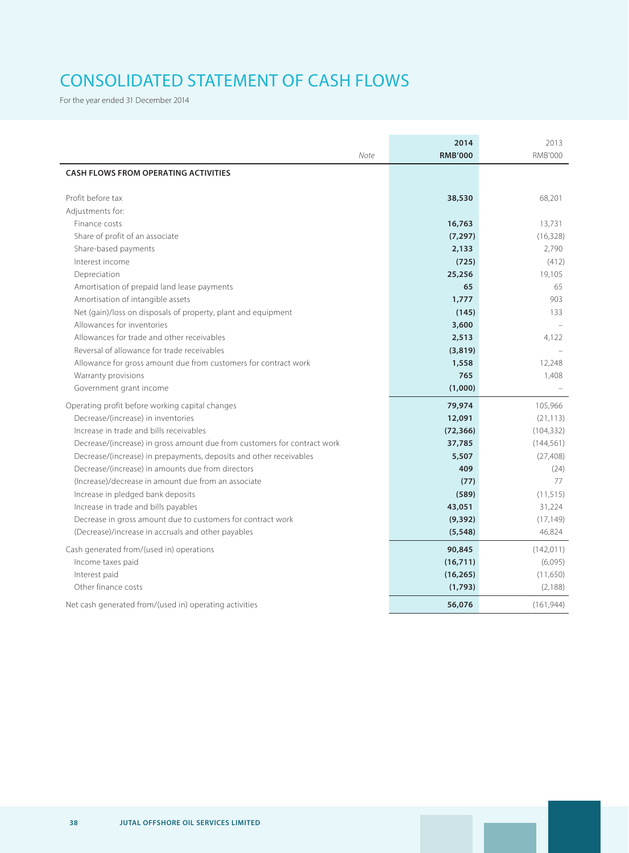# CONSOLIDATED STATEMENT OF CASH FLOWS

For the year ended 31 December 2014

|                                                                          | 2014           | 2013           |
|--------------------------------------------------------------------------|----------------|----------------|
| Note                                                                     | <b>RMB'000</b> | <b>RMB'000</b> |
| <b>CASH FLOWS FROM OPERATING ACTIVITIES</b>                              |                |                |
|                                                                          |                |                |
| Profit before tax                                                        | 38,530         | 68,201         |
| Adjustments for:                                                         |                |                |
| Finance costs                                                            | 16,763         | 13,731         |
| Share of profit of an associate                                          | (7, 297)       | (16,328)       |
| Share-based payments                                                     | 2,133          | 2,790          |
| Interest income                                                          | (725)          | (412)          |
| Depreciation                                                             | 25,256         | 19,105         |
| Amortisation of prepaid land lease payments                              | 65             | 65             |
| Amortisation of intangible assets                                        | 1,777          | 903            |
| Net (gain)/loss on disposals of property, plant and equipment            | (145)          | 133            |
| Allowances for inventories                                               | 3,600          |                |
| Allowances for trade and other receivables                               | 2,513          | 4,122          |
| Reversal of allowance for trade receivables                              | (3,819)        |                |
| Allowance for gross amount due from customers for contract work          | 1,558          | 12,248         |
| Warranty provisions                                                      | 765            | 1,408          |
| Government grant income                                                  | (1,000)        |                |
| Operating profit before working capital changes                          | 79,974         | 105,966        |
| Decrease/(increase) in inventories                                       | 12,091         | (21, 113)      |
| Increase in trade and bills receivables                                  | (72, 366)      | (104, 332)     |
| Decrease/(increase) in gross amount due from customers for contract work | 37,785         | (144, 561)     |
| Decrease/(increase) in prepayments, deposits and other receivables       | 5,507          | (27, 408)      |
| Decrease/(increase) in amounts due from directors                        | 409            | (24)           |
| (Increase)/decrease in amount due from an associate                      | (77)           | 77             |
| Increase in pledged bank deposits                                        | (589)          | (11, 515)      |
| Increase in trade and bills payables                                     | 43,051         | 31,224         |
| Decrease in gross amount due to customers for contract work              | (9, 392)       | (17, 149)      |
| (Decrease)/increase in accruals and other payables                       | (5, 548)       | 46,824         |
| Cash generated from/(used in) operations                                 | 90,845         | (142, 011)     |
| Income taxes paid                                                        | (16, 711)      | (6,095)        |
| Interest paid                                                            | (16, 265)      | (11,650)       |
| Other finance costs                                                      | (1,793)        | (2,188)        |
| Net cash generated from/(used in) operating activities                   | 56,076         | (161, 944)     |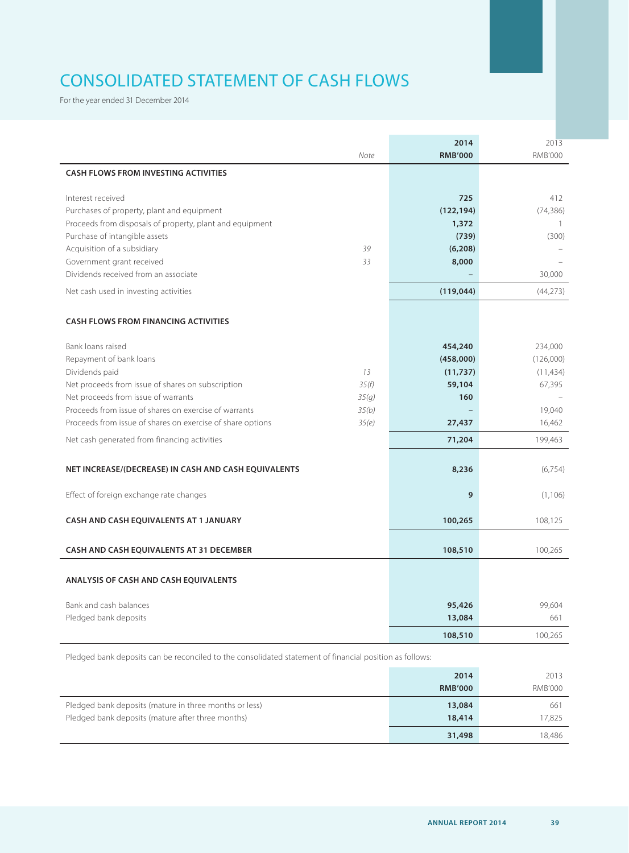# CONSOLIDATED STATEMENT OF CASH FLOWS

For the year ended 31 December 2014

|                                                                   |       | 2014           | 2013           |
|-------------------------------------------------------------------|-------|----------------|----------------|
| <b>CASH FLOWS FROM INVESTING ACTIVITIES</b>                       | Note  | <b>RMB'000</b> | <b>RMB'000</b> |
|                                                                   |       |                |                |
| Interest received                                                 |       | 725            | 412            |
| Purchases of property, plant and equipment                        |       | (122, 194)     | (74, 386)      |
| Proceeds from disposals of property, plant and equipment          |       | 1,372          | 1              |
| Purchase of intangible assets                                     |       | (739)          | (300)          |
| Acquisition of a subsidiary                                       | 39    | (6, 208)       |                |
| Government grant received<br>Dividends received from an associate | 33    | 8,000          | 30,000         |
|                                                                   |       |                |                |
| Net cash used in investing activities                             |       | (119, 044)     | (44, 273)      |
| <b>CASH FLOWS FROM FINANCING ACTIVITIES</b>                       |       |                |                |
| Bank loans raised                                                 |       | 454,240        | 234,000        |
| Repayment of bank loans                                           |       | (458,000)      | (126,000)      |
| Dividends paid                                                    | 13    | (11, 737)      | (11, 434)      |
| Net proceeds from issue of shares on subscription                 | 35(f) | 59,104         | 67,395         |
| Net proceeds from issue of warrants                               | 35(q) | 160            |                |
| Proceeds from issue of shares on exercise of warrants             | 35(b) |                | 19,040         |
| Proceeds from issue of shares on exercise of share options        | 35(e) | 27,437         | 16,462         |
| Net cash generated from financing activities                      |       | 71,204         | 199,463        |
| NET INCREASE/(DECREASE) IN CASH AND CASH EQUIVALENTS              |       | 8,236          | (6,754)        |
| Effect of foreign exchange rate changes                           |       | 9              | (1, 106)       |
| CASH AND CASH EQUIVALENTS AT 1 JANUARY                            |       | 100,265        | 108,125        |
| CASH AND CASH EQUIVALENTS AT 31 DECEMBER                          |       | 108,510        | 100,265        |
| <b>ANALYSIS OF CASH AND CASH EQUIVALENTS</b>                      |       |                |                |
| Bank and cash balances                                            |       | 95,426         | 99,604         |
| Pledged bank deposits                                             |       | 13,084         | 661            |
|                                                                   |       | 108,510        | 100,265        |

Pledged bank deposits can be reconciled to the consolidated statement of financial position as follows:

|                                                        | 2014           | 2013           |
|--------------------------------------------------------|----------------|----------------|
|                                                        | <b>RMB'000</b> | <b>RMB'000</b> |
| Pledged bank deposits (mature in three months or less) | 13,084         | 661            |
| Pledged bank deposits (mature after three months)      | 18,414         | 17,825         |
|                                                        | 31,498         | 18.486         |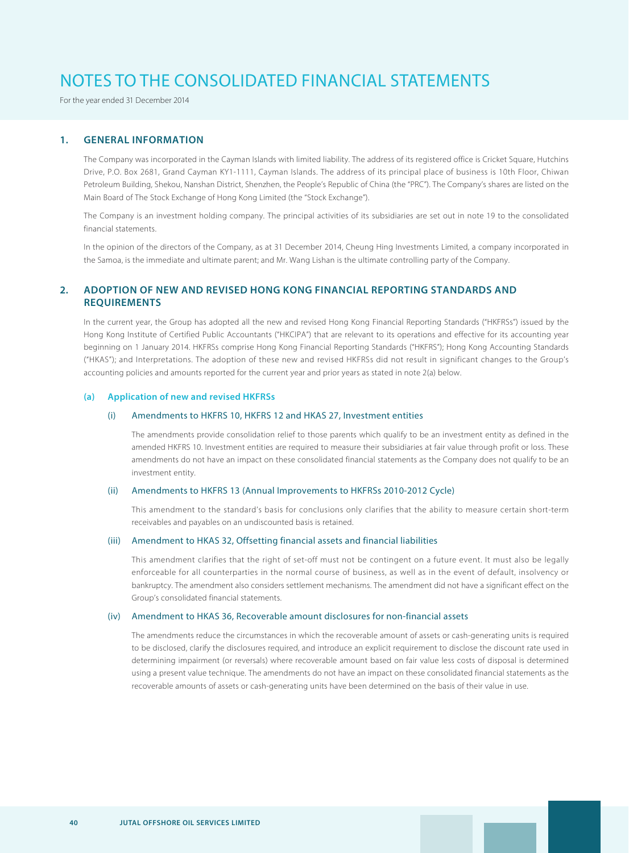For the year ended 31 December 2014

## **1. GENERAL INFORMATION**

The Company was incorporated in the Cayman Islands with limited liability. The address of its registered office is Cricket Square, Hutchins Drive, P.O. Box 2681, Grand Cayman KY1-1111, Cayman Islands. The address of its principal place of business is 10th Floor, Chiwan Petroleum Building, Shekou, Nanshan District, Shenzhen, the People's Republic of China (the "PRC"). The Company's shares are listed on the Main Board of The Stock Exchange of Hong Kong Limited (the "Stock Exchange").

The Company is an investment holding company. The principal activities of its subsidiaries are set out in note 19 to the consolidated financial statements.

In the opinion of the directors of the Company, as at 31 December 2014, Cheung Hing Investments Limited, a company incorporated in the Samoa, is the immediate and ultimate parent; and Mr. Wang Lishan is the ultimate controlling party of the Company.

### **2. ADOPTION OF NEW AND REVISED HONG KONG FINANCIAL REPORTING STANDARDS AND REQUIREMENTS**

In the current year, the Group has adopted all the new and revised Hong Kong Financial Reporting Standards ("HKFRSs") issued by the Hong Kong Institute of Certified Public Accountants ("HKCIPA") that are relevant to its operations and effective for its accounting year beginning on 1 January 2014. HKFRSs comprise Hong Kong Financial Reporting Standards ("HKFRS"); Hong Kong Accounting Standards ("HKAS"); and Interpretations. The adoption of these new and revised HKFRSs did not result in significant changes to the Group's accounting policies and amounts reported for the current year and prior years as stated in note 2(a) below.

#### **(a) Application of new and revised HKFRSs**

#### (i) Amendments to HKFRS 10, HKFRS 12 and HKAS 27, Investment entities

The amendments provide consolidation relief to those parents which qualify to be an investment entity as defined in the amended HKFRS 10. Investment entities are required to measure their subsidiaries at fair value through profit or loss. These amendments do not have an impact on these consolidated financial statements as the Company does not qualify to be an investment entity.

#### (ii) Amendments to HKFRS 13 (Annual Improvements to HKFRSs 2010-2012 Cycle)

This amendment to the standard's basis for conclusions only clarifies that the ability to measure certain short-term receivables and payables on an undiscounted basis is retained.

#### (iii) Amendment to HKAS 32, Offsetting financial assets and financial liabilities

This amendment clarifies that the right of set-off must not be contingent on a future event. It must also be legally enforceable for all counterparties in the normal course of business, as well as in the event of default, insolvency or bankruptcy. The amendment also considers settlement mechanisms. The amendment did not have a significant effect on the Group's consolidated financial statements.

#### (iv) Amendment to HKAS 36, Recoverable amount disclosures for non-financial assets

The amendments reduce the circumstances in which the recoverable amount of assets or cash-generating units is required to be disclosed, clarify the disclosures required, and introduce an explicit requirement to disclose the discount rate used in determining impairment (or reversals) where recoverable amount based on fair value less costs of disposal is determined using a present value technique. The amendments do not have an impact on these consolidated financial statements as the recoverable amounts of assets or cash-generating units have been determined on the basis of their value in use.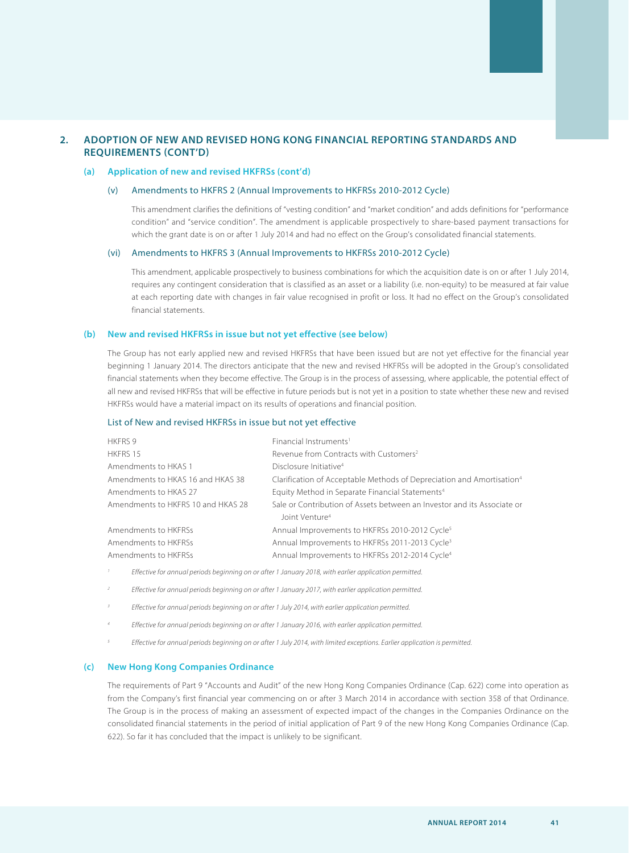## **2. ADOPTION OF NEW AND REVISED HONG KONG FINANCIAL REPORTING STANDARDS AND REQUIREMENTS (CONT'D)**

#### **(a) Application of new and revised HKFRSs (cont'd)**

#### (v) Amendments to HKFRS 2 (Annual Improvements to HKFRSs 2010-2012 Cycle)

This amendment clarifies the definitions of "vesting condition" and "market condition" and adds definitions for "performance condition" and "service condition". The amendment is applicable prospectively to share-based payment transactions for which the grant date is on or after 1 July 2014 and had no effect on the Group's consolidated financial statements.

#### (vi) Amendments to HKFRS 3 (Annual Improvements to HKFRSs 2010-2012 Cycle)

This amendment, applicable prospectively to business combinations for which the acquisition date is on or after 1 July 2014, requires any contingent consideration that is classified as an asset or a liability (i.e. non-equity) to be measured at fair value at each reporting date with changes in fair value recognised in profit or loss. It had no effect on the Group's consolidated financial statements.

### **(b) New and revised HKFRSs in issue but not yet effective (see below)**

The Group has not early applied new and revised HKFRSs that have been issued but are not yet effective for the financial year beginning 1 January 2014. The directors anticipate that the new and revised HKFRSs will be adopted in the Group's consolidated financial statements when they become effective. The Group is in the process of assessing, where applicable, the potential effect of all new and revised HKFRSs that will be effective in future periods but is not yet in a position to state whether these new and revised HKFRSs would have a material impact on its results of operations and financial position.

#### List of New and revised HKFRSs in issue but not yet effective

| <b>HKFRS 9</b>                     | Financial Instruments <sup>1</sup>                                                |
|------------------------------------|-----------------------------------------------------------------------------------|
| HKFRS 15                           | Revenue from Contracts with Customers <sup>2</sup>                                |
| Amendments to HKAS 1               | Disclosure Initiative <sup>4</sup>                                                |
| Amendments to HKAS 16 and HKAS 38  | Clarification of Acceptable Methods of Depreciation and Amortisation <sup>4</sup> |
| Amendments to HKAS 27              | Equity Method in Separate Financial Statements <sup>4</sup>                       |
| Amendments to HKFRS 10 and HKAS 28 | Sale or Contribution of Assets between an Investor and its Associate or           |
|                                    | Joint Venture <sup>4</sup>                                                        |
| Amendments to HKFRSs               | Annual Improvements to HKFRSs 2010-2012 Cycle <sup>5</sup>                        |
| Amendments to HKFRSs               | Annual Improvements to HKFRSs 2011-2013 Cycle <sup>3</sup>                        |
| Amendments to HKFRSs               | Annual Improvements to HKFRSs 2012-2014 Cycle <sup>4</sup>                        |

- Effective for annual periods beginning on or after 1 January 2018, with earlier application permitted.
- 2 Effective for annual periods beginning on or after 1 January 2017, with earlier application permitted.
- Effective for annual periods beginning on or after 1 July 2014, with earlier application permitted.
- 4 Effective for annual periods beginning on or after 1 January 2016, with earlier application permitted.
- Effective for annual periods beginning on or after 1 July 2014, with limited exceptions. Earlier application is permitted.

#### **(c) New Hong Kong Companies Ordinance**

The requirements of Part 9 "Accounts and Audit" of the new Hong Kong Companies Ordinance (Cap. 622) come into operation as from the Company's first financial year commencing on or after 3 March 2014 in accordance with section 358 of that Ordinance. The Group is in the process of making an assessment of expected impact of the changes in the Companies Ordinance on the consolidated financial statements in the period of initial application of Part 9 of the new Hong Kong Companies Ordinance (Cap. 622). So far it has concluded that the impact is unlikely to be significant.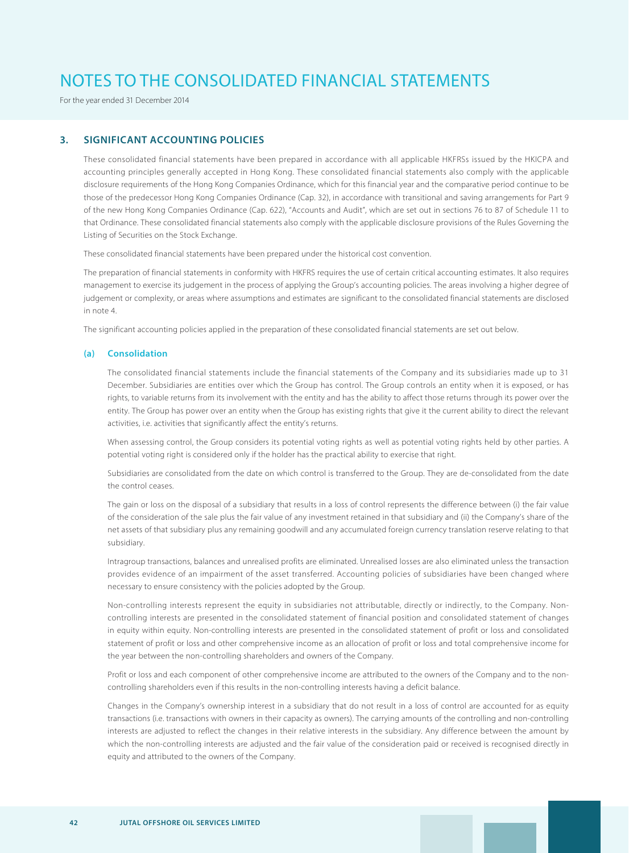For the year ended 31 December 2014

## **3. SIGNIFICANT ACCOUNTING POLICIES**

These consolidated financial statements have been prepared in accordance with all applicable HKFRSs issued by the HKICPA and accounting principles generally accepted in Hong Kong. These consolidated financial statements also comply with the applicable disclosure requirements of the Hong Kong Companies Ordinance, which for this financial year and the comparative period continue to be those of the predecessor Hong Kong Companies Ordinance (Cap. 32), in accordance with transitional and saving arrangements for Part 9 of the new Hong Kong Companies Ordinance (Cap. 622), "Accounts and Audit", which are set out in sections 76 to 87 of Schedule 11 to that Ordinance. These consolidated financial statements also comply with the applicable disclosure provisions of the Rules Governing the Listing of Securities on the Stock Exchange.

These consolidated financial statements have been prepared under the historical cost convention.

The preparation of financial statements in conformity with HKFRS requires the use of certain critical accounting estimates. It also requires management to exercise its judgement in the process of applying the Group's accounting policies. The areas involving a higher degree of judgement or complexity, or areas where assumptions and estimates are significant to the consolidated financial statements are disclosed in note 4.

The significant accounting policies applied in the preparation of these consolidated financial statements are set out below.

### **(a) Consolidation**

The consolidated financial statements include the financial statements of the Company and its subsidiaries made up to 31 December. Subsidiaries are entities over which the Group has control. The Group controls an entity when it is exposed, or has rights, to variable returns from its involvement with the entity and has the ability to affect those returns through its power over the entity. The Group has power over an entity when the Group has existing rights that give it the current ability to direct the relevant activities, i.e. activities that significantly affect the entity's returns.

When assessing control, the Group considers its potential voting rights as well as potential voting rights held by other parties. A potential voting right is considered only if the holder has the practical ability to exercise that right.

Subsidiaries are consolidated from the date on which control is transferred to the Group. They are de-consolidated from the date the control ceases.

The gain or loss on the disposal of a subsidiary that results in a loss of control represents the difference between (i) the fair value of the consideration of the sale plus the fair value of any investment retained in that subsidiary and (ii) the Company's share of the net assets of that subsidiary plus any remaining goodwill and any accumulated foreign currency translation reserve relating to that subsidiary.

Intragroup transactions, balances and unrealised profits are eliminated. Unrealised losses are also eliminated unless the transaction provides evidence of an impairment of the asset transferred. Accounting policies of subsidiaries have been changed where necessary to ensure consistency with the policies adopted by the Group.

Non-controlling interests represent the equity in subsidiaries not attributable, directly or indirectly, to the Company. Noncontrolling interests are presented in the consolidated statement of financial position and consolidated statement of changes in equity within equity. Non-controlling interests are presented in the consolidated statement of profit or loss and consolidated statement of profit or loss and other comprehensive income as an allocation of profit or loss and total comprehensive income for the year between the non-controlling shareholders and owners of the Company.

Profit or loss and each component of other comprehensive income are attributed to the owners of the Company and to the noncontrolling shareholders even if this results in the non-controlling interests having a deficit balance.

Changes in the Company's ownership interest in a subsidiary that do not result in a loss of control are accounted for as equity transactions (i.e. transactions with owners in their capacity as owners). The carrying amounts of the controlling and non-controlling interests are adjusted to reflect the changes in their relative interests in the subsidiary. Any difference between the amount by which the non-controlling interests are adjusted and the fair value of the consideration paid or received is recognised directly in equity and attributed to the owners of the Company.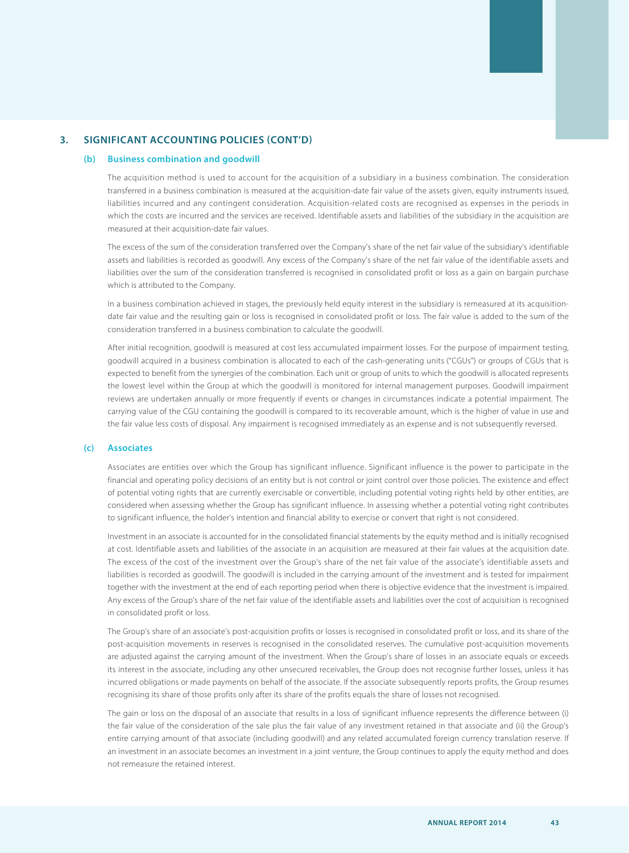## **3. SIGNIFICANT ACCOUNTING POLICIES (CONT'D)**

#### **(b) Business combination and goodwill**

The acquisition method is used to account for the acquisition of a subsidiary in a business combination. The consideration transferred in a business combination is measured at the acquisition-date fair value of the assets given, equity instruments issued, liabilities incurred and any contingent consideration. Acquisition-related costs are recognised as expenses in the periods in which the costs are incurred and the services are received. Identifiable assets and liabilities of the subsidiary in the acquisition are measured at their acquisition-date fair values.

The excess of the sum of the consideration transferred over the Company's share of the net fair value of the subsidiary's identifiable assets and liabilities is recorded as goodwill. Any excess of the Company's share of the net fair value of the identifiable assets and liabilities over the sum of the consideration transferred is recognised in consolidated profit or loss as a gain on bargain purchase which is attributed to the Company.

In a business combination achieved in stages, the previously held equity interest in the subsidiary is remeasured at its acquisitiondate fair value and the resulting gain or loss is recognised in consolidated profit or loss. The fair value is added to the sum of the consideration transferred in a business combination to calculate the goodwill.

After initial recognition, goodwill is measured at cost less accumulated impairment losses. For the purpose of impairment testing, goodwill acquired in a business combination is allocated to each of the cash-generating units ("CGUs") or groups of CGUs that is expected to benefit from the synergies of the combination. Each unit or group of units to which the goodwill is allocated represents the lowest level within the Group at which the goodwill is monitored for internal management purposes. Goodwill impairment reviews are undertaken annually or more frequently if events or changes in circumstances indicate a potential impairment. The carrying value of the CGU containing the goodwill is compared to its recoverable amount, which is the higher of value in use and the fair value less costs of disposal. Any impairment is recognised immediately as an expense and is not subsequently reversed.

#### **(c) Associates**

Associates are entities over which the Group has significant influence. Significant influence is the power to participate in the financial and operating policy decisions of an entity but is not control or joint control over those policies. The existence and effect of potential voting rights that are currently exercisable or convertible, including potential voting rights held by other entities, are considered when assessing whether the Group has significant influence. In assessing whether a potential voting right contributes to significant influence, the holder's intention and financial ability to exercise or convert that right is not considered.

Investment in an associate is accounted for in the consolidated financial statements by the equity method and is initially recognised at cost. Identifiable assets and liabilities of the associate in an acquisition are measured at their fair values at the acquisition date. The excess of the cost of the investment over the Group's share of the net fair value of the associate's identifiable assets and liabilities is recorded as goodwill. The goodwill is included in the carrying amount of the investment and is tested for impairment together with the investment at the end of each reporting period when there is objective evidence that the investment is impaired. Any excess of the Group's share of the net fair value of the identifiable assets and liabilities over the cost of acquisition is recognised in consolidated profit or loss.

The Group's share of an associate's post-acquisition profits or losses is recognised in consolidated profit or loss, and its share of the post-acquisition movements in reserves is recognised in the consolidated reserves. The cumulative post-acquisition movements are adjusted against the carrying amount of the investment. When the Group's share of losses in an associate equals or exceeds its interest in the associate, including any other unsecured receivables, the Group does not recognise further losses, unless it has incurred obligations or made payments on behalf of the associate. If the associate subsequently reports profits, the Group resumes recognising its share of those profits only after its share of the profits equals the share of losses not recognised.

The gain or loss on the disposal of an associate that results in a loss of significant influence represents the difference between (i) the fair value of the consideration of the sale plus the fair value of any investment retained in that associate and (ii) the Group's entire carrying amount of that associate (including goodwill) and any related accumulated foreign currency translation reserve. If an investment in an associate becomes an investment in a joint venture, the Group continues to apply the equity method and does not remeasure the retained interest.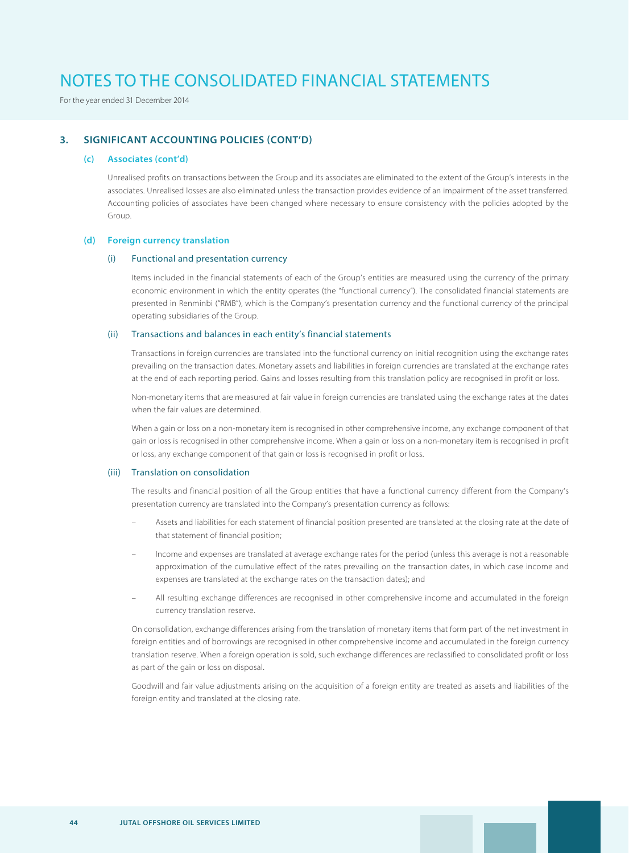For the year ended 31 December 2014

### **3. SIGNIFICANT ACCOUNTING POLICIES (CONT'D)**

#### **(c) Associates (cont'd)**

Unrealised profits on transactions between the Group and its associates are eliminated to the extent of the Group's interests in the associates. Unrealised losses are also eliminated unless the transaction provides evidence of an impairment of the asset transferred. Accounting policies of associates have been changed where necessary to ensure consistency with the policies adopted by the Group.

#### **(d) Foreign currency translation**

#### (i) Functional and presentation currency

Items included in the financial statements of each of the Group's entities are measured using the currency of the primary economic environment in which the entity operates (the "functional currency"). The consolidated financial statements are presented in Renminbi ("RMB"), which is the Company's presentation currency and the functional currency of the principal operating subsidiaries of the Group.

#### (ii) Transactions and balances in each entity's financial statements

Transactions in foreign currencies are translated into the functional currency on initial recognition using the exchange rates prevailing on the transaction dates. Monetary assets and liabilities in foreign currencies are translated at the exchange rates at the end of each reporting period. Gains and losses resulting from this translation policy are recognised in profit or loss.

Non-monetary items that are measured at fair value in foreign currencies are translated using the exchange rates at the dates when the fair values are determined.

When a gain or loss on a non-monetary item is recognised in other comprehensive income, any exchange component of that gain or loss is recognised in other comprehensive income. When a gain or loss on a non-monetary item is recognised in profit or loss, any exchange component of that gain or loss is recognised in profit or loss.

#### (iii) Translation on consolidation

The results and financial position of all the Group entities that have a functional currency different from the Company's presentation currency are translated into the Company's presentation currency as follows:

- Assets and liabilities for each statement of financial position presented are translated at the closing rate at the date of that statement of financial position;
- Income and expenses are translated at average exchange rates for the period (unless this average is not a reasonable approximation of the cumulative effect of the rates prevailing on the transaction dates, in which case income and expenses are translated at the exchange rates on the transaction dates); and
- All resulting exchange differences are recognised in other comprehensive income and accumulated in the foreign currency translation reserve.

On consolidation, exchange differences arising from the translation of monetary items that form part of the net investment in foreign entities and of borrowings are recognised in other comprehensive income and accumulated in the foreign currency translation reserve. When a foreign operation is sold, such exchange differences are reclassified to consolidated profit or loss as part of the gain or loss on disposal.

Goodwill and fair value adjustments arising on the acquisition of a foreign entity are treated as assets and liabilities of the foreign entity and translated at the closing rate.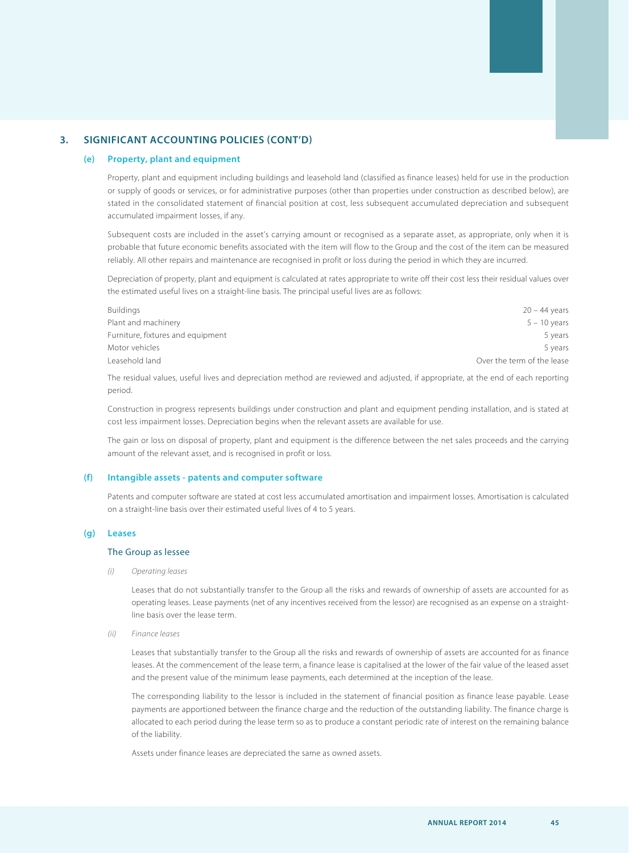## **3. SIGNIFICANT ACCOUNTING POLICIES (CONT'D)**

### **(e) Property, plant and equipment**

Property, plant and equipment including buildings and leasehold land (classified as finance leases) held for use in the production or supply of goods or services, or for administrative purposes (other than properties under construction as described below), are stated in the consolidated statement of financial position at cost, less subsequent accumulated depreciation and subsequent accumulated impairment losses, if any.

Subsequent costs are included in the asset's carrying amount or recognised as a separate asset, as appropriate, only when it is probable that future economic benefits associated with the item will flow to the Group and the cost of the item can be measured reliably. All other repairs and maintenance are recognised in profit or loss during the period in which they are incurred.

Depreciation of property, plant and equipment is calculated at rates appropriate to write off their cost less their residual values over the estimated useful lives on a straight-line basis. The principal useful lives are as follows:

| Buildings                         | $20 - 44$ years            |
|-----------------------------------|----------------------------|
| Plant and machinery               | $5 - 10$ years             |
| Furniture, fixtures and equipment | 5 years                    |
| Motor vehicles                    | 5 years                    |
| Leasehold land                    | Over the term of the lease |
|                                   |                            |

The residual values, useful lives and depreciation method are reviewed and adjusted, if appropriate, at the end of each reporting period.

Construction in progress represents buildings under construction and plant and equipment pending installation, and is stated at cost less impairment losses. Depreciation begins when the relevant assets are available for use.

The gain or loss on disposal of property, plant and equipment is the difference between the net sales proceeds and the carrying amount of the relevant asset, and is recognised in profit or loss.

#### **(f) Intangible assets - patents and computer software**

Patents and computer software are stated at cost less accumulated amortisation and impairment losses. Amortisation is calculated on a straight-line basis over their estimated useful lives of 4 to 5 years.

#### **(g) Leases**

#### The Group as lessee

(i) Operating leases

Leases that do not substantially transfer to the Group all the risks and rewards of ownership of assets are accounted for as operating leases. Lease payments (net of any incentives received from the lessor) are recognised as an expense on a straightline basis over the lease term.

(ii) Finance leases

Leases that substantially transfer to the Group all the risks and rewards of ownership of assets are accounted for as finance leases. At the commencement of the lease term, a finance lease is capitalised at the lower of the fair value of the leased asset and the present value of the minimum lease payments, each determined at the inception of the lease.

The corresponding liability to the lessor is included in the statement of financial position as finance lease payable. Lease payments are apportioned between the finance charge and the reduction of the outstanding liability. The finance charge is allocated to each period during the lease term so as to produce a constant periodic rate of interest on the remaining balance of the liability.

Assets under finance leases are depreciated the same as owned assets.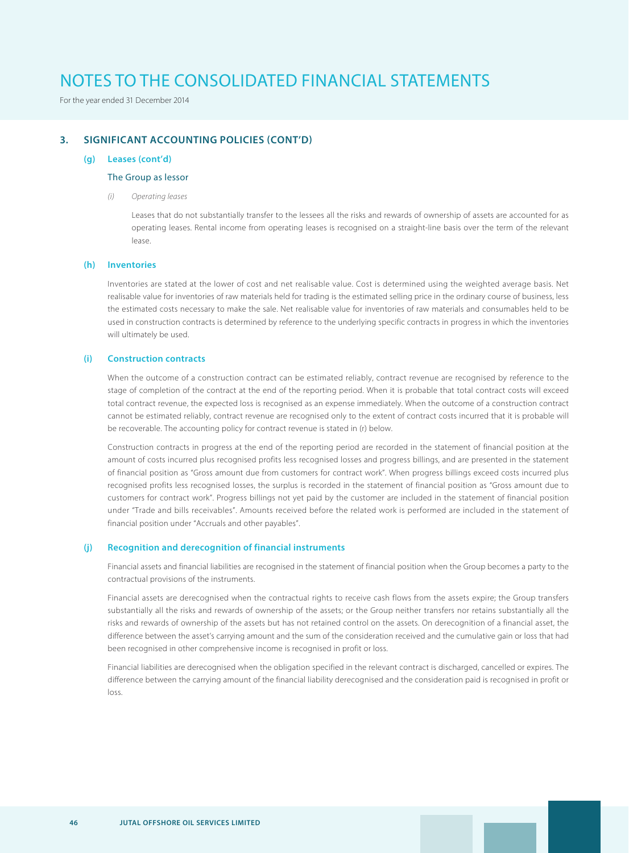For the year ended 31 December 2014

## **3. SIGNIFICANT ACCOUNTING POLICIES (CONT'D)**

#### **(g) Leases (cont'd)**

#### The Group as lessor

(i) Operating leases

Leases that do not substantially transfer to the lessees all the risks and rewards of ownership of assets are accounted for as operating leases. Rental income from operating leases is recognised on a straight-line basis over the term of the relevant lease.

#### **(h) Inventories**

Inventories are stated at the lower of cost and net realisable value. Cost is determined using the weighted average basis. Net realisable value for inventories of raw materials held for trading is the estimated selling price in the ordinary course of business, less the estimated costs necessary to make the sale. Net realisable value for inventories of raw materials and consumables held to be used in construction contracts is determined by reference to the underlying specific contracts in progress in which the inventories will ultimately be used.

### **(i) Construction contracts**

When the outcome of a construction contract can be estimated reliably, contract revenue are recognised by reference to the stage of completion of the contract at the end of the reporting period. When it is probable that total contract costs will exceed total contract revenue, the expected loss is recognised as an expense immediately. When the outcome of a construction contract cannot be estimated reliably, contract revenue are recognised only to the extent of contract costs incurred that it is probable will be recoverable. The accounting policy for contract revenue is stated in (r) below.

Construction contracts in progress at the end of the reporting period are recorded in the statement of financial position at the amount of costs incurred plus recognised profits less recognised losses and progress billings, and are presented in the statement of financial position as "Gross amount due from customers for contract work". When progress billings exceed costs incurred plus recognised profits less recognised losses, the surplus is recorded in the statement of financial position as "Gross amount due to customers for contract work". Progress billings not yet paid by the customer are included in the statement of financial position under "Trade and bills receivables". Amounts received before the related work is performed are included in the statement of financial position under "Accruals and other payables".

#### **(j) Recognition and derecognition of financial instruments**

Financial assets and financial liabilities are recognised in the statement of financial position when the Group becomes a party to the contractual provisions of the instruments.

Financial assets are derecognised when the contractual rights to receive cash flows from the assets expire; the Group transfers substantially all the risks and rewards of ownership of the assets; or the Group neither transfers nor retains substantially all the risks and rewards of ownership of the assets but has not retained control on the assets. On derecognition of a financial asset, the difference between the asset's carrying amount and the sum of the consideration received and the cumulative gain or loss that had been recognised in other comprehensive income is recognised in profit or loss.

Financial liabilities are derecognised when the obligation specified in the relevant contract is discharged, cancelled or expires. The difference between the carrying amount of the financial liability derecognised and the consideration paid is recognised in profit or loss.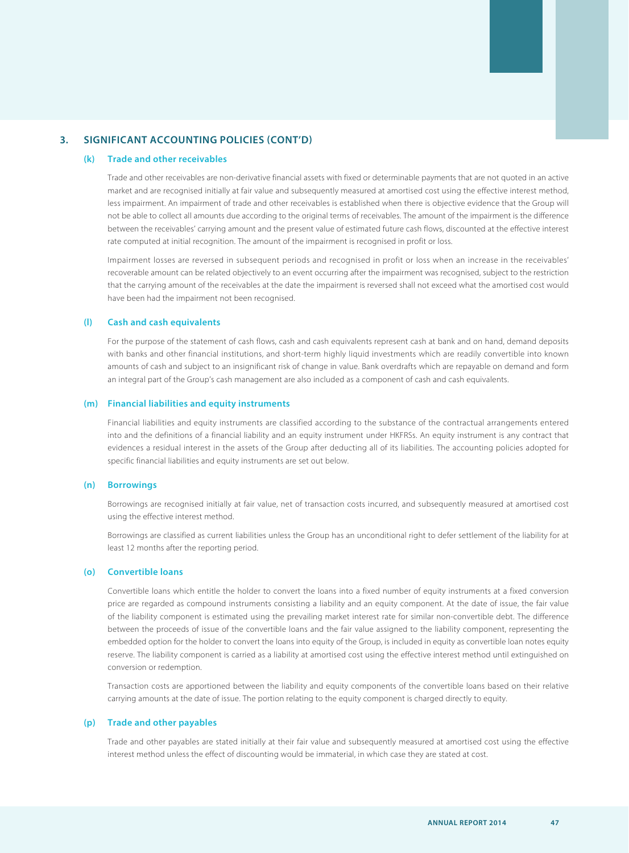## **3. SIGNIFICANT ACCOUNTING POLICIES (CONT'D)**

#### **(k) Trade and other receivables**

Trade and other receivables are non-derivative financial assets with fixed or determinable payments that are not quoted in an active market and are recognised initially at fair value and subsequently measured at amortised cost using the effective interest method, less impairment. An impairment of trade and other receivables is established when there is objective evidence that the Group will not be able to collect all amounts due according to the original terms of receivables. The amount of the impairment is the difference between the receivables' carrying amount and the present value of estimated future cash flows, discounted at the effective interest rate computed at initial recognition. The amount of the impairment is recognised in profit or loss.

Impairment losses are reversed in subsequent periods and recognised in profit or loss when an increase in the receivables' recoverable amount can be related objectively to an event occurring after the impairment was recognised, subject to the restriction that the carrying amount of the receivables at the date the impairment is reversed shall not exceed what the amortised cost would have been had the impairment not been recognised.

#### **(l) Cash and cash equivalents**

For the purpose of the statement of cash flows, cash and cash equivalents represent cash at bank and on hand, demand deposits with banks and other financial institutions, and short-term highly liquid investments which are readily convertible into known amounts of cash and subject to an insignificant risk of change in value. Bank overdrafts which are repayable on demand and form an integral part of the Group's cash management are also included as a component of cash and cash equivalents.

#### **(m) Financial liabilities and equity instruments**

Financial liabilities and equity instruments are classified according to the substance of the contractual arrangements entered into and the definitions of a financial liability and an equity instrument under HKFRSs. An equity instrument is any contract that evidences a residual interest in the assets of the Group after deducting all of its liabilities. The accounting policies adopted for specific financial liabilities and equity instruments are set out below.

#### **(n) Borrowings**

Borrowings are recognised initially at fair value, net of transaction costs incurred, and subsequently measured at amortised cost using the effective interest method.

Borrowings are classified as current liabilities unless the Group has an unconditional right to defer settlement of the liability for at least 12 months after the reporting period.

#### **(o) Convertible loans**

Convertible loans which entitle the holder to convert the loans into a fixed number of equity instruments at a fixed conversion price are regarded as compound instruments consisting a liability and an equity component. At the date of issue, the fair value of the liability component is estimated using the prevailing market interest rate for similar non-convertible debt. The difference between the proceeds of issue of the convertible loans and the fair value assigned to the liability component, representing the embedded option for the holder to convert the loans into equity of the Group, is included in equity as convertible loan notes equity reserve. The liability component is carried as a liability at amortised cost using the effective interest method until extinguished on conversion or redemption.

Transaction costs are apportioned between the liability and equity components of the convertible loans based on their relative carrying amounts at the date of issue. The portion relating to the equity component is charged directly to equity.

#### **(p) Trade and other payables**

Trade and other payables are stated initially at their fair value and subsequently measured at amortised cost using the effective interest method unless the effect of discounting would be immaterial, in which case they are stated at cost.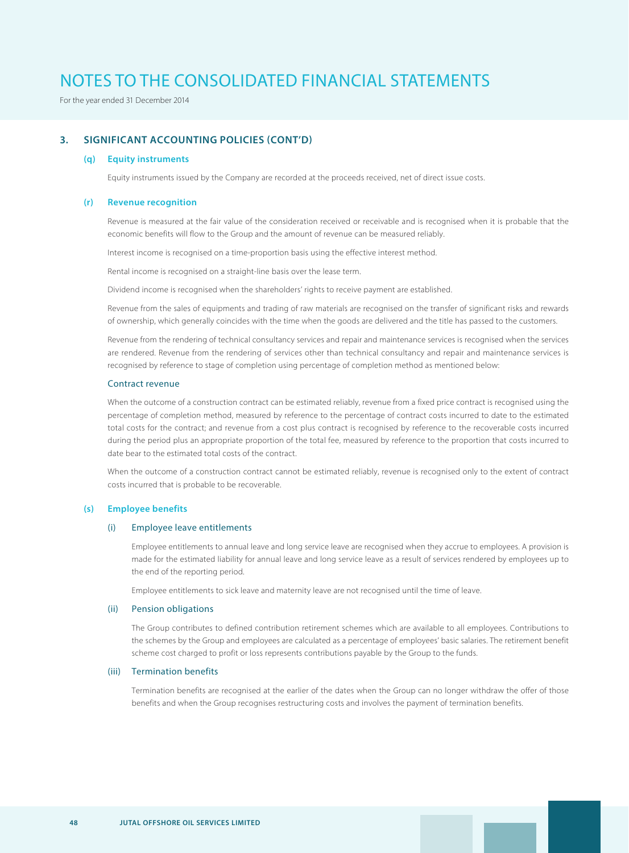For the year ended 31 December 2014

## **3. SIGNIFICANT ACCOUNTING POLICIES (CONT'D)**

#### **(q) Equity instruments**

Equity instruments issued by the Company are recorded at the proceeds received, net of direct issue costs.

#### **(r) Revenue recognition**

Revenue is measured at the fair value of the consideration received or receivable and is recognised when it is probable that the economic benefits will flow to the Group and the amount of revenue can be measured reliably.

Interest income is recognised on a time-proportion basis using the effective interest method.

Rental income is recognised on a straight-line basis over the lease term.

Dividend income is recognised when the shareholders' rights to receive payment are established.

Revenue from the sales of equipments and trading of raw materials are recognised on the transfer of significant risks and rewards of ownership, which generally coincides with the time when the goods are delivered and the title has passed to the customers.

Revenue from the rendering of technical consultancy services and repair and maintenance services is recognised when the services are rendered. Revenue from the rendering of services other than technical consultancy and repair and maintenance services is recognised by reference to stage of completion using percentage of completion method as mentioned below:

#### Contract revenue

When the outcome of a construction contract can be estimated reliably, revenue from a fixed price contract is recognised using the percentage of completion method, measured by reference to the percentage of contract costs incurred to date to the estimated total costs for the contract; and revenue from a cost plus contract is recognised by reference to the recoverable costs incurred during the period plus an appropriate proportion of the total fee, measured by reference to the proportion that costs incurred to date bear to the estimated total costs of the contract.

When the outcome of a construction contract cannot be estimated reliably, revenue is recognised only to the extent of contract costs incurred that is probable to be recoverable.

#### **(s) Employee benefits**

#### (i) Employee leave entitlements

Employee entitlements to annual leave and long service leave are recognised when they accrue to employees. A provision is made for the estimated liability for annual leave and long service leave as a result of services rendered by employees up to the end of the reporting period.

Employee entitlements to sick leave and maternity leave are not recognised until the time of leave.

#### (ii) Pension obligations

The Group contributes to defined contribution retirement schemes which are available to all employees. Contributions to the schemes by the Group and employees are calculated as a percentage of employees' basic salaries. The retirement benefit scheme cost charged to profit or loss represents contributions payable by the Group to the funds.

#### (iii) Termination benefits

Termination benefits are recognised at the earlier of the dates when the Group can no longer withdraw the offer of those benefits and when the Group recognises restructuring costs and involves the payment of termination benefits.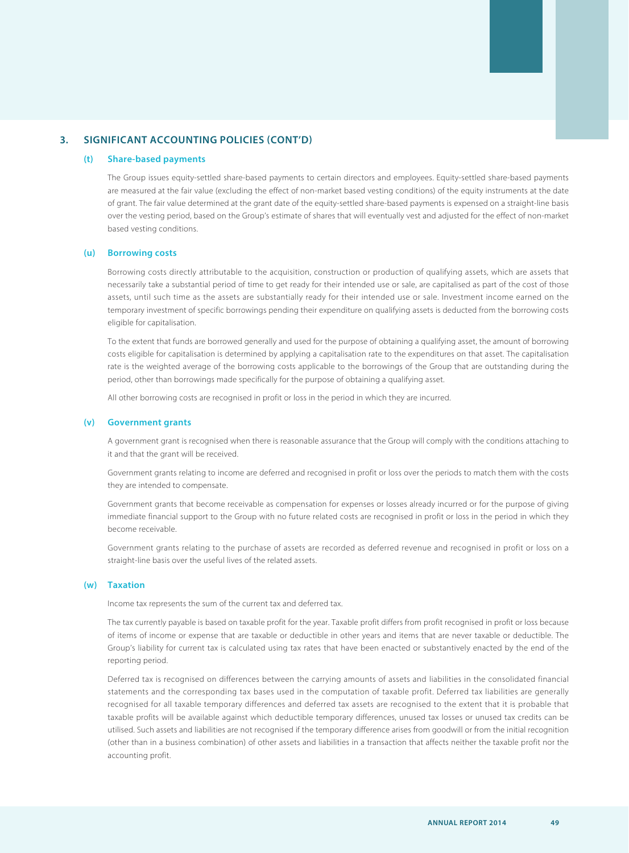## **3. SIGNIFICANT ACCOUNTING POLICIES (CONT'D)**

#### **(t) Share-based payments**

The Group issues equity-settled share-based payments to certain directors and employees. Equity-settled share-based payments are measured at the fair value (excluding the effect of non-market based vesting conditions) of the equity instruments at the date of grant. The fair value determined at the grant date of the equity-settled share-based payments is expensed on a straight-line basis over the vesting period, based on the Group's estimate of shares that will eventually vest and adjusted for the effect of non-market based vesting conditions.

#### **(u) Borrowing costs**

Borrowing costs directly attributable to the acquisition, construction or production of qualifying assets, which are assets that necessarily take a substantial period of time to get ready for their intended use or sale, are capitalised as part of the cost of those assets, until such time as the assets are substantially ready for their intended use or sale. Investment income earned on the temporary investment of specific borrowings pending their expenditure on qualifying assets is deducted from the borrowing costs eligible for capitalisation.

To the extent that funds are borrowed generally and used for the purpose of obtaining a qualifying asset, the amount of borrowing costs eligible for capitalisation is determined by applying a capitalisation rate to the expenditures on that asset. The capitalisation rate is the weighted average of the borrowing costs applicable to the borrowings of the Group that are outstanding during the period, other than borrowings made specifically for the purpose of obtaining a qualifying asset.

All other borrowing costs are recognised in profit or loss in the period in which they are incurred.

#### **(v) Government grants**

A government grant is recognised when there is reasonable assurance that the Group will comply with the conditions attaching to it and that the grant will be received.

Government grants relating to income are deferred and recognised in profit or loss over the periods to match them with the costs they are intended to compensate.

Government grants that become receivable as compensation for expenses or losses already incurred or for the purpose of giving immediate financial support to the Group with no future related costs are recognised in profit or loss in the period in which they become receivable.

Government grants relating to the purchase of assets are recorded as deferred revenue and recognised in profit or loss on a straight-line basis over the useful lives of the related assets.

#### **(w) Taxation**

Income tax represents the sum of the current tax and deferred tax.

The tax currently payable is based on taxable profit for the year. Taxable profit differs from profit recognised in profit or loss because of items of income or expense that are taxable or deductible in other years and items that are never taxable or deductible. The Group's liability for current tax is calculated using tax rates that have been enacted or substantively enacted by the end of the reporting period.

Deferred tax is recognised on differences between the carrying amounts of assets and liabilities in the consolidated financial statements and the corresponding tax bases used in the computation of taxable profit. Deferred tax liabilities are generally recognised for all taxable temporary differences and deferred tax assets are recognised to the extent that it is probable that taxable profits will be available against which deductible temporary differences, unused tax losses or unused tax credits can be utilised. Such assets and liabilities are not recognised if the temporary difference arises from goodwill or from the initial recognition (other than in a business combination) of other assets and liabilities in a transaction that affects neither the taxable profit nor the accounting profit.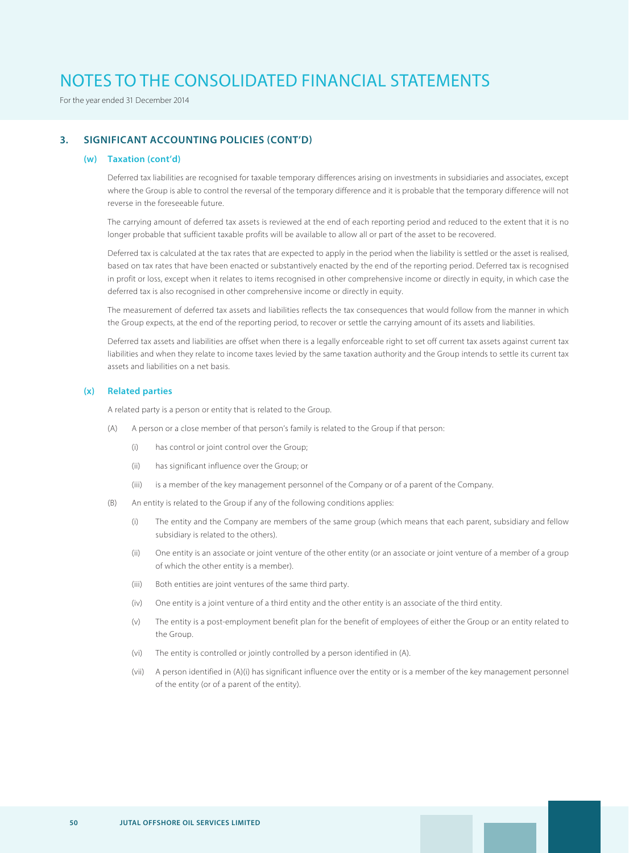For the year ended 31 December 2014

## **3. SIGNIFICANT ACCOUNTING POLICIES (CONT'D)**

#### **(w) Taxation (cont'd)**

Deferred tax liabilities are recognised for taxable temporary differences arising on investments in subsidiaries and associates, except where the Group is able to control the reversal of the temporary difference and it is probable that the temporary difference will not reverse in the foreseeable future.

The carrying amount of deferred tax assets is reviewed at the end of each reporting period and reduced to the extent that it is no longer probable that sufficient taxable profits will be available to allow all or part of the asset to be recovered.

Deferred tax is calculated at the tax rates that are expected to apply in the period when the liability is settled or the asset is realised, based on tax rates that have been enacted or substantively enacted by the end of the reporting period. Deferred tax is recognised in profit or loss, except when it relates to items recognised in other comprehensive income or directly in equity, in which case the deferred tax is also recognised in other comprehensive income or directly in equity.

The measurement of deferred tax assets and liabilities reflects the tax consequences that would follow from the manner in which the Group expects, at the end of the reporting period, to recover or settle the carrying amount of its assets and liabilities.

Deferred tax assets and liabilities are offset when there is a legally enforceable right to set off current tax assets against current tax liabilities and when they relate to income taxes levied by the same taxation authority and the Group intends to settle its current tax assets and liabilities on a net basis.

#### **(x) Related parties**

A related party is a person or entity that is related to the Group.

- (A) A person or a close member of that person's family is related to the Group if that person:
	- (i) has control or joint control over the Group;
	- (ii) has significant influence over the Group; or
	- (iii) is a member of the key management personnel of the Company or of a parent of the Company.
- (B) An entity is related to the Group if any of the following conditions applies:
	- (i) The entity and the Company are members of the same group (which means that each parent, subsidiary and fellow subsidiary is related to the others).
	- (ii) One entity is an associate or joint venture of the other entity (or an associate or joint venture of a member of a group of which the other entity is a member).
	- (iii) Both entities are joint ventures of the same third party.
	- (iv) One entity is a joint venture of a third entity and the other entity is an associate of the third entity.
	- (v) The entity is a post-employment benefit plan for the benefit of employees of either the Group or an entity related to the Group.
	- (vi) The entity is controlled or jointly controlled by a person identified in (A).
	- (vii) A person identified in (A)(i) has significant influence over the entity or is a member of the key management personnel of the entity (or of a parent of the entity).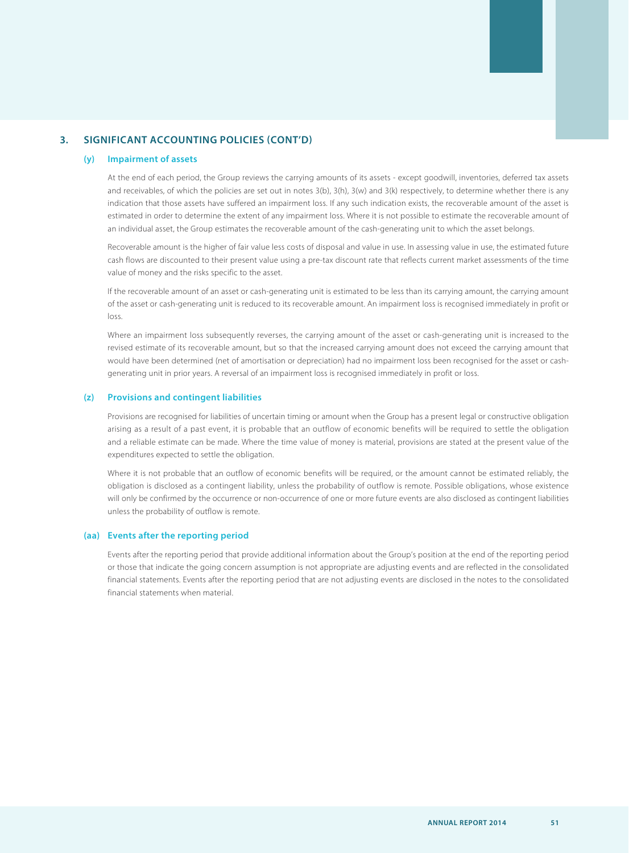## **3. SIGNIFICANT ACCOUNTING POLICIES (CONT'D)**

### **(y) Impairment of assets**

At the end of each period, the Group reviews the carrying amounts of its assets - except goodwill, inventories, deferred tax assets and receivables, of which the policies are set out in notes 3(b), 3(h), 3(w) and 3(k) respectively, to determine whether there is any indication that those assets have suffered an impairment loss. If any such indication exists, the recoverable amount of the asset is estimated in order to determine the extent of any impairment loss. Where it is not possible to estimate the recoverable amount of an individual asset, the Group estimates the recoverable amount of the cash-generating unit to which the asset belongs.

Recoverable amount is the higher of fair value less costs of disposal and value in use. In assessing value in use, the estimated future cash flows are discounted to their present value using a pre-tax discount rate that reflects current market assessments of the time value of money and the risks specific to the asset.

If the recoverable amount of an asset or cash-generating unit is estimated to be less than its carrying amount, the carrying amount of the asset or cash-generating unit is reduced to its recoverable amount. An impairment loss is recognised immediately in profit or loss.

Where an impairment loss subsequently reverses, the carrying amount of the asset or cash-generating unit is increased to the revised estimate of its recoverable amount, but so that the increased carrying amount does not exceed the carrying amount that would have been determined (net of amortisation or depreciation) had no impairment loss been recognised for the asset or cashgenerating unit in prior years. A reversal of an impairment loss is recognised immediately in profit or loss.

#### **(z) Provisions and contingent liabilities**

Provisions are recognised for liabilities of uncertain timing or amount when the Group has a present legal or constructive obligation arising as a result of a past event, it is probable that an outflow of economic benefits will be required to settle the obligation and a reliable estimate can be made. Where the time value of money is material, provisions are stated at the present value of the expenditures expected to settle the obligation.

Where it is not probable that an outflow of economic benefits will be required, or the amount cannot be estimated reliably, the obligation is disclosed as a contingent liability, unless the probability of outflow is remote. Possible obligations, whose existence will only be confirmed by the occurrence or non-occurrence of one or more future events are also disclosed as contingent liabilities unless the probability of outflow is remote.

#### **(aa) Events after the reporting period**

Events after the reporting period that provide additional information about the Group's position at the end of the reporting period or those that indicate the going concern assumption is not appropriate are adjusting events and are reflected in the consolidated financial statements. Events after the reporting period that are not adjusting events are disclosed in the notes to the consolidated financial statements when material.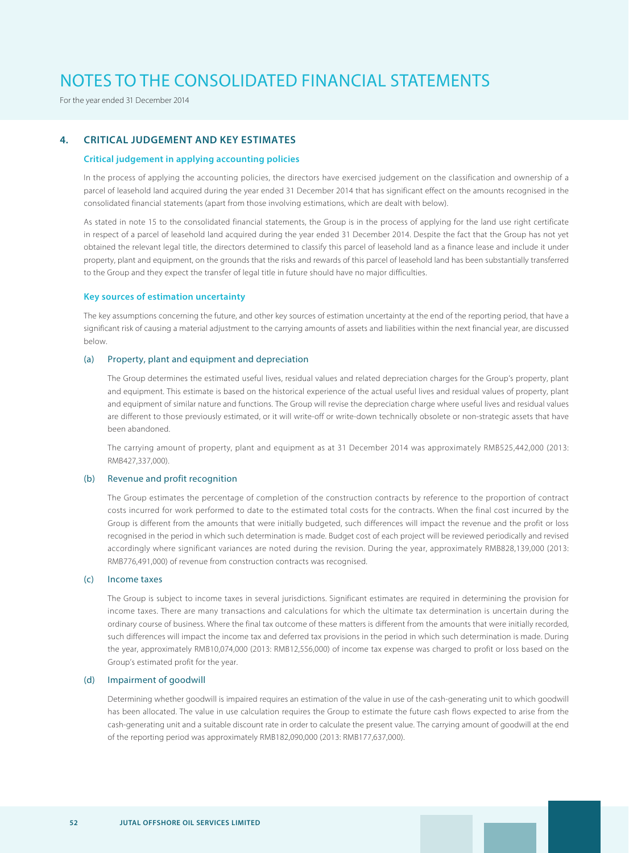For the year ended 31 December 2014

### **4. CRITICAL JUDGEMENT AND KEY ESTIMATES**

### **Critical judgement in applying accounting policies**

In the process of applying the accounting policies, the directors have exercised judgement on the classification and ownership of a parcel of leasehold land acquired during the year ended 31 December 2014 that has significant effect on the amounts recognised in the consolidated financial statements (apart from those involving estimations, which are dealt with below).

As stated in note 15 to the consolidated financial statements, the Group is in the process of applying for the land use right certificate in respect of a parcel of leasehold land acquired during the year ended 31 December 2014. Despite the fact that the Group has not yet obtained the relevant legal title, the directors determined to classify this parcel of leasehold land as a finance lease and include it under property, plant and equipment, on the grounds that the risks and rewards of this parcel of leasehold land has been substantially transferred to the Group and they expect the transfer of legal title in future should have no major difficulties.

#### **Key sources of estimation uncertainty**

The key assumptions concerning the future, and other key sources of estimation uncertainty at the end of the reporting period, that have a significant risk of causing a material adjustment to the carrying amounts of assets and liabilities within the next financial year, are discussed below.

#### (a) Property, plant and equipment and depreciation

The Group determines the estimated useful lives, residual values and related depreciation charges for the Group's property, plant and equipment. This estimate is based on the historical experience of the actual useful lives and residual values of property, plant and equipment of similar nature and functions. The Group will revise the depreciation charge where useful lives and residual values are different to those previously estimated, or it will write-off or write-down technically obsolete or non-strategic assets that have been abandoned.

The carrying amount of property, plant and equipment as at 31 December 2014 was approximately RMB525,442,000 (2013: RMB427,337,000).

#### (b) Revenue and profit recognition

The Group estimates the percentage of completion of the construction contracts by reference to the proportion of contract costs incurred for work performed to date to the estimated total costs for the contracts. When the final cost incurred by the Group is different from the amounts that were initially budgeted, such differences will impact the revenue and the profit or loss recognised in the period in which such determination is made. Budget cost of each project will be reviewed periodically and revised accordingly where significant variances are noted during the revision. During the year, approximately RMB828,139,000 (2013: RMB776,491,000) of revenue from construction contracts was recognised.

#### (c) Income taxes

The Group is subject to income taxes in several jurisdictions. Significant estimates are required in determining the provision for income taxes. There are many transactions and calculations for which the ultimate tax determination is uncertain during the ordinary course of business. Where the final tax outcome of these matters is different from the amounts that were initially recorded, such differences will impact the income tax and deferred tax provisions in the period in which such determination is made. During the year, approximately RMB10,074,000 (2013: RMB12,556,000) of income tax expense was charged to profit or loss based on the Group's estimated profit for the year.

#### (d) Impairment of goodwill

Determining whether goodwill is impaired requires an estimation of the value in use of the cash-generating unit to which goodwill has been allocated. The value in use calculation requires the Group to estimate the future cash flows expected to arise from the cash-generating unit and a suitable discount rate in order to calculate the present value. The carrying amount of goodwill at the end of the reporting period was approximately RMB182,090,000 (2013: RMB177,637,000).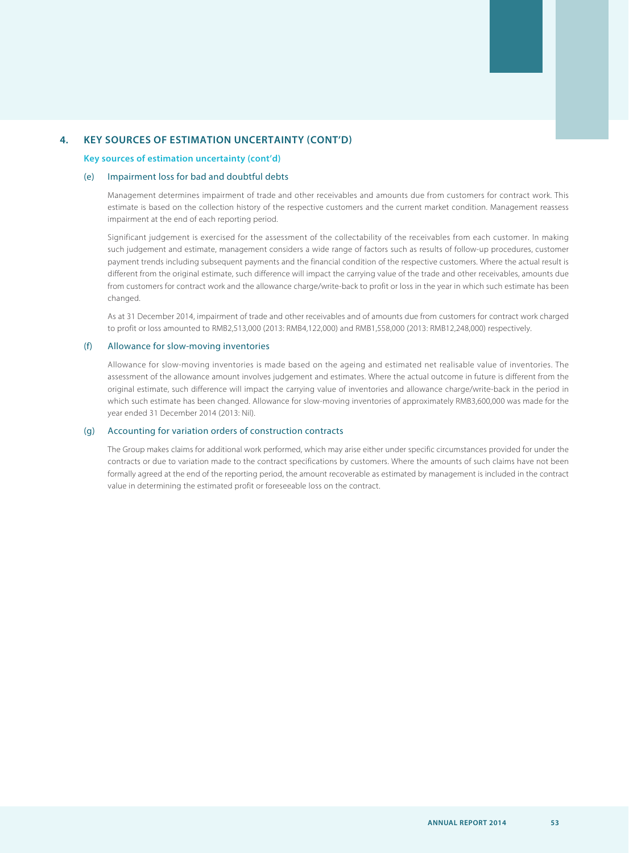### **4. KEY SOURCES OF ESTIMATION UNCERTAINTY (CONT'D)**

#### **Key sources of estimation uncertainty (cont'd)**

#### (e) Impairment loss for bad and doubtful debts

Management determines impairment of trade and other receivables and amounts due from customers for contract work. This estimate is based on the collection history of the respective customers and the current market condition. Management reassess impairment at the end of each reporting period.

Significant judgement is exercised for the assessment of the collectability of the receivables from each customer. In making such judgement and estimate, management considers a wide range of factors such as results of follow-up procedures, customer payment trends including subsequent payments and the financial condition of the respective customers. Where the actual result is different from the original estimate, such difference will impact the carrying value of the trade and other receivables, amounts due from customers for contract work and the allowance charge/write-back to profit or loss in the year in which such estimate has been changed.

As at 31 December 2014, impairment of trade and other receivables and of amounts due from customers for contract work charged to profit or loss amounted to RMB2,513,000 (2013: RMB4,122,000) and RMB1,558,000 (2013: RMB12,248,000) respectively.

#### (f) Allowance for slow-moving inventories

Allowance for slow-moving inventories is made based on the ageing and estimated net realisable value of inventories. The assessment of the allowance amount involves judgement and estimates. Where the actual outcome in future is different from the original estimate, such difference will impact the carrying value of inventories and allowance charge/write-back in the period in which such estimate has been changed. Allowance for slow-moving inventories of approximately RMB3,600,000 was made for the year ended 31 December 2014 (2013: Nil).

#### (g) Accounting for variation orders of construction contracts

The Group makes claims for additional work performed, which may arise either under specific circumstances provided for under the contracts or due to variation made to the contract specifications by customers. Where the amounts of such claims have not been formally agreed at the end of the reporting period, the amount recoverable as estimated by management is included in the contract value in determining the estimated profit or foreseeable loss on the contract.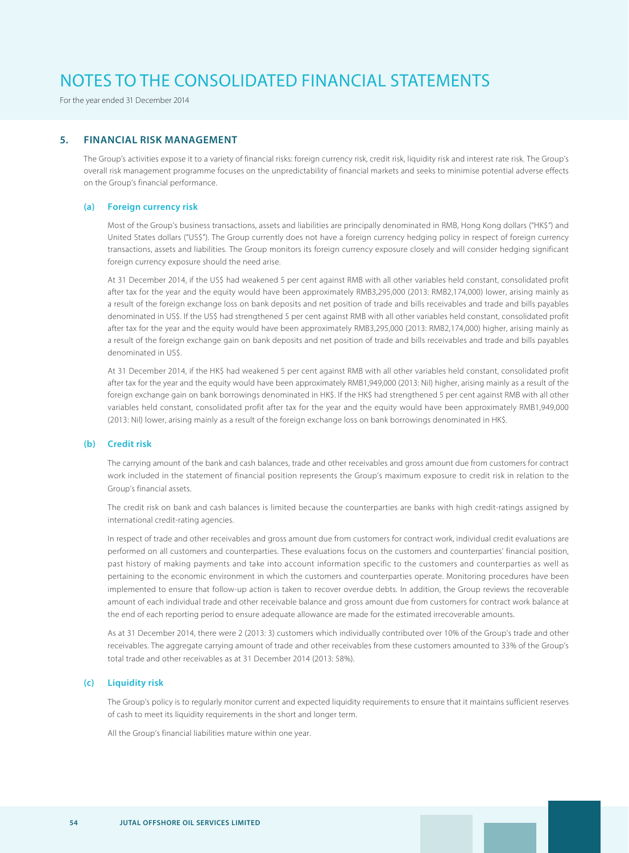For the year ended 31 December 2014

### **5. FINANCIAL RISK MANAGEMENT**

The Group's activities expose it to a variety of financial risks: foreign currency risk, credit risk, liquidity risk and interest rate risk. The Group's overall risk management programme focuses on the unpredictability of financial markets and seeks to minimise potential adverse effects on the Group's financial performance.

#### **(a) Foreign currency risk**

Most of the Group's business transactions, assets and liabilities are principally denominated in RMB, Hong Kong dollars ("HK\$") and United States dollars ("US\$"). The Group currently does not have a foreign currency hedging policy in respect of foreign currency transactions, assets and liabilities. The Group monitors its foreign currency exposure closely and will consider hedging significant foreign currency exposure should the need arise.

At 31 December 2014, if the US\$ had weakened 5 per cent against RMB with all other variables held constant, consolidated profit after tax for the year and the equity would have been approximately RMB3,295,000 (2013: RMB2,174,000) lower, arising mainly as a result of the foreign exchange loss on bank deposits and net position of trade and bills receivables and trade and bills payables denominated in US\$. If the US\$ had strengthened 5 per cent against RMB with all other variables held constant, consolidated profit after tax for the year and the equity would have been approximately RMB3,295,000 (2013: RMB2,174,000) higher, arising mainly as a result of the foreign exchange gain on bank deposits and net position of trade and bills receivables and trade and bills payables denominated in US\$.

At 31 December 2014, if the HK\$ had weakened 5 per cent against RMB with all other variables held constant, consolidated profit after tax for the year and the equity would have been approximately RMB1,949,000 (2013: Nil) higher, arising mainly as a result of the foreign exchange gain on bank borrowings denominated in HK\$. If the HK\$ had strengthened 5 per cent against RMB with all other variables held constant, consolidated profit after tax for the year and the equity would have been approximately RMB1,949,000 (2013: Nil) lower, arising mainly as a result of the foreign exchange loss on bank borrowings denominated in HK\$.

#### **(b) Credit risk**

The carrying amount of the bank and cash balances, trade and other receivables and gross amount due from customers for contract work included in the statement of financial position represents the Group's maximum exposure to credit risk in relation to the Group's financial assets.

The credit risk on bank and cash balances is limited because the counterparties are banks with high credit-ratings assigned by international credit-rating agencies.

In respect of trade and other receivables and gross amount due from customers for contract work, individual credit evaluations are performed on all customers and counterparties. These evaluations focus on the customers and counterparties' financial position, past history of making payments and take into account information specific to the customers and counterparties as well as pertaining to the economic environment in which the customers and counterparties operate. Monitoring procedures have been implemented to ensure that follow-up action is taken to recover overdue debts. In addition, the Group reviews the recoverable amount of each individual trade and other receivable balance and gross amount due from customers for contract work balance at the end of each reporting period to ensure adequate allowance are made for the estimated irrecoverable amounts.

As at 31 December 2014, there were 2 (2013: 3) customers which individually contributed over 10% of the Group's trade and other receivables. The aggregate carrying amount of trade and other receivables from these customers amounted to 33% of the Group's total trade and other receivables as at 31 December 2014 (2013: 58%).

#### **(c) Liquidity risk**

The Group's policy is to regularly monitor current and expected liquidity requirements to ensure that it maintains sufficient reserves of cash to meet its liquidity requirements in the short and longer term.

All the Group's financial liabilities mature within one year.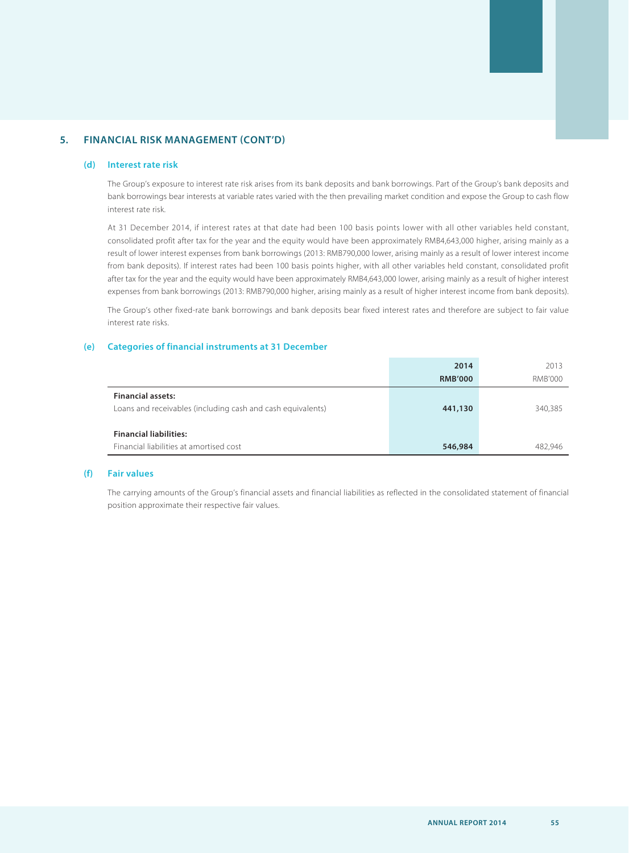# **5. FINANCIAL RISK MANAGEMENT (CONT'D)**

#### **(d) Interest rate risk**

The Group's exposure to interest rate risk arises from its bank deposits and bank borrowings. Part of the Group's bank deposits and bank borrowings bear interests at variable rates varied with the then prevailing market condition and expose the Group to cash flow interest rate risk.

At 31 December 2014, if interest rates at that date had been 100 basis points lower with all other variables held constant, consolidated profit after tax for the year and the equity would have been approximately RMB4,643,000 higher, arising mainly as a result of lower interest expenses from bank borrowings (2013: RMB790,000 lower, arising mainly as a result of lower interest income from bank deposits). If interest rates had been 100 basis points higher, with all other variables held constant, consolidated profit after tax for the year and the equity would have been approximately RMB4,643,000 lower, arising mainly as a result of higher interest expenses from bank borrowings (2013: RMB790,000 higher, arising mainly as a result of higher interest income from bank deposits).

The Group's other fixed-rate bank borrowings and bank deposits bear fixed interest rates and therefore are subject to fair value interest rate risks.

#### **(e) Categories of financial instruments at 31 December**

|                                                             | 2014           | 2013           |
|-------------------------------------------------------------|----------------|----------------|
|                                                             | <b>RMB'000</b> | <b>RMB'000</b> |
| <b>Financial assets:</b>                                    |                |                |
| Loans and receivables (including cash and cash equivalents) | 441,130        | 340,385        |
|                                                             |                |                |
| <b>Financial liabilities:</b>                               |                |                |
| Financial liabilities at amortised cost                     | 546,984        | 482.946        |

#### **(f) Fair values**

The carrying amounts of the Group's financial assets and financial liabilities as reflected in the consolidated statement of financial position approximate their respective fair values.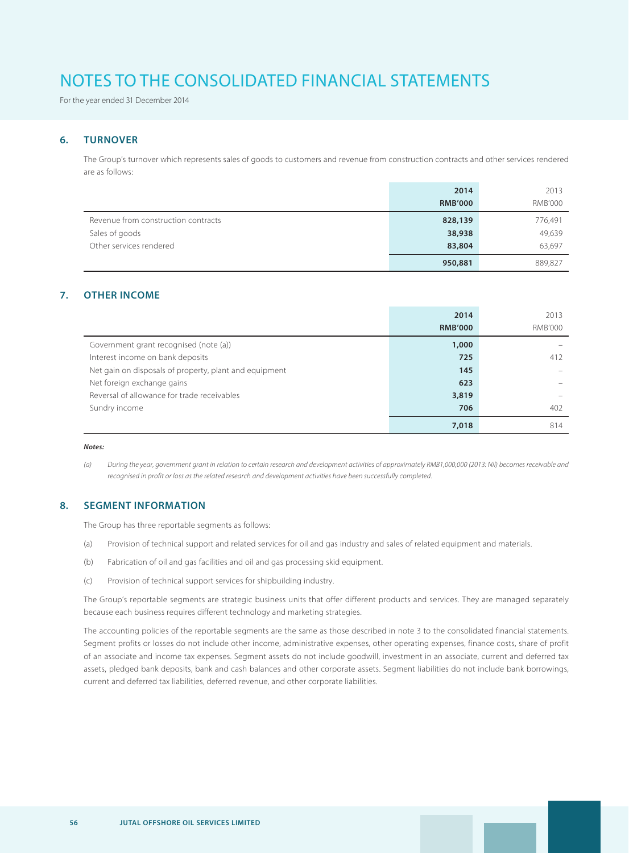For the year ended 31 December 2014

### **6. TURNOVER**

The Group's turnover which represents sales of goods to customers and revenue from construction contracts and other services rendered are as follows:

|                                     | 2014           | 2013           |
|-------------------------------------|----------------|----------------|
|                                     | <b>RMB'000</b> | <b>RMB'000</b> |
| Revenue from construction contracts | 828,139        | 776,491        |
| Sales of goods                      | 38,938         | 49,639         |
| Other services rendered             | 83,804         | 63,697         |
|                                     | 950,881        | 889,827        |

## **7. OTHER INCOME**

|                                                        | 2014           | 2013           |
|--------------------------------------------------------|----------------|----------------|
|                                                        | <b>RMB'000</b> | <b>RMB'000</b> |
| Government grant recognised (note (a))                 | 1,000          |                |
| Interest income on bank deposits                       | 725            | 412            |
| Net gain on disposals of property, plant and equipment | 145            |                |
| Net foreign exchange gains                             | 623            |                |
| Reversal of allowance for trade receivables            | 3,819          |                |
| Sundry income                                          | 706            | 402            |
|                                                        | 7,018          | 814            |

#### **Notes:**

(a) During the year, government grant in relation to certain research and development activities of approximately RMB1,000,000 (2013: Nil) becomes receivable and recognised in profit or loss as the related research and development activities have been successfully completed.

# **8. SEGMENT INFORMATION**

The Group has three reportable segments as follows:

- (a) Provision of technical support and related services for oil and gas industry and sales of related equipment and materials.
- (b) Fabrication of oil and gas facilities and oil and gas processing skid equipment.
- (c) Provision of technical support services for shipbuilding industry.

The Group's reportable segments are strategic business units that offer different products and services. They are managed separately because each business requires different technology and marketing strategies.

The accounting policies of the reportable segments are the same as those described in note 3 to the consolidated financial statements. Segment profits or losses do not include other income, administrative expenses, other operating expenses, finance costs, share of profit of an associate and income tax expenses. Segment assets do not include goodwill, investment in an associate, current and deferred tax assets, pledged bank deposits, bank and cash balances and other corporate assets. Segment liabilities do not include bank borrowings, current and deferred tax liabilities, deferred revenue, and other corporate liabilities.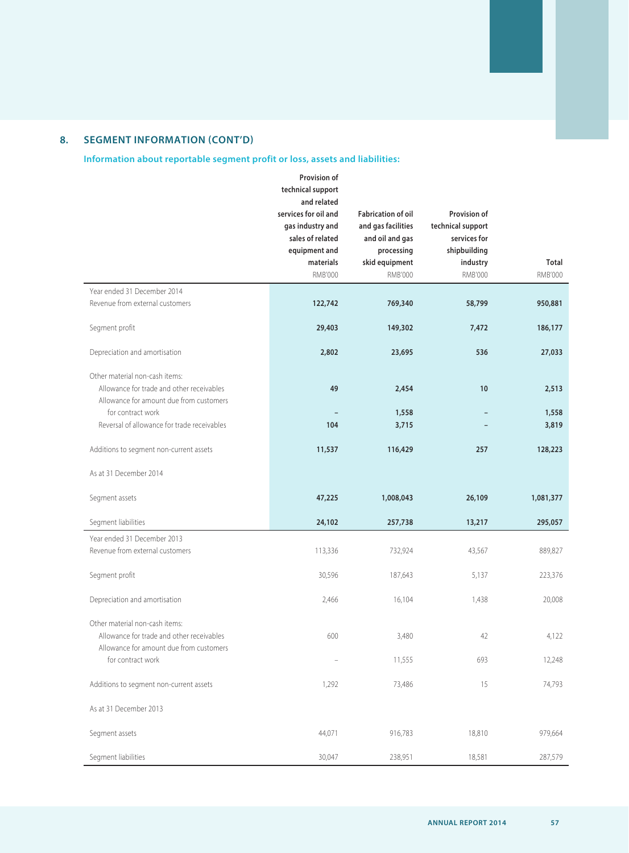# **8. SEGMENT INFORMATION (CONT'D)**

# **Information about reportable segment profit or loss, assets and liabilities:**

|                                                                                      | Provision of<br>technical support<br>and related<br>services for oil and<br>gas industry and<br>sales of related<br>equipment and | <b>Fabrication of oil</b><br>and gas facilities<br>and oil and gas<br>processing | Provision of<br>technical support<br>services for<br>shipbuilding |                         |
|--------------------------------------------------------------------------------------|-----------------------------------------------------------------------------------------------------------------------------------|----------------------------------------------------------------------------------|-------------------------------------------------------------------|-------------------------|
|                                                                                      | materials<br>RMB'000                                                                                                              | skid equipment<br><b>RMB'000</b>                                                 | industry<br><b>RMB'000</b>                                        | <b>Total</b><br>RMB'000 |
| Year ended 31 December 2014                                                          |                                                                                                                                   |                                                                                  |                                                                   |                         |
| Revenue from external customers                                                      | 122,742                                                                                                                           | 769,340                                                                          | 58,799                                                            | 950,881                 |
| Segment profit                                                                       | 29,403                                                                                                                            | 149,302                                                                          | 7,472                                                             | 186,177                 |
| Depreciation and amortisation                                                        | 2,802                                                                                                                             | 23,695                                                                           | 536                                                               | 27,033                  |
| Other material non-cash items:                                                       |                                                                                                                                   |                                                                                  |                                                                   |                         |
| Allowance for trade and other receivables<br>Allowance for amount due from customers | 49                                                                                                                                | 2,454                                                                            | 10                                                                | 2,513                   |
| for contract work                                                                    |                                                                                                                                   | 1,558                                                                            |                                                                   | 1,558                   |
| Reversal of allowance for trade receivables                                          | 104                                                                                                                               | 3,715                                                                            |                                                                   | 3,819                   |
| Additions to segment non-current assets                                              | 11,537                                                                                                                            | 116,429                                                                          | 257                                                               | 128,223                 |
| As at 31 December 2014                                                               |                                                                                                                                   |                                                                                  |                                                                   |                         |
| Segment assets                                                                       | 47,225                                                                                                                            | 1,008,043                                                                        | 26,109                                                            | 1,081,377               |
| Segment liabilities                                                                  | 24,102                                                                                                                            | 257,738                                                                          | 13,217                                                            | 295,057                 |
| Year ended 31 December 2013                                                          |                                                                                                                                   |                                                                                  |                                                                   |                         |
| Revenue from external customers                                                      | 113,336                                                                                                                           | 732,924                                                                          | 43,567                                                            | 889,827                 |
| Segment profit                                                                       | 30,596                                                                                                                            | 187,643                                                                          | 5,137                                                             | 223,376                 |
| Depreciation and amortisation                                                        | 2,466                                                                                                                             | 16,104                                                                           | 1,438                                                             | 20,008                  |
| Other material non-cash items:                                                       |                                                                                                                                   |                                                                                  |                                                                   |                         |
| Allowance for trade and other receivables                                            | 600                                                                                                                               | 3,480                                                                            | 42                                                                | 4,122                   |
| Allowance for amount due from customers                                              |                                                                                                                                   |                                                                                  |                                                                   |                         |
| for contract work                                                                    |                                                                                                                                   | 11,555                                                                           | 693                                                               | 12,248                  |
| Additions to segment non-current assets                                              | 1,292                                                                                                                             | 73,486                                                                           | 15                                                                | 74,793                  |
| As at 31 December 2013                                                               |                                                                                                                                   |                                                                                  |                                                                   |                         |
|                                                                                      |                                                                                                                                   |                                                                                  |                                                                   |                         |
| Segment assets                                                                       | 44,071                                                                                                                            | 916,783                                                                          | 18,810                                                            | 979,664                 |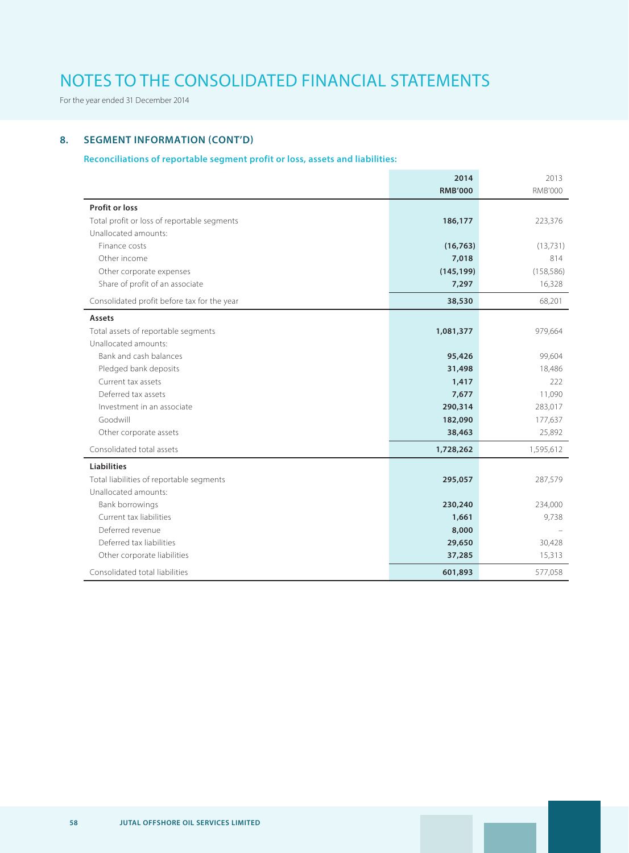For the year ended 31 December 2014

# **8. SEGMENT INFORMATION (CONT'D)**

# **Reconciliations of reportable segment profit or loss, assets and liabilities:**

|                                                                     | 2014<br><b>RMB'000</b> | 2013<br><b>RMB'000</b> |
|---------------------------------------------------------------------|------------------------|------------------------|
|                                                                     |                        |                        |
| <b>Profit or loss</b>                                               |                        |                        |
| Total profit or loss of reportable segments<br>Unallocated amounts: | 186,177                | 223,376                |
| Finance costs                                                       | (16, 763)              | (13,731)               |
| Other income                                                        | 7,018                  | 814                    |
| Other corporate expenses                                            | (145, 199)             | (158, 586)             |
| Share of profit of an associate                                     | 7,297                  | 16,328                 |
|                                                                     |                        |                        |
| Consolidated profit before tax for the year                         | 38,530                 | 68,201                 |
| Assets                                                              |                        |                        |
| Total assets of reportable segments                                 | 1,081,377              | 979,664                |
| Unallocated amounts:                                                |                        |                        |
| Bank and cash balances                                              | 95,426                 | 99,604                 |
| Pledged bank deposits                                               | 31,498                 | 18,486                 |
| Current tax assets<br>Deferred tax assets                           | 1,417                  | 222                    |
| Investment in an associate                                          | 7,677                  | 11,090                 |
| Goodwill                                                            | 290,314<br>182,090     | 283,017<br>177,637     |
| Other corporate assets                                              | 38,463                 | 25,892                 |
|                                                                     |                        |                        |
| Consolidated total assets                                           | 1,728,262              | 1,595,612              |
| <b>Liabilities</b>                                                  |                        |                        |
| Total liabilities of reportable segments                            | 295,057                | 287,579                |
| Unallocated amounts:                                                |                        |                        |
| Bank borrowings                                                     | 230,240                | 234,000                |
| Current tax liabilities                                             | 1,661                  | 9,738                  |
| Deferred revenue                                                    | 8,000                  |                        |
| Deferred tax liabilities                                            | 29,650                 | 30,428                 |
| Other corporate liabilities                                         | 37,285                 | 15,313                 |
| Consolidated total liabilities                                      | 601,893                | 577,058                |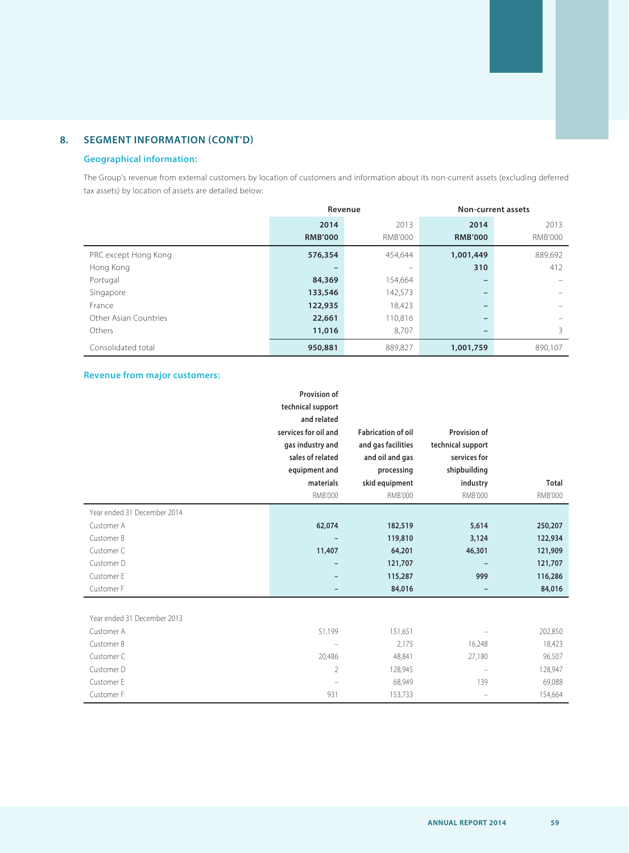# **8. SEGMENT INFORMATION (CONT'D)**

### **Geographical information:**

The Group's revenue from external customers by location of customers and information about its non-current assets (excluding deferred tax assets) by location of assets are detailed below:

|                       | Revenue        |                          | <b>Non-current assets</b> |                          |
|-----------------------|----------------|--------------------------|---------------------------|--------------------------|
|                       | 2014           | 2013                     | 2014                      | 2013                     |
|                       | <b>RMB'000</b> | <b>RMB'000</b>           | <b>RMB'000</b>            | <b>RMB'000</b>           |
| PRC except Hong Kong  | 576,354        | 454,644                  | 1,001,449                 | 889,692                  |
| Hong Kong             |                | $\overline{\phantom{0}}$ | 310                       | 412                      |
| Portugal              | 84,369         | 154.664                  |                           |                          |
| Singapore             | 133,546        | 142,573                  | $\overline{\phantom{0}}$  |                          |
| France                | 122,935        | 18,423                   | -                         | $\overline{\phantom{0}}$ |
| Other Asian Countries | 22,661         | 110,816                  | -                         |                          |
| Others                | 11,016         | 8.707                    |                           | 3                        |
| Consolidated total    | 950,881        | 889,827                  | 1,001,759                 | 890.107                  |

### **Revenue from major customers:**

|                             | Provision of         |                           |                   |              |
|-----------------------------|----------------------|---------------------------|-------------------|--------------|
|                             | technical support    |                           |                   |              |
|                             | and related          |                           |                   |              |
|                             | services for oil and | <b>Fabrication of oil</b> | Provision of      |              |
|                             | gas industry and     | and gas facilities        | technical support |              |
|                             | sales of related     | and oil and gas           | services for      |              |
|                             | equipment and        | processing                | shipbuilding      |              |
|                             | materials            | skid equipment            | industry          | <b>Total</b> |
|                             | RMB'000              | <b>RMB'000</b>            | RMB'000           | RMB'000      |
| Year ended 31 December 2014 |                      |                           |                   |              |
| Customer A                  | 62,074               | 182,519                   | 5,614             | 250,207      |
| Customer B                  |                      | 119,810                   | 3,124             | 122,934      |
| Customer C                  | 11,407               | 64,201                    | 46,301            | 121,909      |
| Customer D                  |                      | 121,707                   |                   | 121,707      |
| Customer E                  |                      | 115,287                   | 999               | 116,286      |
| Customer F                  |                      | 84,016                    |                   | 84,016       |
|                             |                      |                           |                   |              |
| Year ended 31 December 2013 |                      |                           |                   |              |
| Customer A                  | 51,199               | 151,651                   |                   | 202,850      |
| Customer B                  |                      | 2,175                     | 16,248            | 18,423       |
| Customer C                  | 20,486               | 48,841                    | 27,180            | 96,507       |
| Customer D                  | $\overline{2}$       | 128,945                   |                   | 128,947      |
| Customer E                  |                      | 68,949                    | 139               | 69,088       |
| Customer F                  | 931                  | 153,733                   |                   | 154,664      |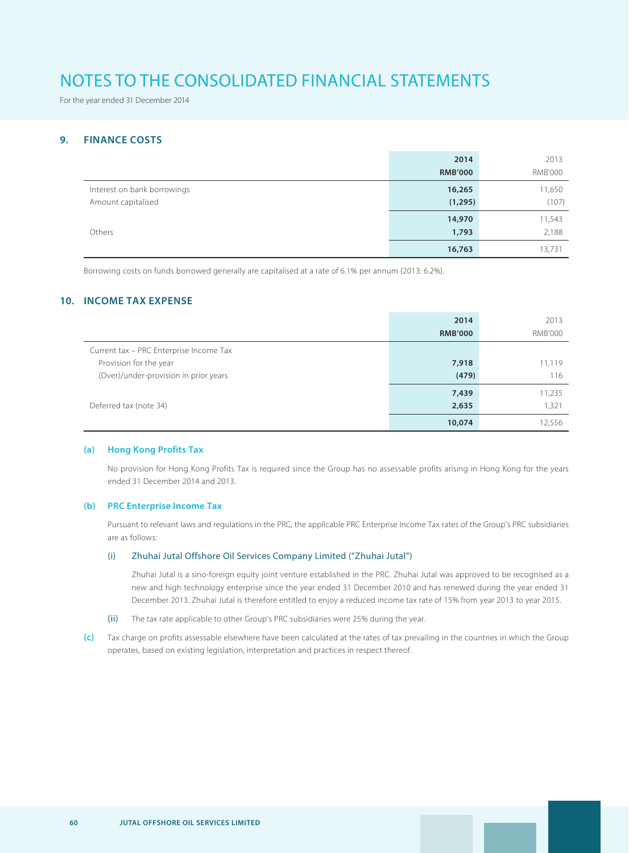For the year ended 31 December 2014

# **9. FINANCE COSTS**

|                             | 2014           | 2013           |
|-----------------------------|----------------|----------------|
|                             | <b>RMB'000</b> | <b>RMB'000</b> |
| Interest on bank borrowings | 16,265         | 11,650         |
| Amount capitalised          | (1, 295)       | (107)          |
|                             | 14,970         | 11,543         |
| Others                      | 1,793          | 2,188          |
|                             | 16,763         | 13,731         |

Borrowing costs on funds borrowed generally are capitalised at a rate of 6.1% per annum (2013: 6.2%).

## **10. INCOME TAX EXPENSE**

|                                         | 2014           | 2013           |
|-----------------------------------------|----------------|----------------|
|                                         | <b>RMB'000</b> | <b>RMB'000</b> |
| Current tax - PRC Enterprise Income Tax |                |                |
| Provision for the year                  | 7,918          | 11,119         |
| (Over)/under-provision in prior years   | (479)          | 116            |
|                                         | 7,439          | 11,235         |
| Deferred tax (note 34)                  | 2,635          | 1,321          |
|                                         | 10,074         | 12,556         |

#### **(a) Hong Kong Profits Tax**

No provision for Hong Kong Profits Tax is required since the Group has no assessable profits arising in Hong Kong for the years ended 31 December 2014 and 2013.

### **(b) PRC Enterprise Income Tax**

Pursuant to relevant laws and regulations in the PRC, the applicable PRC Enterprise Income Tax rates of the Group's PRC subsidiaries are as follows:

#### (i) Zhuhai Jutal Offshore Oil Services Company Limited ("Zhuhai Jutal")

Zhuhai Jutal is a sino-foreign equity joint venture established in the PRC. Zhuhai Jutal was approved to be recognised as a new and high technology enterprise since the year ended 31 December 2010 and has renewed during the year ended 31 December 2013. Zhuhai Jutal is therefore entitled to enjoy a reduced income tax rate of 15% from year 2013 to year 2015.

- (ii) The tax rate applicable to other Group's PRC subsidiaries were 25% during the year.
- **(c)** Tax charge on profits assessable elsewhere have been calculated at the rates of tax prevailing in the countries in which the Group operates, based on existing legislation, interpretation and practices in respect thereof.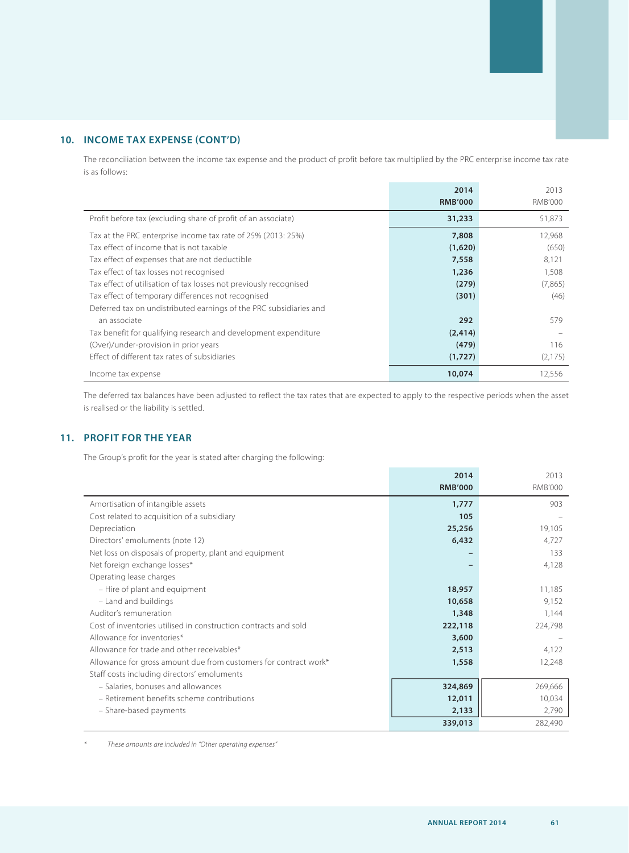# **10. INCOME TAX EXPENSE (CONT'D)**

The reconciliation between the income tax expense and the product of profit before tax multiplied by the PRC enterprise income tax rate is as follows:

|                                                                    | 2014<br><b>RMB'000</b> | 2013<br><b>RMB'000</b> |
|--------------------------------------------------------------------|------------------------|------------------------|
| Profit before tax (excluding share of profit of an associate)      | 31,233                 | 51,873                 |
| Tax at the PRC enterprise income tax rate of 25% (2013: 25%)       | 7,808                  | 12,968                 |
| Tax effect of income that is not taxable                           | (1,620)                | (650)                  |
| Tax effect of expenses that are not deductible                     | 7,558                  | 8,121                  |
| Tax effect of tax losses not recognised                            | 1,236                  | 1,508                  |
| Tax effect of utilisation of tax losses not previously recognised  | (279)                  | (7,865)                |
| Tax effect of temporary differences not recognised                 | (301)                  | (46)                   |
| Deferred tax on undistributed earnings of the PRC subsidiaries and |                        |                        |
| an associate                                                       | 292                    | 579                    |
| Tax benefit for qualifying research and development expenditure    | (2, 414)               |                        |
| (Over)/under-provision in prior years                              | (479)                  | 116                    |
| Effect of different tax rates of subsidiaries                      | (1,727)                | (2, 175)               |
| Income tax expense                                                 | 10,074                 | 12,556                 |

The deferred tax balances have been adjusted to reflect the tax rates that are expected to apply to the respective periods when the asset is realised or the liability is settled.

# **11. PROFIT FOR THE YEAR**

The Group's profit for the year is stated after charging the following:

|                                                                  | 2014           | 2013           |
|------------------------------------------------------------------|----------------|----------------|
|                                                                  | <b>RMB'000</b> | <b>RMB'000</b> |
| Amortisation of intangible assets                                | 1,777          | 903            |
| Cost related to acquisition of a subsidiary                      | 105            |                |
| Depreciation                                                     | 25,256         | 19,105         |
| Directors' emoluments (note 12)                                  | 6,432          | 4,727          |
| Net loss on disposals of property, plant and equipment           |                | 133            |
| Net foreign exchange losses*                                     |                | 4,128          |
| Operating lease charges                                          |                |                |
| - Hire of plant and equipment                                    | 18,957         | 11,185         |
| - Land and buildings                                             | 10,658         | 9,152          |
| Auditor's remuneration                                           | 1,348          | 1,144          |
| Cost of inventories utilised in construction contracts and sold  | 222,118        | 224,798        |
| Allowance for inventories*                                       | 3,600          |                |
| Allowance for trade and other receivables*                       | 2,513          | 4,122          |
| Allowance for gross amount due from customers for contract work* | 1,558          | 12,248         |
| Staff costs including directors' emoluments                      |                |                |
| - Salaries, bonuses and allowances                               | 324,869        | 269,666        |
| - Retirement benefits scheme contributions                       | 12,011         | 10,034         |
| - Share-based payments                                           | 2,133          | 2,790          |
|                                                                  | 339,013        | 282,490        |

These amounts are included in "Other operating expenses"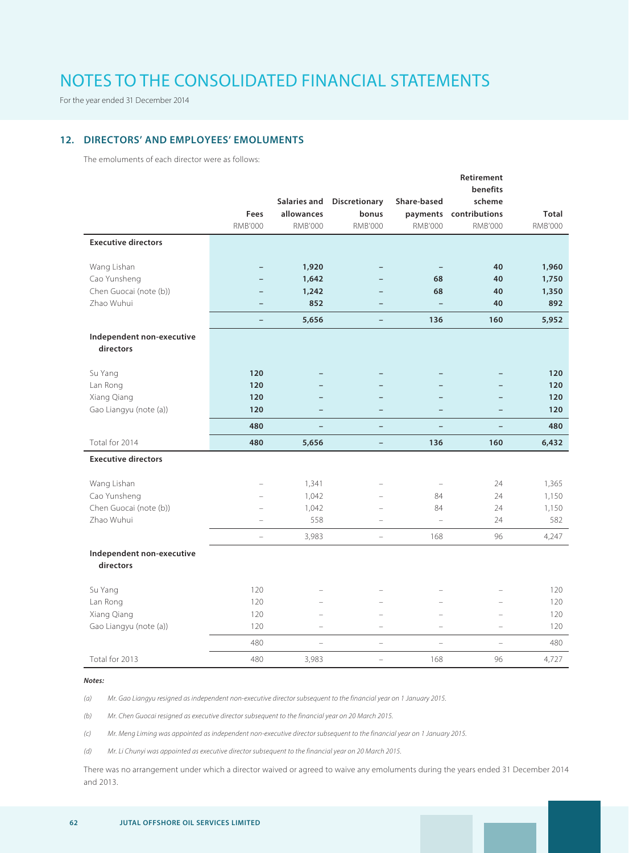For the year ended 31 December 2014

# **12. DIRECTORS' AND EMPLOYEES' EMOLUMENTS**

The emoluments of each director were as follows:

|                                        |                          |                          |                          |                                | Retirement<br>benefits   |                |
|----------------------------------------|--------------------------|--------------------------|--------------------------|--------------------------------|--------------------------|----------------|
|                                        |                          | Salaries and             | Discretionary            | Share-based                    | scheme                   |                |
|                                        | Fees                     | allowances               | bonus                    |                                | payments contributions   | Total          |
|                                        | RMB'000                  | <b>RMB'000</b>           | <b>RMB'000</b>           | <b>RMB'000</b>                 | <b>RMB'000</b>           | <b>RMB'000</b> |
| <b>Executive directors</b>             |                          |                          |                          |                                |                          |                |
|                                        |                          |                          |                          |                                |                          |                |
| Wang Lishan                            |                          | 1,920                    |                          | $\qquad \qquad -$              | 40                       | 1,960          |
| Cao Yunsheng                           |                          | 1,642                    |                          | 68                             | 40                       | 1,750          |
| Chen Guocai (note (b))<br>Zhao Wuhui   | $\overline{\phantom{0}}$ | 1,242<br>852             |                          | 68<br>$\overline{\phantom{0}}$ | 40<br>40                 | 1,350<br>892   |
|                                        | $\qquad \qquad -$        | 5,656                    | $\qquad \qquad -$        | 136                            | 160                      | 5,952          |
|                                        |                          |                          |                          |                                |                          |                |
| Independent non-executive<br>directors |                          |                          |                          |                                |                          |                |
|                                        |                          |                          |                          |                                |                          |                |
| Su Yang                                | 120                      |                          |                          |                                |                          | 120            |
| Lan Rong                               | 120                      |                          |                          |                                |                          | 120            |
| Xiang Qiang                            | 120                      |                          |                          |                                |                          | 120            |
| Gao Liangyu (note (a))                 | 120                      | $\overline{\phantom{0}}$ | $\overline{\phantom{0}}$ | $\overline{\phantom{0}}$       | $\overline{\phantom{0}}$ | 120            |
|                                        | 480                      | $\overline{\phantom{0}}$ | $\overline{\phantom{a}}$ | $\overline{\phantom{a}}$       | $\overline{\phantom{a}}$ | 480            |
| Total for 2014                         | 480                      | 5,656                    | $\overline{\phantom{a}}$ | 136                            | 160                      | 6,432          |
| <b>Executive directors</b>             |                          |                          |                          |                                |                          |                |
|                                        |                          |                          |                          |                                |                          |                |
| Wang Lishan                            | $\equiv$                 | 1,341                    | $\equiv$                 | ÷                              | 24                       | 1,365          |
| Cao Yunsheng                           |                          | 1,042                    |                          | 84                             | 24                       | 1,150          |
| Chen Guocai (note (b))                 |                          | 1,042                    |                          | 84                             | 24                       | 1,150          |
| Zhao Wuhui                             | ÷                        | 558                      | L.                       | $\overline{\phantom{0}}$       | 24                       | 582            |
|                                        | $\equiv$                 | 3,983                    | $\equiv$                 | 168                            | 96                       | 4,247          |
| Independent non-executive<br>directors |                          |                          |                          |                                |                          |                |
| Su Yang                                | 120                      |                          |                          |                                |                          | 120            |
| Lan Rong                               | 120                      |                          |                          |                                |                          | 120            |
| Xiang Qiang                            | 120                      |                          |                          | $\overline{\phantom{0}}$       |                          | 120            |
| Gao Liangyu (note (a))                 | 120                      | $\overline{\phantom{a}}$ | $\equiv$                 | $\equiv$                       | L.                       | 120            |
|                                        | 480                      | $\equiv$                 | $\equiv$                 | $\equiv$                       | $\equiv$                 | 480            |
| Total for 2013                         | 480                      | 3,983                    | $\equiv$                 | 168                            | 96                       | 4,727          |

#### **Notes:**

(a) Mr. Gao Liangyu resigned as independent non-executive director subsequent to the financial year on 1 January 2015.

(b) Mr. Chen Guocai resigned as executive director subsequent to the financial year on 20 March 2015.

(c) Mr. Meng Liming was appointed as independent non-executive director subsequent to the financial year on 1 January 2015.

(d) Mr. Li Chunyi was appointed as executive director subsequent to the financial year on 20 March 2015.

There was no arrangement under which a director waived or agreed to waive any emoluments during the years ended 31 December 2014 and 2013.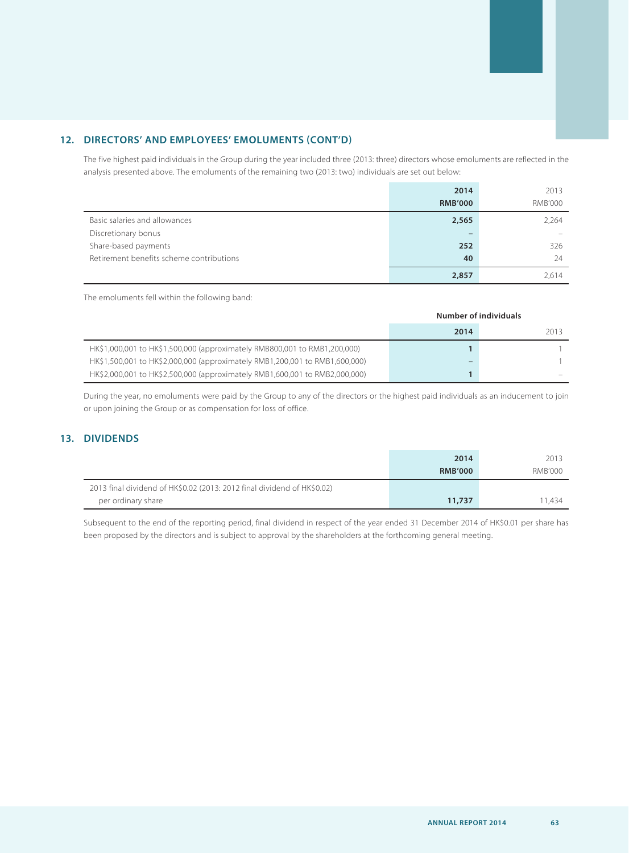# **12. DIRECTORS' AND EMPLOYEES' EMOLUMENTS (CONT'D)**

The five highest paid individuals in the Group during the year included three (2013: three) directors whose emoluments are reflected in the analysis presented above. The emoluments of the remaining two (2013: two) individuals are set out below:

|                                          | 2014           | 2013           |
|------------------------------------------|----------------|----------------|
|                                          | <b>RMB'000</b> | <b>RMB'000</b> |
| Basic salaries and allowances            | 2,565          | 2,264          |
| Discretionary bonus                      |                |                |
| Share-based payments                     | 252            | 326            |
| Retirement benefits scheme contributions | 40             | 24             |
|                                          | 2,857          | 2.614          |

The emoluments fell within the following band:

|                                                                             | Number of individuals |      |  |
|-----------------------------------------------------------------------------|-----------------------|------|--|
|                                                                             | 2014                  | 2013 |  |
| HK\$1,000,001 to HK\$1,500,000 (approximately RMB800,001 to RMB1,200,000)   |                       |      |  |
| HK\$1,500,001 to HK\$2,000,000 (approximately RMB1,200,001 to RMB1,600,000) |                       |      |  |
| HK\$2,000,001 to HK\$2,500,000 (approximately RMB1,600,001 to RMB2,000,000) |                       |      |  |

During the year, no emoluments were paid by the Group to any of the directors or the highest paid individuals as an inducement to join or upon joining the Group or as compensation for loss of office.

## **13. DIVIDENDS**

|                                                                         | 2014<br><b>RMB'000</b> | 2013<br>RMB'000 |
|-------------------------------------------------------------------------|------------------------|-----------------|
| 2013 final dividend of HK\$0.02 (2013: 2012 final dividend of HK\$0.02) |                        |                 |
| per ordinary share                                                      | 11,737                 | 11.434          |

Subsequent to the end of the reporting period, final dividend in respect of the year ended 31 December 2014 of HK\$0.01 per share has been proposed by the directors and is subject to approval by the shareholders at the forthcoming general meeting.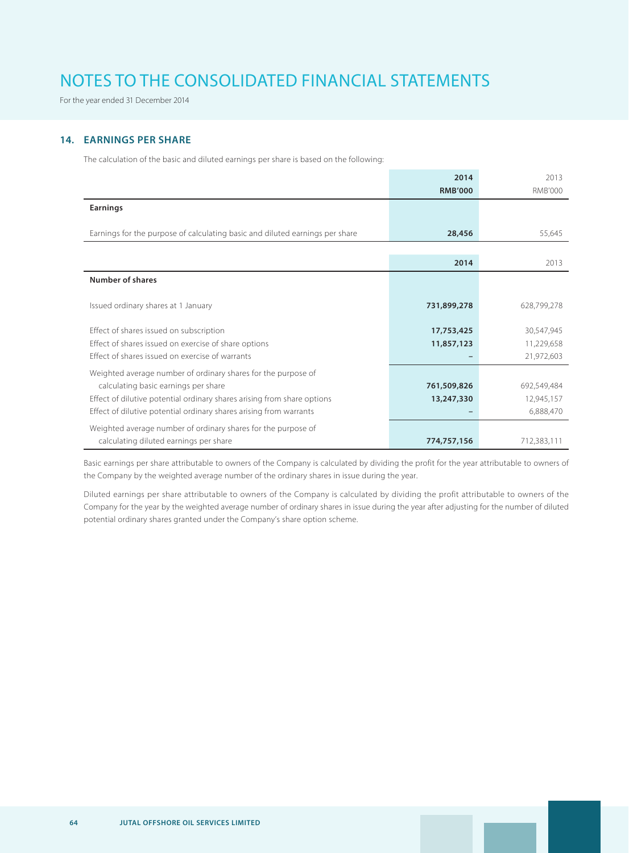For the year ended 31 December 2014

## **14. EARNINGS PER SHARE**

The calculation of the basic and diluted earnings per share is based on the following:

|                                                                              | 2014           | 2013           |
|------------------------------------------------------------------------------|----------------|----------------|
|                                                                              | <b>RMB'000</b> | <b>RMB'000</b> |
| Earnings                                                                     |                |                |
|                                                                              |                |                |
| Earnings for the purpose of calculating basic and diluted earnings per share | 28,456         | 55,645         |
|                                                                              |                |                |
|                                                                              | 2014           | 2013           |
| Number of shares                                                             |                |                |
|                                                                              |                |                |
| Issued ordinary shares at 1 January                                          | 731,899,278    | 628,799,278    |
|                                                                              |                |                |
| Effect of shares issued on subscription                                      | 17,753,425     | 30,547,945     |
| Effect of shares issued on exercise of share options                         | 11,857,123     | 11,229,658     |
| Effect of shares issued on exercise of warrants                              |                | 21,972,603     |
| Weighted average number of ordinary shares for the purpose of                |                |                |
| calculating basic earnings per share                                         | 761,509,826    | 692,549,484    |
| Effect of dilutive potential ordinary shares arising from share options      | 13,247,330     | 12,945,157     |
| Effect of dilutive potential ordinary shares arising from warrants           |                | 6,888,470      |
| Weighted average number of ordinary shares for the purpose of                |                |                |
| calculating diluted earnings per share                                       | 774,757,156    | 712,383,111    |

Basic earnings per share attributable to owners of the Company is calculated by dividing the profit for the year attributable to owners of the Company by the weighted average number of the ordinary shares in issue during the year.

Diluted earnings per share attributable to owners of the Company is calculated by dividing the profit attributable to owners of the Company for the year by the weighted average number of ordinary shares in issue during the year after adjusting for the number of diluted potential ordinary shares granted under the Company's share option scheme.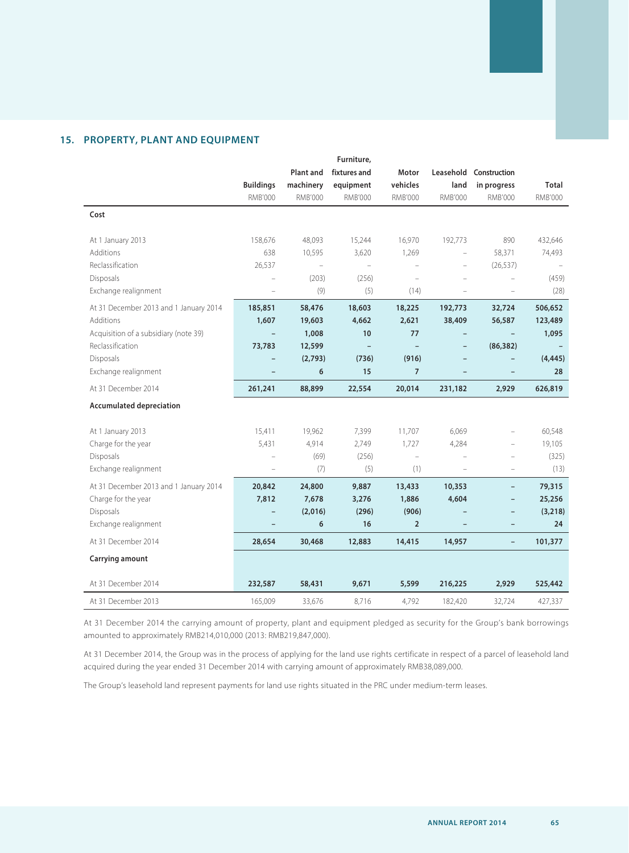### **15. PROPERTY, PLANT AND EQUIPMENT**

|                                        |                          |                  | Furniture,               |                          |                          |                          |                |
|----------------------------------------|--------------------------|------------------|--------------------------|--------------------------|--------------------------|--------------------------|----------------|
|                                        |                          | <b>Plant and</b> | fixtures and             | Motor                    | Leasehold                | Construction             |                |
|                                        | <b>Buildings</b>         | machinery        | equipment                | vehicles                 | land                     | in progress              | Total          |
|                                        | RMB'000                  | <b>RMB'000</b>   | RMB'000                  | RMB'000                  | <b>RMB'000</b>           | RMB'000                  | <b>RMB'000</b> |
| Cost                                   |                          |                  |                          |                          |                          |                          |                |
| At 1 January 2013                      | 158,676                  | 48,093           | 15,244                   | 16,970                   | 192,773                  | 890                      | 432,646        |
| Additions                              | 638                      | 10,595           | 3,620                    | 1,269                    | $\overline{\phantom{a}}$ | 58,371                   | 74,493         |
| Reclassification                       | 26,537                   | $\equiv$         | $\overline{\phantom{a}}$ | $\overline{\phantom{a}}$ | $\overline{\phantom{m}}$ | (26, 537)                |                |
| Disposals                              |                          | (203)            | (256)                    | $\overline{\phantom{a}}$ | L.                       |                          | (459)          |
| Exchange realignment                   | $\overline{a}$           | (9)              | (5)                      | (14)                     | $\overline{\phantom{a}}$ | $\overline{a}$           | (28)           |
| At 31 December 2013 and 1 January 2014 | 185,851                  | 58,476           | 18,603                   | 18,225                   | 192,773                  | 32,724                   | 506,652        |
| Additions                              | 1,607                    | 19,603           | 4,662                    | 2,621                    | 38,409                   | 56,587                   | 123,489        |
| Acquisition of a subsidiary (note 39)  | $\qquad \qquad -$        | 1,008            | 10                       | 77                       |                          |                          | 1,095          |
| Reclassification                       | 73,783                   | 12,599           |                          | $\overline{\phantom{a}}$ | $\overline{\phantom{a}}$ | (86, 382)                |                |
| Disposals                              | $\qquad \qquad -$        | (2,793)          | (736)                    | (916)                    |                          |                          | (4, 445)       |
| Exchange realignment                   | $\overline{\phantom{a}}$ | 6                | 15                       | $\overline{7}$           | $\qquad \qquad -$        | $\overline{\phantom{0}}$ | 28             |
| At 31 December 2014                    | 261,241                  | 88,899           | 22,554                   | 20,014                   | 231,182                  | 2,929                    | 626,819        |
| <b>Accumulated depreciation</b>        |                          |                  |                          |                          |                          |                          |                |
| At 1 January 2013                      | 15,411                   | 19,962           | 7,399                    | 11,707                   | 6,069                    | $\overline{a}$           | 60,548         |
| Charge for the year                    | 5,431                    | 4,914            | 2,749                    | 1,727                    | 4,284                    | $\equiv$                 | 19,105         |
| Disposals                              | $\overline{\phantom{0}}$ | (69)             | (256)                    | $\equiv$                 | $\overline{\phantom{a}}$ | Ĭ.                       | (325)          |
| Exchange realignment                   | $\overline{a}$           | (7)              | (5)                      | (1)                      | $\equiv$                 | $\overline{a}$           | (13)           |
| At 31 December 2013 and 1 January 2014 | 20,842                   | 24,800           | 9,887                    | 13,433                   | 10,353                   | $\overline{\phantom{0}}$ | 79,315         |
| Charge for the year                    | 7,812                    | 7,678            | 3,276                    | 1,886                    | 4,604                    | $\overline{\phantom{0}}$ | 25,256         |
| Disposals                              | $\qquad \qquad -$        | (2,016)          | (296)                    | (906)                    |                          | $\overline{\phantom{0}}$ | (3, 218)       |
| Exchange realignment                   |                          | 6                | 16                       | $\overline{2}$           |                          | -                        | 24             |
| At 31 December 2014                    | 28,654                   | 30,468           | 12,883                   | 14,415                   | 14,957                   | $\overline{\phantom{a}}$ | 101,377        |
| Carrying amount                        |                          |                  |                          |                          |                          |                          |                |
| At 31 December 2014                    | 232,587                  | 58,431           | 9,671                    | 5,599                    | 216,225                  | 2,929                    | 525,442        |
| At 31 December 2013                    | 165,009                  | 33,676           | 8,716                    | 4,792                    | 182,420                  | 32,724                   | 427,337        |

At 31 December 2014 the carrying amount of property, plant and equipment pledged as security for the Group's bank borrowings amounted to approximately RMB214,010,000 (2013: RMB219,847,000).

At 31 December 2014, the Group was in the process of applying for the land use rights certificate in respect of a parcel of leasehold land acquired during the year ended 31 December 2014 with carrying amount of approximately RMB38,089,000.

The Group's leasehold land represent payments for land use rights situated in the PRC under medium-term leases.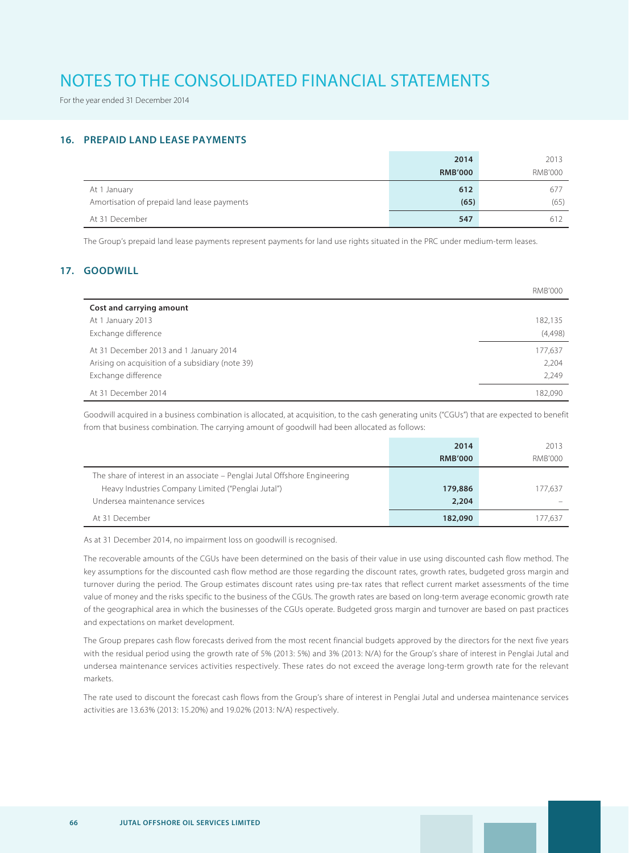For the year ended 31 December 2014

## **16. PREPAID LAND LEASE PAYMENTS**

|                                                             | 2014<br><b>RMB'000</b> | 2013<br><b>RMB'000</b> |
|-------------------------------------------------------------|------------------------|------------------------|
| At 1 January<br>Amortisation of prepaid land lease payments | 612<br>(65)            | 677<br>(65)            |
| At 31 December                                              | 547                    | 612                    |

The Group's prepaid land lease payments represent payments for land use rights situated in the PRC under medium-term leases.

## **17. GOODWILL**

|                                                  | <b>RMB'000</b> |
|--------------------------------------------------|----------------|
| Cost and carrying amount                         |                |
| At 1 January 2013                                | 182,135        |
| Exchange difference                              | (4,498)        |
| At 31 December 2013 and 1 January 2014           | 177,637        |
| Arising on acquisition of a subsidiary (note 39) | 2,204          |
| Exchange difference                              | 2,249          |
| At 31 December 2014                              | 182.090        |

Goodwill acquired in a business combination is allocated, at acquisition, to the cash generating units ("CGUs") that are expected to benefit from that business combination. The carrying amount of goodwill had been allocated as follows:

|                                                                            | 2014           | 2013    |
|----------------------------------------------------------------------------|----------------|---------|
|                                                                            | <b>RMB'000</b> | RMB'000 |
| The share of interest in an associate - Penglai Jutal Offshore Engineering |                |         |
| Heavy Industries Company Limited ("Penglai Jutal")                         | 179,886        | 177.637 |
| Undersea maintenance services                                              | 2,204          |         |
| At 31 December                                                             | 182,090        | 177.637 |

As at 31 December 2014, no impairment loss on goodwill is recognised.

The recoverable amounts of the CGUs have been determined on the basis of their value in use using discounted cash flow method. The key assumptions for the discounted cash flow method are those regarding the discount rates, growth rates, budgeted gross margin and turnover during the period. The Group estimates discount rates using pre-tax rates that reflect current market assessments of the time value of money and the risks specific to the business of the CGUs. The growth rates are based on long-term average economic growth rate of the geographical area in which the businesses of the CGUs operate. Budgeted gross margin and turnover are based on past practices and expectations on market development.

The Group prepares cash flow forecasts derived from the most recent financial budgets approved by the directors for the next five years with the residual period using the growth rate of 5% (2013: 5%) and 3% (2013: N/A) for the Group's share of interest in Penglai Jutal and undersea maintenance services activities respectively. These rates do not exceed the average long-term growth rate for the relevant markets.

The rate used to discount the forecast cash flows from the Group's share of interest in Penglai Jutal and undersea maintenance services activities are 13.63% (2013: 15.20%) and 19.02% (2013: N/A) respectively.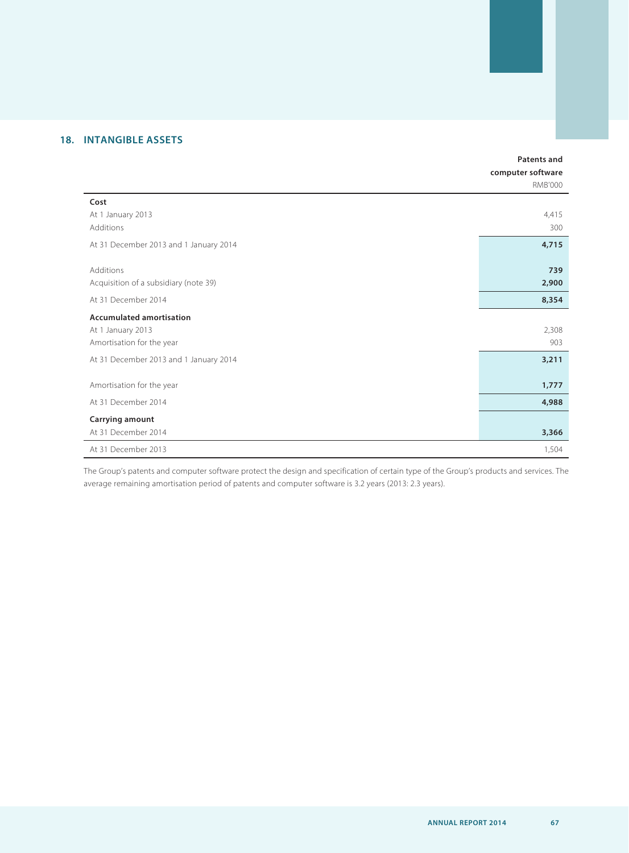# **18. INTANGIBLE ASSETS**

|                                        | <b>Patents and</b><br>computer software |
|----------------------------------------|-----------------------------------------|
|                                        | <b>RMB'000</b>                          |
| Cost                                   |                                         |
| At 1 January 2013                      | 4,415                                   |
| Additions                              | 300                                     |
| At 31 December 2013 and 1 January 2014 | 4,715                                   |
| Additions                              | 739                                     |
| Acquisition of a subsidiary (note 39)  | 2,900                                   |
| At 31 December 2014                    | 8,354                                   |
| <b>Accumulated amortisation</b>        |                                         |
| At 1 January 2013                      | 2,308                                   |
| Amortisation for the year              | 903                                     |
| At 31 December 2013 and 1 January 2014 | 3,211                                   |
| Amortisation for the year              | 1,777                                   |
| At 31 December 2014                    | 4,988                                   |
| Carrying amount                        |                                         |
| At 31 December 2014                    | 3,366                                   |
| At 31 December 2013                    | 1,504                                   |

The Group's patents and computer software protect the design and specification of certain type of the Group's products and services. The average remaining amortisation period of patents and computer software is 3.2 years (2013: 2.3 years).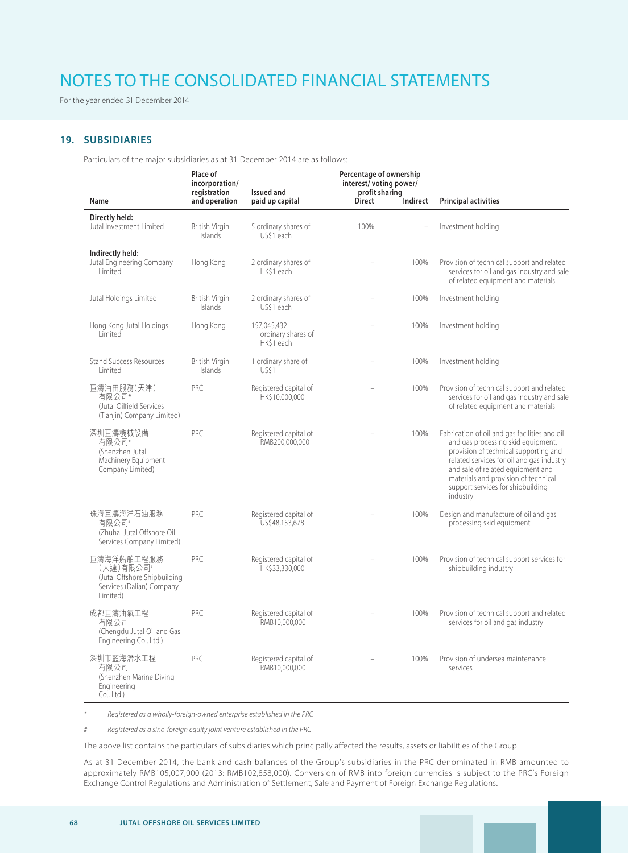For the year ended 31 December 2014

## **19. SUBSIDIARIES**

Particulars of the major subsidiaries as at 31 December 2014 are as follows:

|                                                                                                  | Place of<br>incorporation/<br>registration | <b>Issued and</b>                               | Percentage of ownership<br>interest/voting power/<br>profit sharing |          |                                                                                                                                                                                                                                                                                                         |
|--------------------------------------------------------------------------------------------------|--------------------------------------------|-------------------------------------------------|---------------------------------------------------------------------|----------|---------------------------------------------------------------------------------------------------------------------------------------------------------------------------------------------------------------------------------------------------------------------------------------------------------|
| Name                                                                                             | and operation                              | paid up capital                                 | <b>Direct</b>                                                       | Indirect | <b>Principal activities</b>                                                                                                                                                                                                                                                                             |
| Directly held:<br>Jutal Investment Limited                                                       | British Virgin<br>Islands                  | 5 ordinary shares of<br>US\$1 each              | 100%                                                                |          | Investment holding                                                                                                                                                                                                                                                                                      |
| Indirectly held:<br>Jutal Engineering Company<br>Limited                                         | Hong Kong                                  | 2 ordinary shares of<br>HK\$1 each              |                                                                     | 100%     | Provision of technical support and related<br>services for oil and gas industry and sale<br>of related equipment and materials                                                                                                                                                                          |
| Jutal Holdings Limited                                                                           | British Virgin<br>Islands                  | 2 ordinary shares of<br>US\$1 each              |                                                                     | 100%     | Investment holding                                                                                                                                                                                                                                                                                      |
| Hong Kong Jutal Holdings<br>Limited                                                              | Hong Kong                                  | 157.045.432<br>ordinary shares of<br>HK\$1 each |                                                                     | 100%     | Investment holding                                                                                                                                                                                                                                                                                      |
| <b>Stand Success Resources</b><br>Limited                                                        | British Virgin<br>Islands                  | 1 ordinary share of<br><b>US\$1</b>             |                                                                     | 100%     | Investment holding                                                                                                                                                                                                                                                                                      |
| 巨濤油田服務(天津)<br>有限公司*<br>(Jutal Oilfield Services<br>(Tianjin) Company Limited)                    | PRC                                        | Registered capital of<br>HK\$10,000,000         |                                                                     | 100%     | Provision of technical support and related<br>services for oil and gas industry and sale<br>of related equipment and materials                                                                                                                                                                          |
| 深圳巨濤機械設備<br>有限公司*<br>(Shenzhen Jutal<br>Machinery Equipment<br>Company Limited)                  | PRC                                        | Registered capital of<br>RMB200,000,000         |                                                                     | 100%     | Fabrication of oil and gas facilities and oil<br>and gas processing skid equipment,<br>provision of technical supporting and<br>related services for oil and gas industry<br>and sale of related equipment and<br>materials and provision of technical<br>support services for shipbuilding<br>industry |
| 珠海巨濤海洋石油服務<br>有限公司*<br>(Zhuhai Jutal Offshore Oil<br>Services Company Limited)                   | PRC                                        | Registered capital of<br>US\$48,153,678         |                                                                     | 100%     | Design and manufacture of oil and gas<br>processing skid equipment                                                                                                                                                                                                                                      |
| 巨濤海洋船舶工程服務<br>(大連)有限公司*<br>(Jutal Offshore Shipbuilding<br>Services (Dalian) Company<br>Limited) | PRC.                                       | Registered capital of<br>HK\$33,330,000         |                                                                     | 100%     | Provision of technical support services for<br>shipbuilding industry                                                                                                                                                                                                                                    |
| 成都巨濤油氣工程<br>有限公司<br>(Chengdu Jutal Oil and Gas<br>Engineering Co., Ltd.)                         | PRC                                        | Registered capital of<br>RMB10,000,000          |                                                                     | 100%     | Provision of technical support and related<br>services for oil and gas industry                                                                                                                                                                                                                         |
| 深圳市藍海潛水工程<br>有限公司<br>(Shenzhen Marine Diving<br>Engineering<br>Co., Ltd.)                        | PRC                                        | Registered capital of<br>RMB10,000,000          |                                                                     | 100%     | Provision of undersea maintenance<br>services                                                                                                                                                                                                                                                           |

\* Registered as a wholly-foreign-owned enterprise established in the PRC

# Registered as a sino-foreign equity joint venture established in the PRC

The above list contains the particulars of subsidiaries which principally affected the results, assets or liabilities of the Group.

As at 31 December 2014, the bank and cash balances of the Group's subsidiaries in the PRC denominated in RMB amounted to approximately RMB105,007,000 (2013: RMB102,858,000). Conversion of RMB into foreign currencies is subject to the PRC's Foreign Exchange Control Regulations and Administration of Settlement, Sale and Payment of Foreign Exchange Regulations.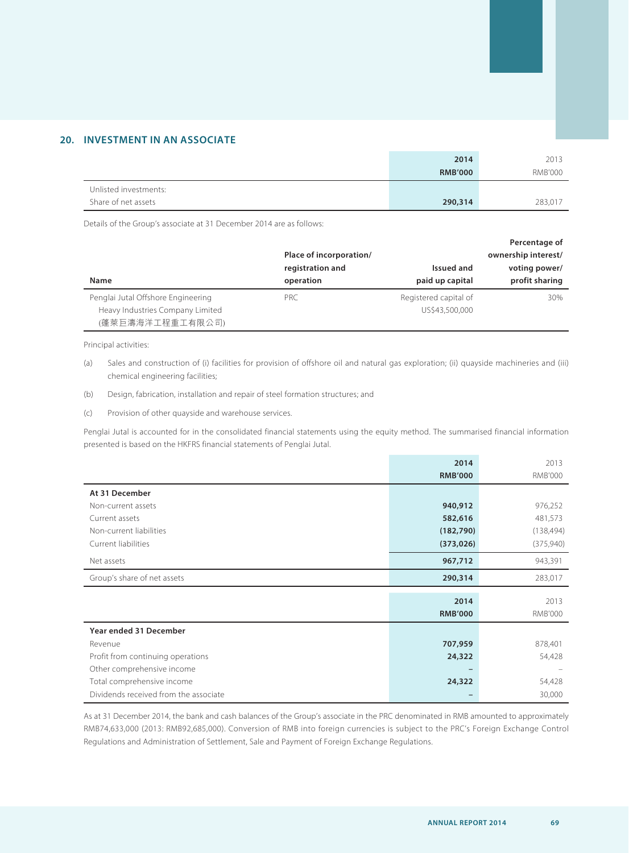## **20. INVESTMENT IN AN ASSOCIATE**

|                       | 2014           | 2013           |
|-----------------------|----------------|----------------|
|                       | <b>RMB'000</b> | <b>RMB'000</b> |
| Unlisted investments: |                |                |
| Share of net assets   | 290,314        | 283,017        |

Details of the Group's associate at 31 December 2014 are as follows:

|                                                      |                         |                       | Percentage of       |
|------------------------------------------------------|-------------------------|-----------------------|---------------------|
|                                                      | Place of incorporation/ |                       | ownership interest/ |
|                                                      | registration and        | Issued and            | voting power/       |
| Name                                                 | operation               | paid up capital       | profit sharing      |
| Penglai Jutal Offshore Engineering                   | <b>PRC</b>              | Registered capital of | 30%                 |
| Heavy Industries Company Limited<br>(蓬萊巨濤海洋工程重工有限公司) |                         | US\$43,500,000        |                     |

Principal activities:

(a) Sales and construction of (i) facilities for provision of offshore oil and natural gas exploration; (ii) quayside machineries and (iii) chemical engineering facilities;

(b) Design, fabrication, installation and repair of steel formation structures; and

(c) Provision of other quayside and warehouse services.

Penglai Jutal is accounted for in the consolidated financial statements using the equity method. The summarised financial information presented is based on the HKFRS financial statements of Penglai Jutal.

|                                       | 2014           | 2013           |
|---------------------------------------|----------------|----------------|
|                                       | <b>RMB'000</b> | <b>RMB'000</b> |
| At 31 December                        |                |                |
| Non-current assets                    | 940,912        | 976,252        |
| Current assets                        | 582,616        | 481,573        |
| Non-current liabilities               | (182, 790)     | (138, 494)     |
| Current liabilities                   | (373, 026)     | (375,940)      |
| Net assets                            | 967,712        | 943,391        |
| Group's share of net assets           | 290,314        | 283,017        |
|                                       | 2014           | 2013           |
|                                       | <b>RMB'000</b> | <b>RMB'000</b> |
|                                       |                |                |
| Year ended 31 December                |                |                |
| Revenue                               | 707,959        | 878,401        |
| Profit from continuing operations     | 24,322         | 54,428         |
| Other comprehensive income            |                |                |
| Total comprehensive income            | 24,322         | 54,428         |
| Dividends received from the associate |                | 30,000         |

As at 31 December 2014, the bank and cash balances of the Group's associate in the PRC denominated in RMB amounted to approximately RMB74,633,000 (2013: RMB92,685,000). Conversion of RMB into foreign currencies is subject to the PRC's Foreign Exchange Control Regulations and Administration of Settlement, Sale and Payment of Foreign Exchange Regulations.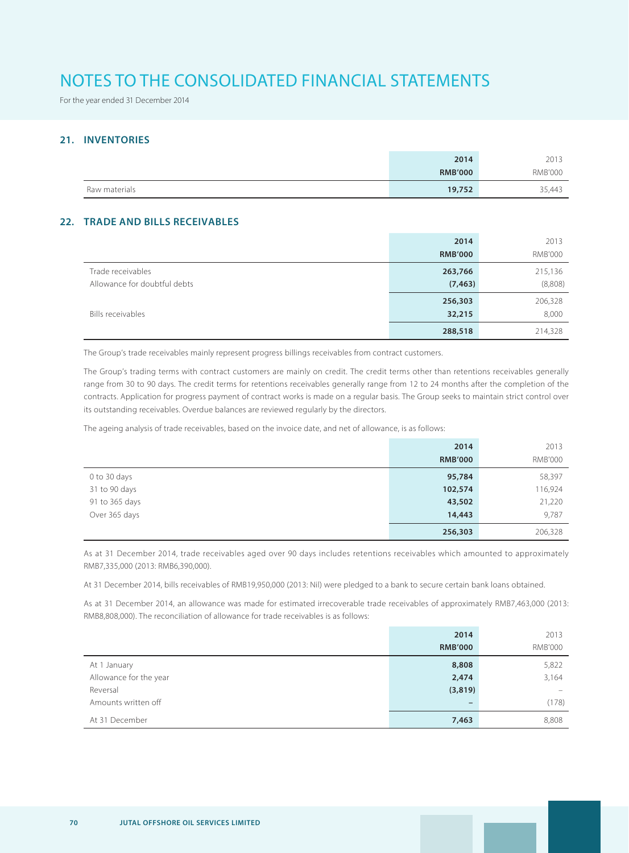For the year ended 31 December 2014

### **21. INVENTORIES**

|               | 2014           | 2013           |
|---------------|----------------|----------------|
|               | <b>RMB'000</b> | <b>RMB'000</b> |
| Raw materials | 19,752         | 35,443         |

### **22. TRADE AND BILLS RECEIVABLES**

|                              | 2014<br><b>RMB'000</b> | 2013<br><b>RMB'000</b> |
|------------------------------|------------------------|------------------------|
| Trade receivables            | 263,766                | 215,136                |
| Allowance for doubtful debts | (7, 463)               | (8,808)                |
|                              | 256,303                | 206,328                |
| Bills receivables            | 32,215                 | 8,000                  |
|                              | 288,518                | 214,328                |

The Group's trade receivables mainly represent progress billings receivables from contract customers.

The Group's trading terms with contract customers are mainly on credit. The credit terms other than retentions receivables generally range from 30 to 90 days. The credit terms for retentions receivables generally range from 12 to 24 months after the completion of the contracts. Application for progress payment of contract works is made on a regular basis. The Group seeks to maintain strict control over its outstanding receivables. Overdue balances are reviewed regularly by the directors.

The ageing analysis of trade receivables, based on the invoice date, and net of allowance, is as follows:

|                | 2014           | 2013           |
|----------------|----------------|----------------|
|                | <b>RMB'000</b> | <b>RMB'000</b> |
| 0 to 30 days   | 95,784         | 58,397         |
| 31 to 90 days  | 102,574        | 116,924        |
| 91 to 365 days | 43,502         | 21,220         |
| Over 365 days  | 14,443         | 9,787          |
|                | 256,303        | 206,328        |

As at 31 December 2014, trade receivables aged over 90 days includes retentions receivables which amounted to approximately RMB7,335,000 (2013: RMB6,390,000).

At 31 December 2014, bills receivables of RMB19,950,000 (2013: Nil) were pledged to a bank to secure certain bank loans obtained.

As at 31 December 2014, an allowance was made for estimated irrecoverable trade receivables of approximately RMB7,463,000 (2013: RMB8,808,000). The reconciliation of allowance for trade receivables is as follows:

|                        | 2014                     | 2013           |
|------------------------|--------------------------|----------------|
|                        | <b>RMB'000</b>           | <b>RMB'000</b> |
| At 1 January           | 8,808                    | 5,822          |
| Allowance for the year | 2,474                    | 3,164          |
| Reversal               | (3,819)                  | -              |
| Amounts written off    | $\overline{\phantom{0}}$ | (178)          |
| At 31 December         | 7,463                    | 8,808          |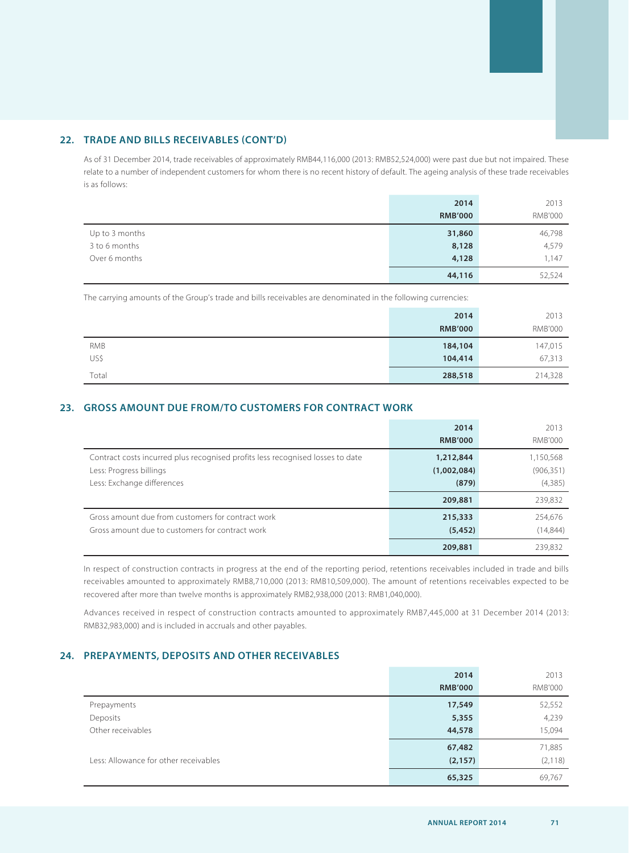# **22. TRADE AND BILLS RECEIVABLES (CONT'D)**

As of 31 December 2014, trade receivables of approximately RMB44,116,000 (2013: RMB52,524,000) were past due but not impaired. These relate to a number of independent customers for whom there is no recent history of default. The ageing analysis of these trade receivables is as follows:

|                | 2014           | 2013           |
|----------------|----------------|----------------|
|                | <b>RMB'000</b> | <b>RMB'000</b> |
| Up to 3 months | 31,860         | 46,798         |
| 3 to 6 months  | 8,128          | 4,579          |
| Over 6 months  | 4,128          | 1,147          |
|                | 44,116         | 52,524         |

The carrying amounts of the Group's trade and bills receivables are denominated in the following currencies:

|       | 2014           | 2013           |
|-------|----------------|----------------|
|       | <b>RMB'000</b> | <b>RMB'000</b> |
| RMB   | 184,104        | 147,015        |
| US\$  | 104,414        | 67,313         |
| Total | 288,518        | 214,328        |

# **23. GROSS AMOUNT DUE FROM/TO CUSTOMERS FOR CONTRACT WORK**

|                                                                                | 2014           | 2013           |
|--------------------------------------------------------------------------------|----------------|----------------|
|                                                                                | <b>RMB'000</b> | <b>RMB'000</b> |
| Contract costs incurred plus recognised profits less recognised losses to date | 1,212,844      | 1,150,568      |
| Less: Progress billings                                                        | (1,002,084)    | (906, 351)     |
| Less: Exchange differences                                                     | (879)          | (4,385)        |
|                                                                                | 209,881        | 239,832        |
| Gross amount due from customers for contract work                              | 215,333        | 254,676        |
| Gross amount due to customers for contract work                                | (5, 452)       | (14, 844)      |
|                                                                                | 209,881        | 239.832        |

In respect of construction contracts in progress at the end of the reporting period, retentions receivables included in trade and bills receivables amounted to approximately RMB8,710,000 (2013: RMB10,509,000). The amount of retentions receivables expected to be recovered after more than twelve months is approximately RMB2,938,000 (2013: RMB1,040,000).

Advances received in respect of construction contracts amounted to approximately RMB7,445,000 at 31 December 2014 (2013: RMB32,983,000) and is included in accruals and other payables.

# **24. PREPAYMENTS, DEPOSITS AND OTHER RECEIVABLES**

|                                       | 2014           | 2013           |
|---------------------------------------|----------------|----------------|
|                                       | <b>RMB'000</b> | <b>RMB'000</b> |
| Prepayments                           | 17,549         | 52,552         |
| Deposits                              | 5,355          | 4,239          |
| Other receivables                     | 44,578         | 15,094         |
|                                       | 67,482         | 71,885         |
| Less: Allowance for other receivables | (2, 157)       | (2, 118)       |
|                                       | 65,325         | 69,767         |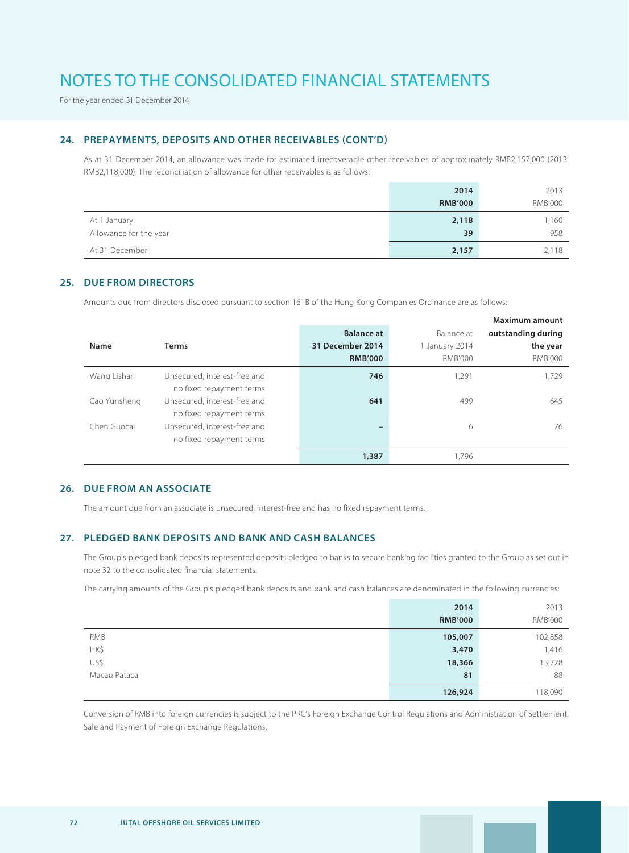For the year ended 31 December 2014

## **24. PREPAYMENTS, DEPOSITS AND OTHER RECEIVABLES (CONT'D)**

As at 31 December 2014, an allowance was made for estimated irrecoverable other receivables of approximately RMB2,157,000 (2013: RMB2,118,000). The reconciliation of allowance for other receivables is as follows:

|                        | 2014           | 2013           |
|------------------------|----------------|----------------|
|                        | <b>RMB'000</b> | <b>RMB'000</b> |
| At 1 January           | 2,118          | 1,160          |
| Allowance for the year | 39             | 958            |
| At 31 December         | 2,157          | 2,118          |

# **25. DUE FROM DIRECTORS**

Amounts due from directors disclosed pursuant to section 161B of the Hong Kong Companies Ordinance are as follows:

|                                              |                   |                | <b>Maximum amount</b> |
|----------------------------------------------|-------------------|----------------|-----------------------|
|                                              | <b>Balance at</b> | Balance at     | outstanding during    |
| Name<br><b>Terms</b>                         | 31 December 2014  | 1 January 2014 | the year              |
|                                              | <b>RMB'000</b>    | <b>RMB'000</b> | <b>RMB'000</b>        |
| Unsecured, interest-free and<br>Wang Lishan  | 746               | 1,291          | 1,729                 |
| no fixed repayment terms                     |                   |                |                       |
| Cao Yunsheng<br>Unsecured, interest-free and | 641               | 499            | 645                   |
| no fixed repayment terms                     |                   |                |                       |
| Unsecured, interest-free and<br>Chen Guocai  |                   | 6              | 76                    |
| no fixed repayment terms                     |                   |                |                       |
|                                              | 1,387             | 1,796          |                       |

## **26. DUE FROM AN ASSOCIATE**

The amount due from an associate is unsecured, interest-free and has no fixed repayment terms.

## **27. PLEDGED BANK DEPOSITS AND BANK AND CASH BALANCES**

The Group's pledged bank deposits represented deposits pledged to banks to secure banking facilities granted to the Group as set out in note 32 to the consolidated financial statements.

The carrying amounts of the Group's pledged bank deposits and bank and cash balances are denominated in the following currencies:

|              | 2014<br><b>RMB'000</b> | 2013<br><b>RMB'000</b> |
|--------------|------------------------|------------------------|
| RMB          | 105,007                | 102,858                |
| HK\$         | 3,470                  | 1,416                  |
| US\$         | 18,366                 | 13,728                 |
| Macau Pataca | 81                     | 88                     |
|              | 126,924                | 118,090                |

Conversion of RMB into foreign currencies is subject to the PRC's Foreign Exchange Control Regulations and Administration of Settlement, Sale and Payment of Foreign Exchange Regulations.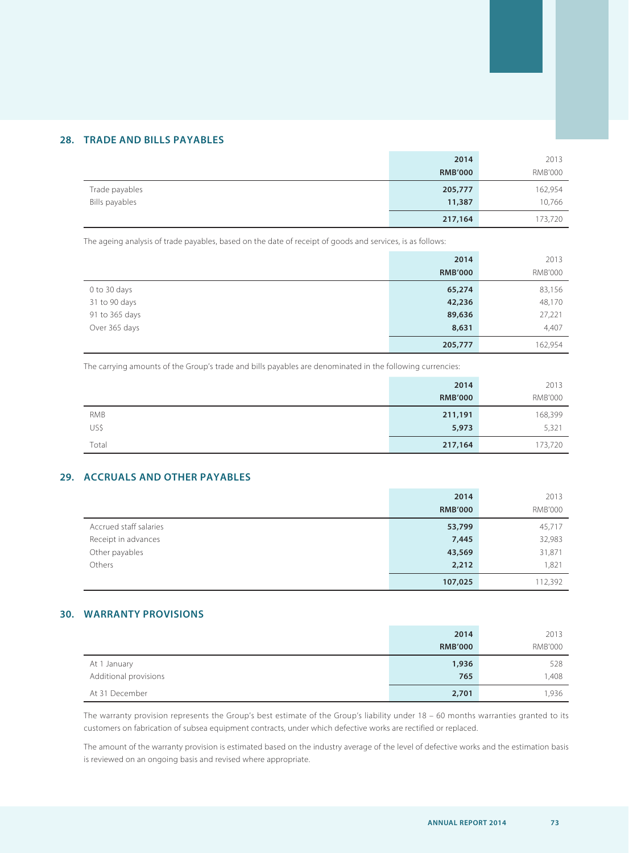## **28. TRADE AND BILLS PAYABLES**

|                | 2014           | 2013           |
|----------------|----------------|----------------|
|                | <b>RMB'000</b> | <b>RMB'000</b> |
| Trade payables | 205,777        | 162,954        |
| Bills payables | 11,387         | 10,766         |
|                | 217,164        | 173,720        |

The ageing analysis of trade payables, based on the date of receipt of goods and services, is as follows:

|                | 2014<br><b>RMB'000</b> | 2013<br><b>RMB'000</b> |
|----------------|------------------------|------------------------|
| 0 to 30 days   | 65,274                 | 83,156                 |
| 31 to 90 days  | 42,236                 | 48,170                 |
| 91 to 365 days | 89,636                 | 27,221                 |
| Over 365 days  | 8,631                  | 4,407                  |
|                | 205,777                | 162,954                |

The carrying amounts of the Group's trade and bills payables are denominated in the following currencies:

|            | 2014           | 2013           |
|------------|----------------|----------------|
|            | <b>RMB'000</b> | <b>RMB'000</b> |
| <b>RMB</b> | 211,191        | 168,399        |
| US\$       | 5,973          | 5,321          |
| Total      | 217,164        | 173,720        |

## **29. ACCRUALS AND OTHER PAYABLES**

|                        | 2014<br><b>RMB'000</b> | 2013<br><b>RMB'000</b> |
|------------------------|------------------------|------------------------|
| Accrued staff salaries | 53,799                 | 45,717                 |
| Receipt in advances    | 7,445                  | 32,983                 |
| Other payables         | 43,569                 | 31,871                 |
| Others                 | 2,212                  | 1,821                  |
|                        | 107,025                | 112,392                |

## **30. WARRANTY PROVISIONS**

|                                       | 2014<br><b>RMB'000</b> | 2013<br><b>RMB'000</b> |
|---------------------------------------|------------------------|------------------------|
| At 1 January<br>Additional provisions | 1,936<br>765           | 528<br>1,408           |
| At 31 December                        | 2,701                  | 1,936                  |

The warranty provision represents the Group's best estimate of the Group's liability under 18 – 60 months warranties granted to its customers on fabrication of subsea equipment contracts, under which defective works are rectified or replaced.

The amount of the warranty provision is estimated based on the industry average of the level of defective works and the estimation basis is reviewed on an ongoing basis and revised where appropriate.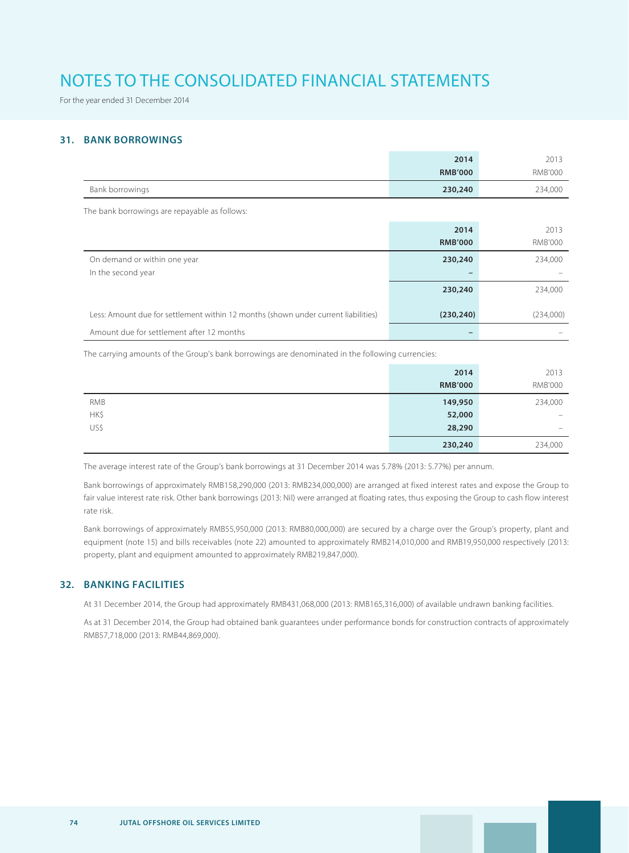For the year ended 31 December 2014

## **31. BANK BORROWINGS**

|                                                                                    | 2014<br><b>RMB'000</b> | 2013<br><b>RMB'000</b> |
|------------------------------------------------------------------------------------|------------------------|------------------------|
| Bank borrowings                                                                    | 230,240                | 234,000                |
| The bank borrowings are repayable as follows:                                      |                        |                        |
|                                                                                    | 2014<br><b>RMB'000</b> | 2013<br><b>RMB'000</b> |
| On demand or within one year<br>In the second year                                 | 230,240                | 234,000                |
|                                                                                    | 230,240                | 234,000                |
| Less: Amount due for settlement within 12 months (shown under current liabilities) | (230, 240)             | (234,000)              |
| Amount due for settlement after 12 months                                          |                        |                        |

The carrying amounts of the Group's bank borrowings are denominated in the following currencies:

|      | 2014           | 2013                     |
|------|----------------|--------------------------|
|      | <b>RMB'000</b> | <b>RMB'000</b>           |
| RMB  | 149,950        | 234,000                  |
| HK\$ | 52,000         | $\overline{\phantom{0}}$ |
| US\$ | 28,290         | $\overline{\phantom{a}}$ |
|      | 230,240        | 234,000                  |

The average interest rate of the Group's bank borrowings at 31 December 2014 was 5.78% (2013: 5.77%) per annum.

Bank borrowings of approximately RMB158,290,000 (2013: RMB234,000,000) are arranged at fixed interest rates and expose the Group to fair value interest rate risk. Other bank borrowings (2013: Nil) were arranged at floating rates, thus exposing the Group to cash flow interest rate risk.

Bank borrowings of approximately RMB55,950,000 (2013: RMB80,000,000) are secured by a charge over the Group's property, plant and equipment (note 15) and bills receivables (note 22) amounted to approximately RMB214,010,000 and RMB19,950,000 respectively (2013: property, plant and equipment amounted to approximately RMB219,847,000).

## **32. BANKING FACILITIES**

At 31 December 2014, the Group had approximately RMB431,068,000 (2013: RMB165,316,000) of available undrawn banking facilities.

As at 31 December 2014, the Group had obtained bank guarantees under performance bonds for construction contracts of approximately RMB57,718,000 (2013: RMB44,869,000).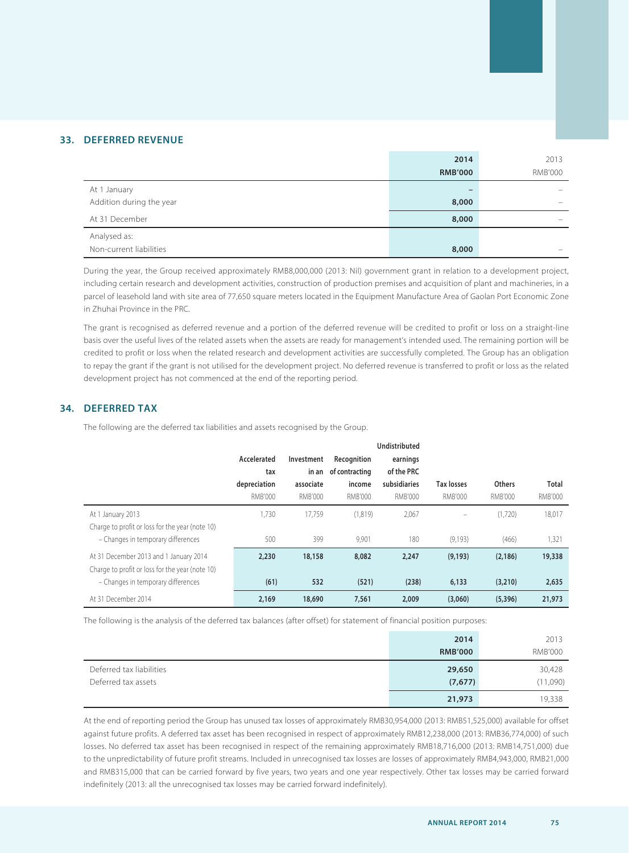## **33. DEFERRED REVENUE**

|                          | 2014           | 2013           |
|--------------------------|----------------|----------------|
|                          | <b>RMB'000</b> | <b>RMB'000</b> |
| At 1 January             |                | -              |
| Addition during the year | 8,000          | -              |
| At 31 December           | 8,000          | -              |
| Analysed as:             |                |                |
| Non-current liabilities  | 8,000          | -              |

During the year, the Group received approximately RMB8,000,000 (2013: Nil) government grant in relation to a development project, including certain research and development activities, construction of production premises and acquisition of plant and machineries, in a parcel of leasehold land with site area of 77,650 square meters located in the Equipment Manufacture Area of Gaolan Port Economic Zone in Zhuhai Province in the PRC.

The grant is recognised as deferred revenue and a portion of the deferred revenue will be credited to profit or loss on a straight-line basis over the useful lives of the related assets when the assets are ready for management's intended used. The remaining portion will be credited to profit or loss when the related research and development activities are successfully completed. The Group has an obligation to repay the grant if the grant is not utilised for the development project. No deferred revenue is transferred to profit or loss as the related development project has not commenced at the end of the reporting period.

## **34. DEFERRED TAX**

The following are the deferred tax liabilities and assets recognised by the Group.

|                                                                                           | Accelerated<br>tax<br>depreciation<br><b>RMB'000</b> | Investment<br>in an<br>associate<br>RMB'000 | Recognition<br>of contracting<br>income<br><b>RMB'000</b> | <b>Undistributed</b><br>earnings<br>of the PRC<br>subsidiaries<br><b>RMB'000</b> | <b>Tax losses</b><br>RMB'000 | Others<br>RMB'000 | <b>Total</b><br><b>RMB'000</b> |
|-------------------------------------------------------------------------------------------|------------------------------------------------------|---------------------------------------------|-----------------------------------------------------------|----------------------------------------------------------------------------------|------------------------------|-------------------|--------------------------------|
| At 1 January 2013<br>Charge to profit or loss for the year (note 10)                      | 1,730                                                | 17.759                                      | (1,819)                                                   | 2,067                                                                            |                              | (1,720)           | 18,017                         |
| - Changes in temporary differences                                                        | 500                                                  | 399                                         | 9.901                                                     | 180                                                                              | (9, 193)                     | (466)             | 1,321                          |
| At 31 December 2013 and 1 January 2014<br>Charge to profit or loss for the year (note 10) | 2,230                                                | 18,158                                      | 8,082                                                     | 2,247                                                                            | (9, 193)                     | (2, 186)          | 19,338                         |
| - Changes in temporary differences                                                        | (61)                                                 | 532                                         | (521)                                                     | (238)                                                                            | 6,133                        | (3,210)           | 2,635                          |
| At 31 December 2014                                                                       | 2,169                                                | 18,690                                      | 7.561                                                     | 2,009                                                                            | (3,060)                      | (5, 396)          | 21,973                         |

The following is the analysis of the deferred tax balances (after offset) for statement of financial position purposes:

|                          | 2014<br><b>RMB'000</b> | 2013<br><b>RMB'000</b> |
|--------------------------|------------------------|------------------------|
| Deferred tax liabilities | 29,650                 | 30,428                 |
| Deferred tax assets      | (7,677)                | (11,090)               |
|                          | 21,973                 | 19,338                 |

At the end of reporting period the Group has unused tax losses of approximately RMB30,954,000 (2013: RMB51,525,000) available for offset against future profits. A deferred tax asset has been recognised in respect of approximately RMB12,238,000 (2013: RMB36,774,000) of such losses. No deferred tax asset has been recognised in respect of the remaining approximately RMB18,716,000 (2013: RMB14,751,000) due to the unpredictability of future profit streams. Included in unrecognised tax losses are losses of approximately RMB4,943,000, RMB21,000 and RMB315,000 that can be carried forward by five years, two years and one year respectively. Other tax losses may be carried forward indefinitely (2013: all the unrecognised tax losses may be carried forward indefinitely).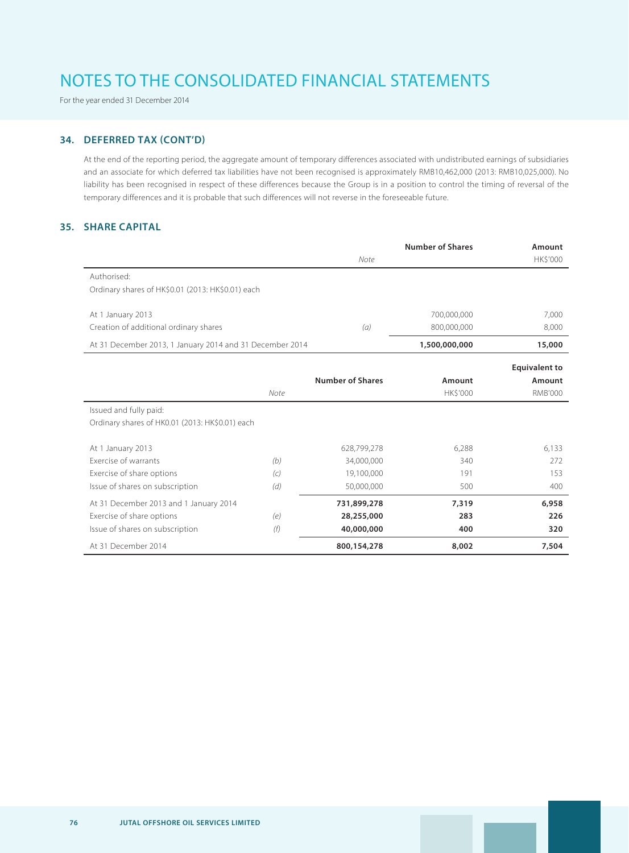For the year ended 31 December 2014

## **34. DEFERRED TAX (CONT'D)**

At the end of the reporting period, the aggregate amount of temporary differences associated with undistributed earnings of subsidiaries and an associate for which deferred tax liabilities have not been recognised is approximately RMB10,462,000 (2013: RMB10,025,000). No liability has been recognised in respect of these differences because the Group is in a position to control the timing of reversal of the temporary differences and it is probable that such differences will not reverse in the foreseeable future.

## **35. SHARE CAPITAL**

|                                                          |      |                         | <b>Number of Shares</b> | Amount               |
|----------------------------------------------------------|------|-------------------------|-------------------------|----------------------|
|                                                          |      | Note                    |                         | HK\$'000             |
| Authorised:                                              |      |                         |                         |                      |
| Ordinary shares of HK\$0.01 (2013: HK\$0.01) each        |      |                         |                         |                      |
|                                                          |      |                         |                         |                      |
| At 1 January 2013                                        |      |                         | 700,000,000             | 7,000                |
| Creation of additional ordinary shares                   |      | (a)                     | 800,000,000             | 8,000                |
| At 31 December 2013, 1 January 2014 and 31 December 2014 |      |                         | 1,500,000,000           | 15,000               |
|                                                          |      |                         |                         | <b>Equivalent to</b> |
|                                                          |      | <b>Number of Shares</b> | Amount                  | Amount               |
|                                                          | Note |                         | HK\$'000                | <b>RMB'000</b>       |
| Issued and fully paid:                                   |      |                         |                         |                      |
| Ordinary shares of HK0.01 (2013: HK\$0.01) each          |      |                         |                         |                      |
|                                                          |      |                         |                         |                      |
| At 1 January 2013                                        |      | 628,799,278             | 6,288                   | 6,133                |
| Exercise of warrants                                     | (b)  | 34,000,000              | 340                     | 272                  |
| Exercise of share options                                | (c)  | 19,100,000              | 191                     | 153                  |
| Issue of shares on subscription                          | (d)  | 50,000,000              | 500                     | 400                  |
| At 31 December 2013 and 1 January 2014                   |      | 731,899,278             | 7,319                   | 6,958                |
| Exercise of share options                                | (e)  | 28,255,000              | 283                     | 226                  |
| Issue of shares on subscription                          | (f)  | 40,000,000              | 400                     | 320                  |
| At 31 December 2014                                      |      | 800,154,278             | 8,002                   | 7,504                |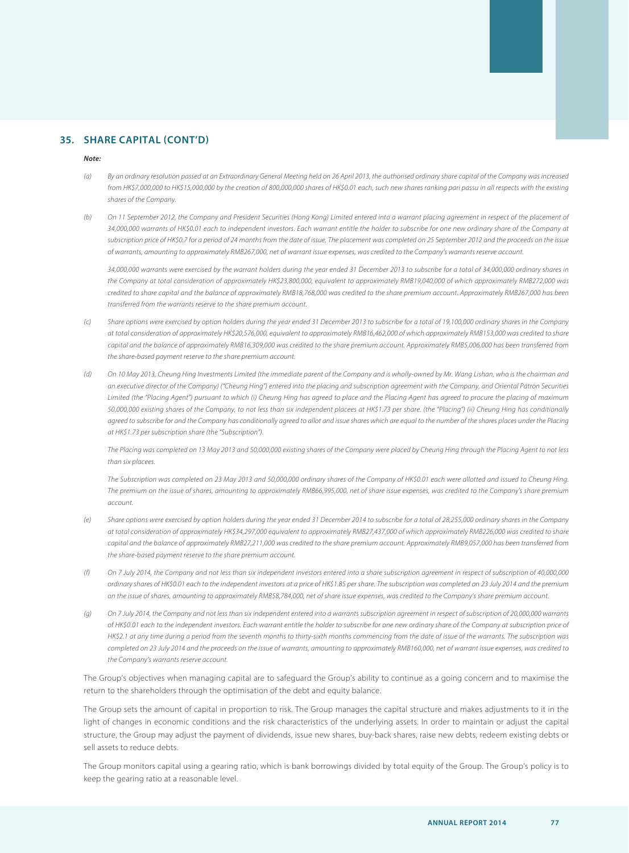### **35. SHARE CAPITAL (CONT'D)**

#### **Note:**

- (a) By an ordinary resolution passed at an Extraordinary General Meeting held on 26 April 2013, the authorised ordinary share capital of the Company was increased from HK\$7,000,000 to HK\$15,000,000 by the creation of 800,000,000 shares of HK\$0.01 each, such new shares ranking pari passu in all respects with the existing shares of the Company.
- (b) On 11 September 2012, the Company and President Securities (Hong Kong) Limited entered into a warrant placing agreement in respect of the placement of 34,000,000 warrants of HK\$0.01 each to independent investors. Each warrant entitle the holder to subscribe for one new ordinary share of the Company at subscription price of HK\$0.7 for a period of 24 months from the date of issue. The placement was completed on 25 September 2012 and the proceeds on the issue of warrants, amounting to approximately RMB267,000, net of warrant issue expenses, was credited to the Company's warrants reserve account.

34,000,000 warrants were exercised by the warrant holders during the year ended 31 December 2013 to subscribe for a total of 34,000,000 ordinary shares in the Company at total consideration of approximately HK\$23,800,000, equivalent to approximately RMB19,040,000 of which approximately RMB272,000 was credited to share capital and the balance of approximately RMB18,768,000 was credited to the share premium account. Approximately RMB267,000 has been transferred from the warrants reserve to the share premium account.

- (c) Share options were exercised by option holders during the year ended 31 December 2013 to subscribe for a total of 19,100,000 ordinary shares in the Company at total consideration of approximately HK\$20,576,000, equivalent to approximately RMB16,462,000 of which approximately RMB153,000 was credited to share capital and the balance of approximately RMB16,309,000 was credited to the share premium account. Approximately RMB5,006,000 has been transferred from the share-based payment reserve to the share premium account.
- (d) On 10 May 2013, Cheung Hing Investments Limited (the immediate parent of the Company and is wholly-owned by Mr. Wang Lishan, who is the chairman and an executive director of the Company) ("Cheung Hing") entered into the placing and subscription agreement with the Company, and Oriental Patron Securities Limited (the "Placing Agent") pursuant to which (i) Cheung Hing has agreed to place and the Placing Agent has agreed to procure the placing of maximum 50,000,000 existing shares of the Company, to not less than six independent placees at HK\$1.73 per share. (the "Placing") (ii) Cheung Hing has conditionally agreed to subscribe for and the Company has conditionally agreed to allot and issue shares which are equal to the number of the shares places under the Placing at HK\$1.73 per subscription share (the "Subscription").

The Placing was completed on 13 May 2013 and 50,000,000 existing shares of the Company were placed by Cheung Hing through the Placing Agent to not less than six placees.

The Subscription was completed on 23 May 2013 and 50,000,000 ordinary shares of the Company of HK\$0.01 each were allotted and issued to Cheung Hing. The premium on the issue of shares, amounting to approximately RMB66,995,000, net of share issue expenses, was credited to the Company's share premium account.

- (e) Share options were exercised by option holders during the year ended 31 December 2014 to subscribe for a total of 28,255,000 ordinary shares in the Company at total consideration of approximately HK\$34,297,000 equivalent to approximately RMB27,437,000 of which approximately RMB226,000 was credited to share capital and the balance of approximately RMB27,211,000 was credited to the share premium account. Approximately RMB9,057,000 has been transferred from the share-based payment reserve to the share premium account.
- (f) On 7 July 2014, the Company and not less than six independent investors entered into a share subscription agreement in respect of subscription of 40,000,000 ordinary shares of HK\$0.01 each to the independent investors at a price of HK\$1.85 per share. The subscription was completed on 23 July 2014 and the premium on the issue of shares, amounting to approximately RMB58,784,000, net of share issue expenses, was credited to the Company's share premium account.
- (g) On 7 July 2014, the Company and not less than six independent entered into a warrants subscription agreement in respect of subscription of 20,000,000 warrants of HK\$0.01 each to the independent investors. Each warrant entitle the holder to subscribe for one new ordinary share of the Company at subscription price of HK\$2.1 at any time during a period from the seventh months to thirty-sixth months commencing from the date of issue of the warrants. The subscription was completed on 23 July 2014 and the proceeds on the issue of warrants, amounting to approximately RMB160,000, net of warrant issue expenses, was credited to the Company's warrants reserve account.

The Group's objectives when managing capital are to safeguard the Group's ability to continue as a going concern and to maximise the return to the shareholders through the optimisation of the debt and equity balance.

The Group sets the amount of capital in proportion to risk. The Group manages the capital structure and makes adjustments to it in the light of changes in economic conditions and the risk characteristics of the underlying assets. In order to maintain or adjust the capital structure, the Group may adjust the payment of dividends, issue new shares, buy-back shares, raise new debts, redeem existing debts or sell assets to reduce debts.

The Group monitors capital using a gearing ratio, which is bank borrowings divided by total equity of the Group. The Group's policy is to keep the gearing ratio at a reasonable level.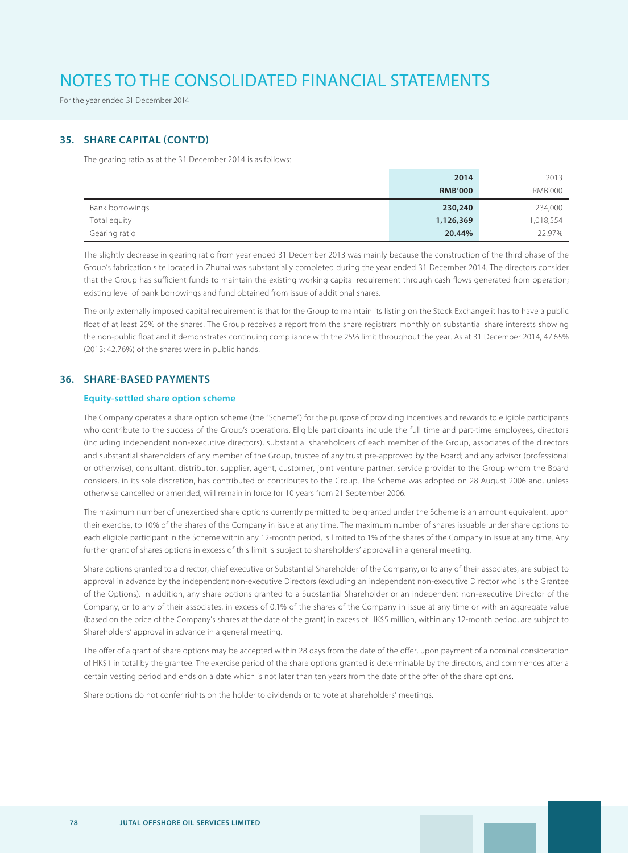For the year ended 31 December 2014

## **35. SHARE CAPITAL (CONT'D)**

The gearing ratio as at the 31 December 2014 is as follows:

|                 | 2014           | 2013           |
|-----------------|----------------|----------------|
|                 | <b>RMB'000</b> | <b>RMB'000</b> |
| Bank borrowings | 230,240        | 234,000        |
| Total equity    | 1,126,369      | 1,018,554      |
| Gearing ratio   | 20.44%         | 22.97%         |

The slightly decrease in gearing ratio from year ended 31 December 2013 was mainly because the construction of the third phase of the Group's fabrication site located in Zhuhai was substantially completed during the year ended 31 December 2014. The directors consider that the Group has sufficient funds to maintain the existing working capital requirement through cash flows generated from operation; existing level of bank borrowings and fund obtained from issue of additional shares.

The only externally imposed capital requirement is that for the Group to maintain its listing on the Stock Exchange it has to have a public float of at least 25% of the shares. The Group receives a report from the share registrars monthly on substantial share interests showing the non-public float and it demonstrates continuing compliance with the 25% limit throughout the year. As at 31 December 2014, 47.65% (2013: 42.76%) of the shares were in public hands.

### **36. SHARE-BASED PAYMENTS**

#### **Equity-settled share option scheme**

The Company operates a share option scheme (the "Scheme") for the purpose of providing incentives and rewards to eligible participants who contribute to the success of the Group's operations. Eligible participants include the full time and part-time employees, directors (including independent non-executive directors), substantial shareholders of each member of the Group, associates of the directors and substantial shareholders of any member of the Group, trustee of any trust pre-approved by the Board; and any advisor (professional or otherwise), consultant, distributor, supplier, agent, customer, joint venture partner, service provider to the Group whom the Board considers, in its sole discretion, has contributed or contributes to the Group. The Scheme was adopted on 28 August 2006 and, unless otherwise cancelled or amended, will remain in force for 10 years from 21 September 2006.

The maximum number of unexercised share options currently permitted to be granted under the Scheme is an amount equivalent, upon their exercise, to 10% of the shares of the Company in issue at any time. The maximum number of shares issuable under share options to each eligible participant in the Scheme within any 12-month period, is limited to 1% of the shares of the Company in issue at any time. Any further grant of shares options in excess of this limit is subject to shareholders' approval in a general meeting.

Share options granted to a director, chief executive or Substantial Shareholder of the Company, or to any of their associates, are subject to approval in advance by the independent non-executive Directors (excluding an independent non-executive Director who is the Grantee of the Options). In addition, any share options granted to a Substantial Shareholder or an independent non-executive Director of the Company, or to any of their associates, in excess of 0.1% of the shares of the Company in issue at any time or with an aggregate value (based on the price of the Company's shares at the date of the grant) in excess of HK\$5 million, within any 12-month period, are subject to Shareholders' approval in advance in a general meeting.

The offer of a grant of share options may be accepted within 28 days from the date of the offer, upon payment of a nominal consideration of HK\$1 in total by the grantee. The exercise period of the share options granted is determinable by the directors, and commences after a certain vesting period and ends on a date which is not later than ten years from the date of the offer of the share options.

Share options do not confer rights on the holder to dividends or to vote at shareholders' meetings.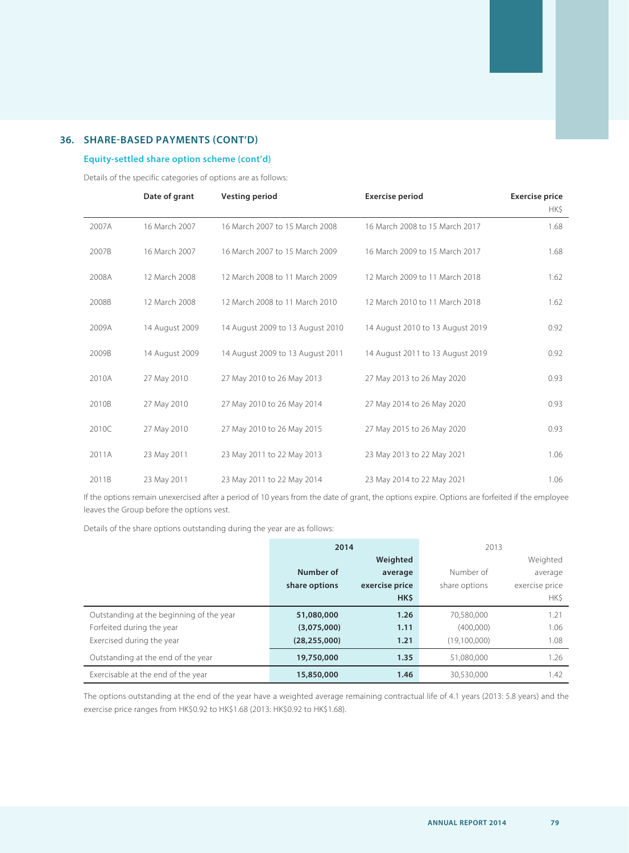## **36. SHARE-BASED PAYMENTS (CONT'D)**

#### **Equity-settled share option scheme (cont'd)**

Details of the specific categories of options are as follows:

|       | Date of grant  | <b>Vesting period</b>            | <b>Exercise period</b>           | <b>Exercise price</b><br>HK\$ |
|-------|----------------|----------------------------------|----------------------------------|-------------------------------|
| 2007A | 16 March 2007  | 16 March 2007 to 15 March 2008   | 16 March 2008 to 15 March 2017   | 1.68                          |
| 2007B | 16 March 2007  | 16 March 2007 to 15 March 2009   | 16 March 2009 to 15 March 2017   | 1.68                          |
| 2008A | 12 March 2008  | 12 March 2008 to 11 March 2009   | 12 March 2009 to 11 March 2018   | 1.62                          |
| 2008B | 12 March 2008  | 12 March 2008 to 11 March 2010   | 12 March 2010 to 11 March 2018   | 1.62                          |
| 2009A | 14 August 2009 | 14 August 2009 to 13 August 2010 | 14 August 2010 to 13 August 2019 | 0.92                          |
| 2009B | 14 August 2009 | 14 August 2009 to 13 August 2011 | 14 August 2011 to 13 August 2019 | 0.92                          |
| 2010A | 27 May 2010    | 27 May 2010 to 26 May 2013       | 27 May 2013 to 26 May 2020       | 0.93                          |
| 2010B | 27 May 2010    | 27 May 2010 to 26 May 2014       | 27 May 2014 to 26 May 2020       | 0.93                          |
| 2010C | 27 May 2010    | 27 May 2010 to 26 May 2015       | 27 May 2015 to 26 May 2020       | 0.93                          |
| 2011A | 23 May 2011    | 23 May 2011 to 22 May 2013       | 23 May 2013 to 22 May 2021       | 1.06                          |
| 2011B | 23 May 2011    | 23 May 2011 to 22 May 2014       | 23 May 2014 to 22 May 2021       | 1.06                          |

If the options remain unexercised after a period of 10 years from the date of grant, the options expire. Options are forfeited if the employee leaves the Group before the options vest.

Details of the share options outstanding during the year are as follows:

|                                          | 2014           |                | 2013          |                |
|------------------------------------------|----------------|----------------|---------------|----------------|
|                                          |                | Weighted       |               | Weighted       |
|                                          | Number of      | average        | Number of     | average        |
|                                          | share options  | exercise price | share options | exercise price |
|                                          |                | HK\$           |               | HK\$           |
| Outstanding at the beginning of the year | 51,080,000     | 1.26           | 70,580,000    | 1.21           |
| Forfeited during the year                | (3,075,000)    | 1.11           | (400.000)     | 1.06           |
| Exercised during the year                | (28, 255, 000) | 1.21           | (19,100,000)  | 1.08           |
| Outstanding at the end of the year       | 19,750,000     | 1.35           | 51,080,000    | 1.26           |
| Exercisable at the end of the year       | 15,850,000     | 1.46           | 30.530.000    | 1.42           |

The options outstanding at the end of the year have a weighted average remaining contractual life of 4.1 years (2013: 5.8 years) and the exercise price ranges from HK\$0.92 to HK\$1.68 (2013: HK\$0.92 to HK\$1.68).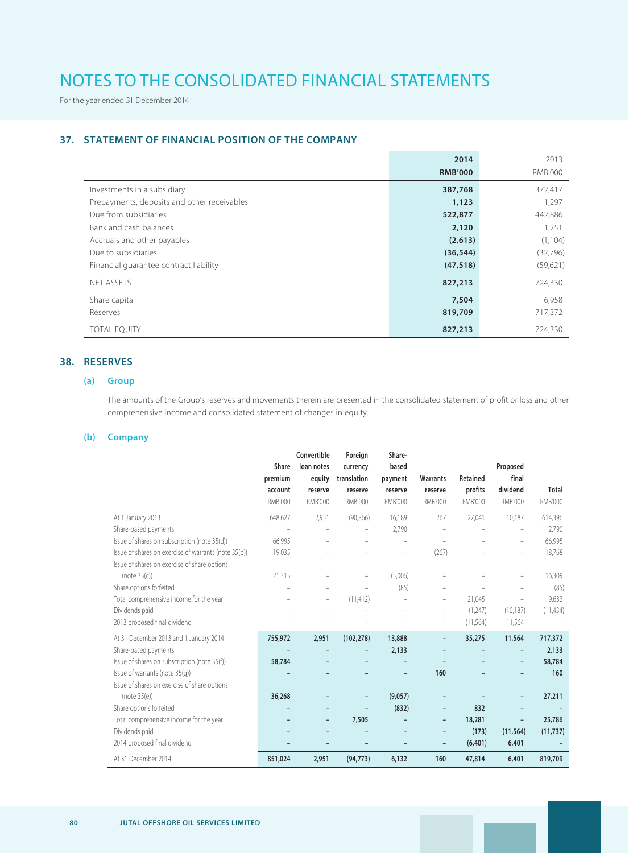For the year ended 31 December 2014

## **37. STATEMENT OF FINANCIAL POSITION OF THE COMPANY**

|                                             | 2014           | 2013           |
|---------------------------------------------|----------------|----------------|
|                                             | <b>RMB'000</b> | <b>RMB'000</b> |
| Investments in a subsidiary                 | 387,768        | 372,417        |
| Prepayments, deposits and other receivables | 1,123          | 1,297          |
| Due from subsidiaries                       | 522,877        | 442,886        |
| Bank and cash balances                      | 2,120          | 1,251          |
| Accruals and other payables                 | (2,613)        | (1, 104)       |
| Due to subsidiaries                         | (36, 544)      | (32,796)       |
| Financial quarantee contract liability      | (47, 518)      | (59,621)       |
| <b>NET ASSETS</b>                           | 827,213        | 724,330        |
| Share capital                               | 7,504          | 6,958          |
| Reserves                                    | 819,709        | 717,372        |
| TOTAL EQUITY                                | 827,213        | 724,330        |

## **38. RESERVES**

#### **(a) Group**

The amounts of the Group's reserves and movements therein are presented in the consolidated statement of profit or loss and other comprehensive income and consolidated statement of changes in equity.

### **(b) Company**

|                                                      |         | Convertible       | Foreign        | Share-            |                   |                |                          |              |
|------------------------------------------------------|---------|-------------------|----------------|-------------------|-------------------|----------------|--------------------------|--------------|
|                                                      | Share   | loan notes        | currency       | based             |                   |                | Proposed                 |              |
|                                                      | premium | equity            | translation    | payment           | <b>Warrants</b>   | Retained       | final                    |              |
|                                                      | account | reserve           | reserve        | reserve           | reserve           | profits        | dividend                 | <b>Total</b> |
|                                                      | RMB'000 | RMB'000           | <b>RMB'000</b> | <b>RMB'000</b>    | RMB'000           | <b>RMB'000</b> | <b>RMB'000</b>           | RMB'000      |
| At 1 January 2013                                    | 648,627 | 2,951             | (90, 866)      | 16,189            | 267               | 27,041         | 10,187                   | 614,396      |
| Share-based payments                                 |         |                   |                | 2,790             |                   |                |                          | 2,790        |
| Issue of shares on subscription (note 35(d))         | 66,995  |                   |                |                   |                   |                | $\overline{\phantom{a}}$ | 66,995       |
| Issue of shares on exercise of warrants (note 35(b)) | 19,035  |                   |                | $\qquad \qquad -$ | (267)             |                | $\overline{\phantom{a}}$ | 18,768       |
| Issue of shares on exercise of share options         |         |                   |                |                   |                   |                |                          |              |
| (note 35(c))                                         | 21,315  |                   |                | (5,006)           |                   |                | $\equiv$                 | 16,309       |
| Share options forfeited                              |         |                   |                | (85)              | $\qquad \qquad -$ |                |                          | (85)         |
| Total comprehensive income for the year              |         | $\qquad \qquad -$ | (11, 412)      |                   | $\qquad \qquad -$ | 21,045         | $\overline{\phantom{a}}$ | 9,633        |
| Dividends paid                                       |         |                   |                |                   | $\overline{a}$    | (1,247)        | (10, 187)                | (11, 434)    |
| 2013 proposed final dividend                         |         |                   |                |                   | $\equiv$          | (11, 564)      | 11,564                   |              |
| At 31 December 2013 and 1 January 2014               | 755,972 | 2,951             | (102, 278)     | 13,888            | $\qquad \qquad -$ | 35,275         | 11,564                   | 717,372      |
| Share-based payments                                 |         | $\qquad \qquad -$ |                | 2,133             | -                 |                | $\qquad \qquad -$        | 2,133        |
| Issue of shares on subscription (note 35(f))         | 58,784  |                   |                |                   |                   |                |                          | 58,784       |
| Issue of warrants (note 35(g))                       |         |                   |                |                   | 160               |                |                          | 160          |
| Issue of shares on exercise of share options         |         |                   |                |                   |                   |                |                          |              |
| (note 35(e))                                         | 36,268  |                   |                | (9,057)           |                   |                |                          | 27,211       |
| Share options forfeited                              |         |                   |                | (832)             | $\qquad \qquad -$ | 832            |                          |              |
| Total comprehensive income for the year              |         | $\qquad \qquad -$ | 7,505          |                   | $\qquad \qquad -$ | 18,281         |                          | 25,786       |
| Dividends paid                                       |         |                   |                |                   | $\qquad \qquad -$ | (173)          | (11, 564)                | (11, 737)    |
| 2014 proposed final dividend                         |         |                   |                |                   | $\qquad \qquad -$ | (6, 401)       | 6,401                    |              |
| At 31 December 2014                                  | 851,024 | 2,951             | (94, 773)      | 6,132             | 160               | 47,814         | 6,401                    | 819,709      |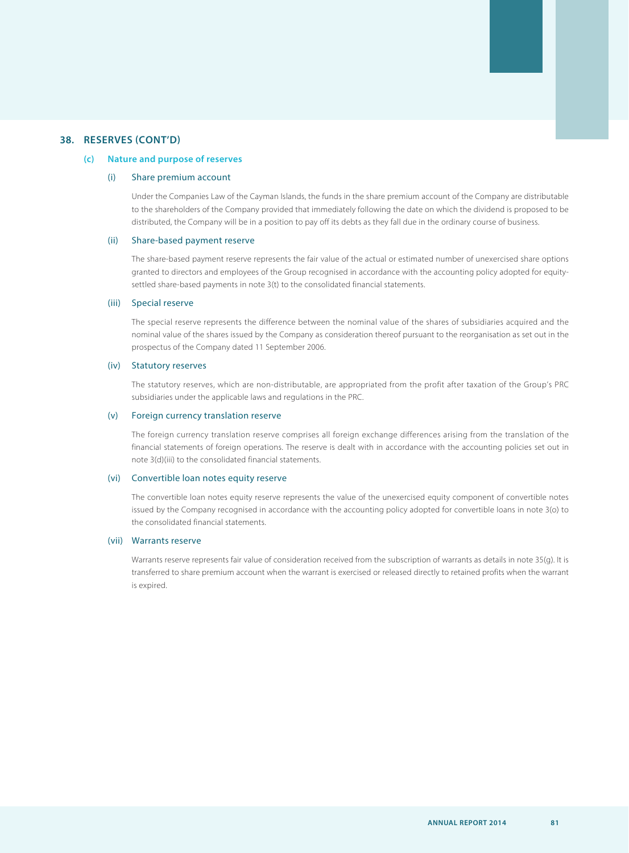#### **38. RESERVES (CONT'D)**

#### **(c) Nature and purpose of reserves**

#### (i) Share premium account

Under the Companies Law of the Cayman Islands, the funds in the share premium account of the Company are distributable to the shareholders of the Company provided that immediately following the date on which the dividend is proposed to be distributed, the Company will be in a position to pay off its debts as they fall due in the ordinary course of business.

#### (ii) Share-based payment reserve

The share-based payment reserve represents the fair value of the actual or estimated number of unexercised share options granted to directors and employees of the Group recognised in accordance with the accounting policy adopted for equitysettled share-based payments in note 3(t) to the consolidated financial statements.

#### (iii) Special reserve

The special reserve represents the difference between the nominal value of the shares of subsidiaries acquired and the nominal value of the shares issued by the Company as consideration thereof pursuant to the reorganisation as set out in the prospectus of the Company dated 11 September 2006.

#### (iv) Statutory reserves

The statutory reserves, which are non-distributable, are appropriated from the profit after taxation of the Group's PRC subsidiaries under the applicable laws and regulations in the PRC.

#### (v) Foreign currency translation reserve

The foreign currency translation reserve comprises all foreign exchange differences arising from the translation of the financial statements of foreign operations. The reserve is dealt with in accordance with the accounting policies set out in note 3(d)(iii) to the consolidated financial statements.

#### (vi) Convertible loan notes equity reserve

The convertible loan notes equity reserve represents the value of the unexercised equity component of convertible notes issued by the Company recognised in accordance with the accounting policy adopted for convertible loans in note 3(o) to the consolidated financial statements.

### (vii) Warrants reserve

Warrants reserve represents fair value of consideration received from the subscription of warrants as details in note 35(g). It is transferred to share premium account when the warrant is exercised or released directly to retained profits when the warrant is expired.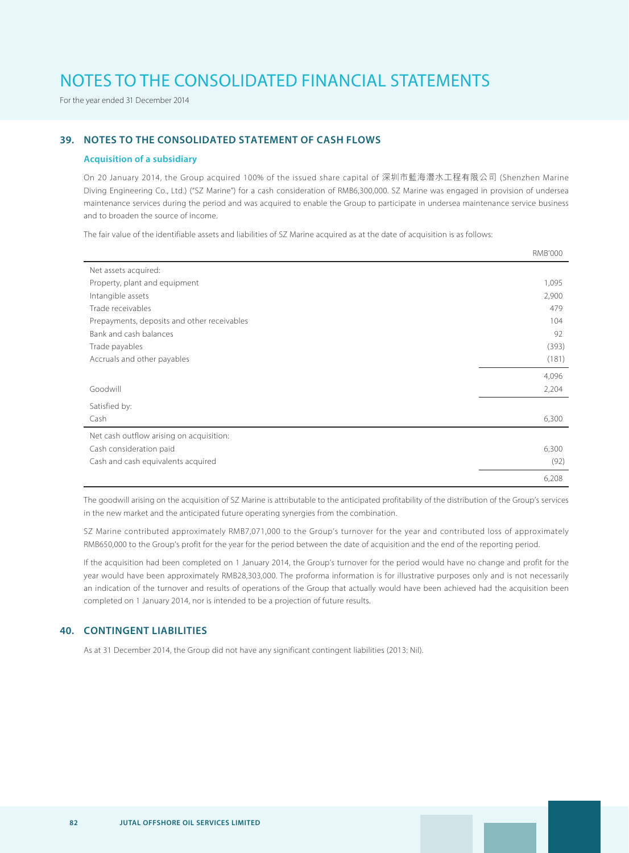For the year ended 31 December 2014

## **39. NOTES TO THE CONSOLIDATED STATEMENT OF CASH FLOWS**

#### **Acquisition of a subsidiary**

On 20 January 2014, the Group acquired 100% of the issued share capital of 深圳市藍海潛水工程有限公司 (Shenzhen Marine Diving Engineering Co., Ltd.) ("SZ Marine") for a cash consideration of RMB6,300,000. SZ Marine was engaged in provision of undersea maintenance services during the period and was acquired to enable the Group to participate in undersea maintenance service business and to broaden the source of income.

The fair value of the identifiable assets and liabilities of SZ Marine acquired as at the date of acquisition is as follows:

|                                             | <b>RMB'000</b> |
|---------------------------------------------|----------------|
| Net assets acquired:                        |                |
| Property, plant and equipment               | 1,095          |
| Intangible assets                           | 2,900          |
| Trade receivables                           | 479            |
| Prepayments, deposits and other receivables | 104            |
| Bank and cash balances                      | 92             |
| Trade payables                              | (393)          |
| Accruals and other payables                 | (181)          |
|                                             | 4,096          |
| Goodwill                                    | 2,204          |
| Satisfied by:                               |                |
| Cash                                        | 6,300          |
| Net cash outflow arising on acquisition:    |                |
| Cash consideration paid                     | 6,300          |
| Cash and cash equivalents acquired          | (92)           |
|                                             | 6,208          |

The goodwill arising on the acquisition of SZ Marine is attributable to the anticipated profitability of the distribution of the Group's services in the new market and the anticipated future operating synergies from the combination.

SZ Marine contributed approximately RMB7,071,000 to the Group's turnover for the year and contributed loss of approximately RMB650,000 to the Group's profit for the year for the period between the date of acquisition and the end of the reporting period.

If the acquisition had been completed on 1 January 2014, the Group's turnover for the period would have no change and profit for the year would have been approximately RMB28,303,000. The proforma information is for illustrative purposes only and is not necessarily an indication of the turnover and results of operations of the Group that actually would have been achieved had the acquisition been completed on 1 January 2014, nor is intended to be a projection of future results.

## **40. CONTINGENT LIABILITIES**

As at 31 December 2014, the Group did not have any significant contingent liabilities (2013: Nil).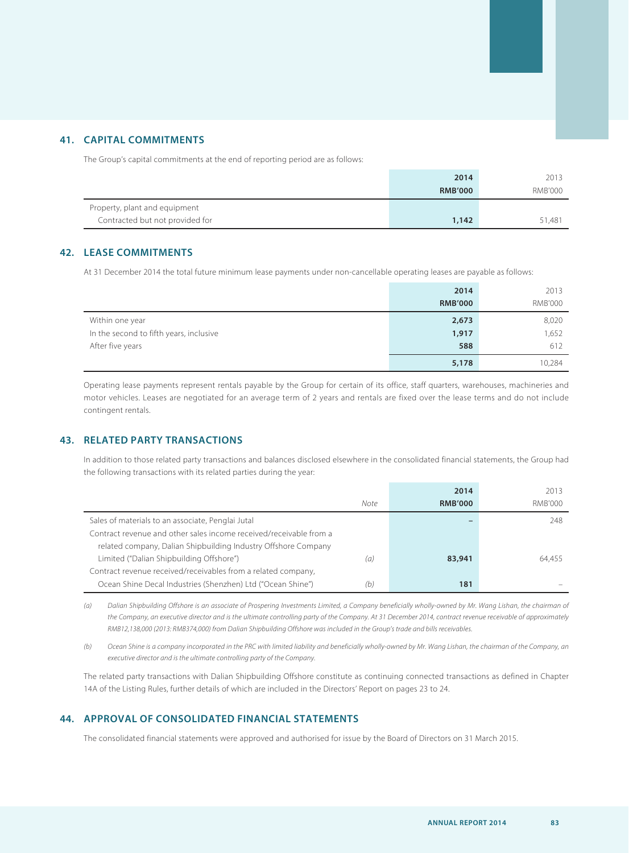### **41. CAPITAL COMMITMENTS**

The Group's capital commitments at the end of reporting period are as follows:

|                                 | 2014           | 2013           |
|---------------------------------|----------------|----------------|
|                                 | <b>RMB'000</b> | <b>RMB'000</b> |
| Property, plant and equipment   |                |                |
| Contracted but not provided for | 1,142          | 51,481         |

### **42. LEASE COMMITMENTS**

At 31 December 2014 the total future minimum lease payments under non-cancellable operating leases are payable as follows:

|                                         | 2014           | 2013           |
|-----------------------------------------|----------------|----------------|
|                                         | <b>RMB'000</b> | <b>RMB'000</b> |
| Within one year                         | 2,673          | 8,020          |
| In the second to fifth years, inclusive | 1,917          | 1,652          |
| After five years                        | 588            | 612            |
|                                         | 5,178          | 10,284         |

Operating lease payments represent rentals payable by the Group for certain of its office, staff quarters, warehouses, machineries and motor vehicles. Leases are negotiated for an average term of 2 years and rentals are fixed over the lease terms and do not include contingent rentals.

## **43. RELATED PARTY TRANSACTIONS**

In addition to those related party transactions and balances disclosed elsewhere in the consolidated financial statements, the Group had the following transactions with its related parties during the year:

|                                                                    |      | 2014           | 2013    |
|--------------------------------------------------------------------|------|----------------|---------|
|                                                                    | Note | <b>RMB'000</b> | RMB'000 |
| Sales of materials to an associate, Penglai Jutal                  |      |                | 248     |
| Contract revenue and other sales income received/receivable from a |      |                |         |
| related company, Dalian Shipbuilding Industry Offshore Company     |      |                |         |
| Limited ("Dalian Shipbuilding Offshore")                           | (a)  | 83,941         | 64.455  |
| Contract revenue received/receivables from a related company,      |      |                |         |
| Ocean Shine Decal Industries (Shenzhen) Ltd ("Ocean Shine")        | (b)  | 181            |         |

(a) Dalian Shipbuilding Offshore is an associate of Prospering Investments Limited, a Company beneficially wholly-owned by Mr. Wang Lishan, the chairman of the Company, an executive director and is the ultimate controlling party of the Company. At 31 December 2014, contract revenue receivable of approximately RMB12,138,000 (2013: RMB374,000) from Dalian Shipbuilding Offshore was included in the Group's trade and bills receivables.

(b) Ocean Shine is a company incorporated in the PRC with limited liability and beneficially wholly-owned by Mr. Wang Lishan, the chairman of the Company, an executive director and is the ultimate controlling party of the Company.

The related party transactions with Dalian Shipbuilding Offshore constitute as continuing connected transactions as defined in Chapter 14A of the Listing Rules, further details of which are included in the Directors' Report on pages 23 to 24.

## **44. APPROVAL OF CONSOLIDATED FINANCIAL STATEMENTS**

The consolidated financial statements were approved and authorised for issue by the Board of Directors on 31 March 2015.